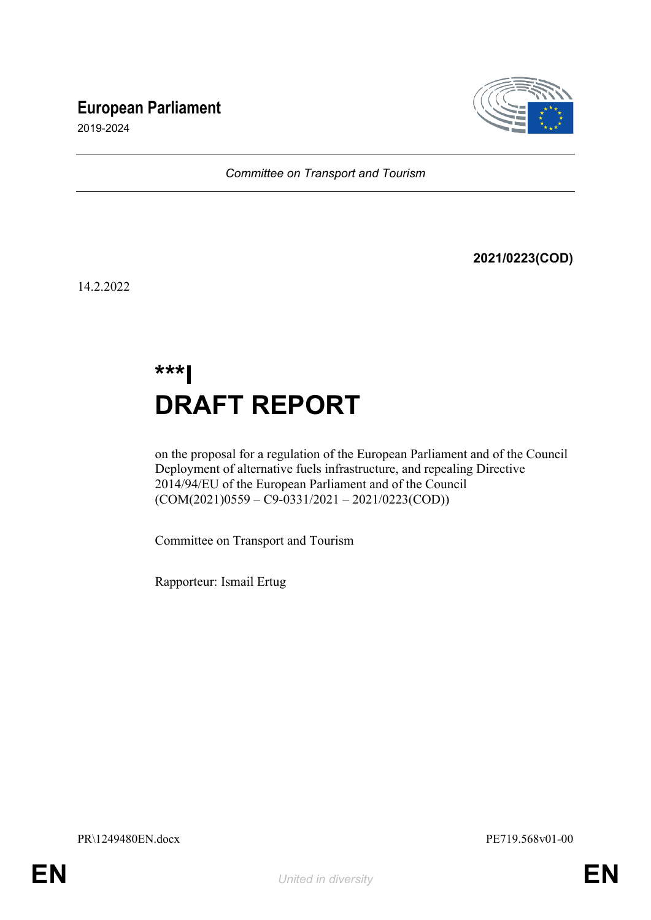# **European Parliament**



2019-2024

*Committee on Transport and Tourism*

**2021/0223(COD)**

14.2.2022

# **\*\*\*I DRAFT REPORT**

on the proposal for a regulation of the European Parliament and of the Council Deployment of alternative fuels infrastructure, and repealing Directive 2014/94/EU of the European Parliament and of the Council  $(COM(2021)0559 - C9-0331/2021 - 2021/0223(COD))$ 

Committee on Transport and Tourism

Rapporteur: Ismail Ertug

PR\1249480EN.docx PE719.568v01-00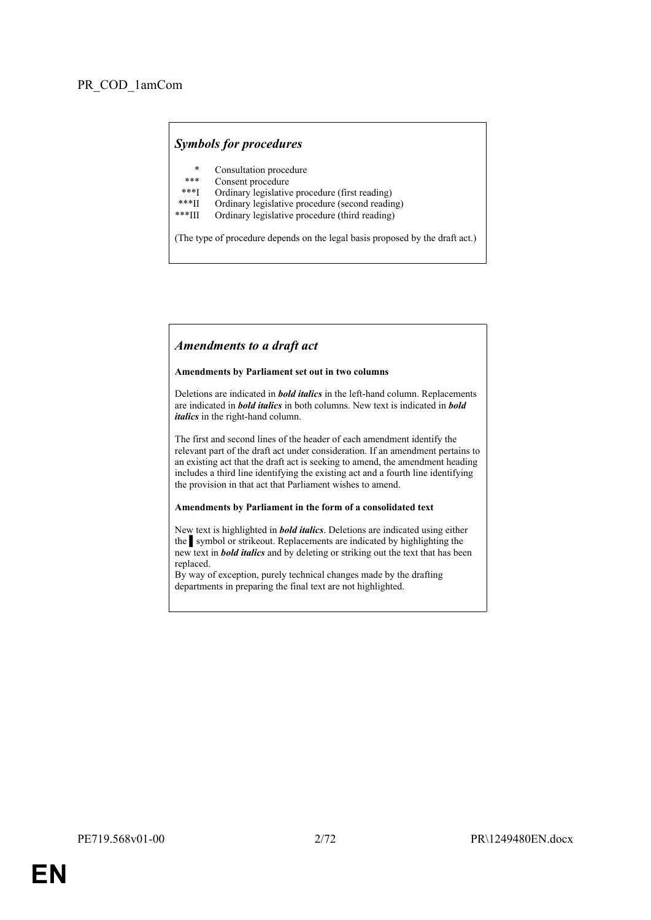### *Symbols for procedures*

- \* Consultation procedure
- Consent procedure
- \*\*\*I Ordinary legislative procedure (first reading)<br>\*\*\*II Ordinary legislative procedure (second reading)
- \*\*\*II Ordinary legislative procedure (second reading)
- Ordinary legislative procedure (third reading)

(The type of procedure depends on the legal basis proposed by the draft act.)

### *Amendments to a draft act*

#### **Amendments by Parliament set out in two columns**

Deletions are indicated in *bold italics* in the left-hand column. Replacements are indicated in *bold italics* in both columns. New text is indicated in *bold italics* in the right-hand column.

The first and second lines of the header of each amendment identify the relevant part of the draft act under consideration. If an amendment pertains to an existing act that the draft act is seeking to amend, the amendment heading includes a third line identifying the existing act and a fourth line identifying the provision in that act that Parliament wishes to amend.

#### **Amendments by Parliament in the form of a consolidated text**

New text is highlighted in *bold italics*. Deletions are indicated using either the symbol or strikeout. Replacements are indicated by highlighting the new text in *bold italics* and by deleting or striking out the text that has been replaced.

By way of exception, purely technical changes made by the drafting departments in preparing the final text are not highlighted.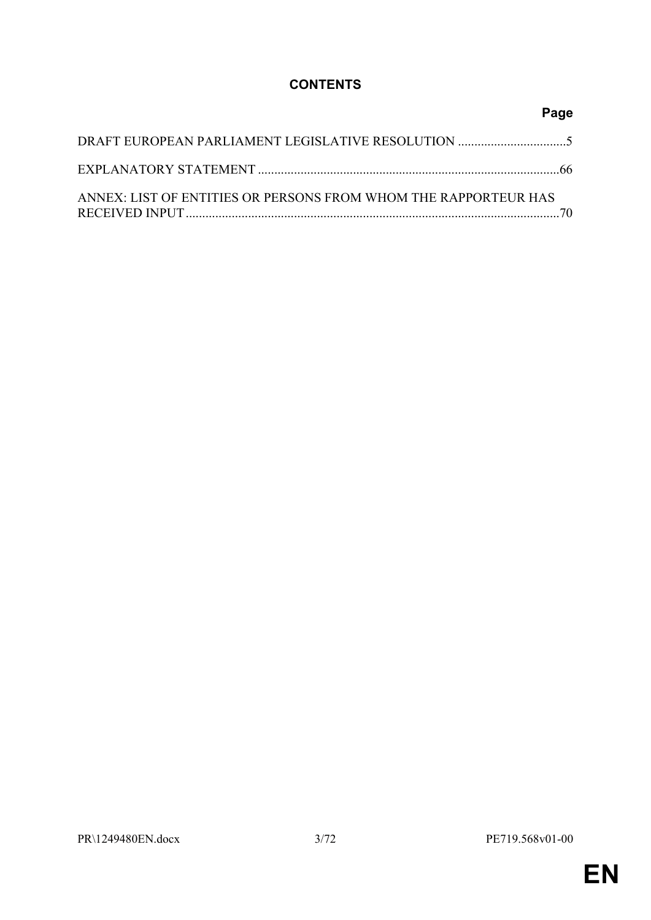# **CONTENTS**

|                                                                 | Page |
|-----------------------------------------------------------------|------|
|                                                                 |      |
|                                                                 |      |
| ANNEX: LIST OF ENTITIES OR PERSONS FROM WHOM THE RAPPORTEUR HAS |      |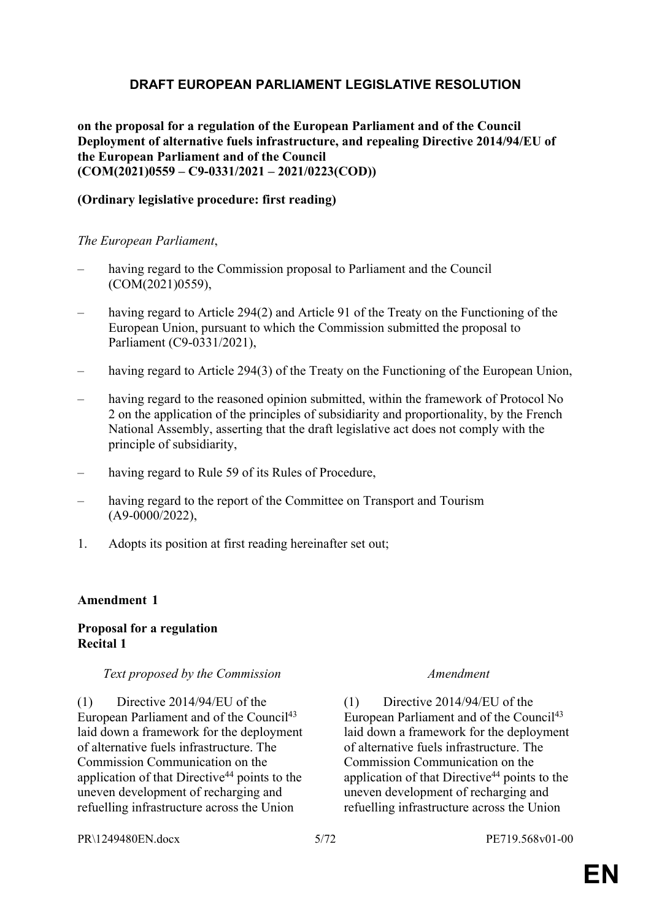# <span id="page-4-0"></span>**DRAFT EUROPEAN PARLIAMENT LEGISLATIVE RESOLUTION**

**on the proposal for a regulation of the European Parliament and of the Council Deployment of alternative fuels infrastructure, and repealing Directive 2014/94/EU of the European Parliament and of the Council (COM(2021)0559 – C9-0331/2021 – 2021/0223(COD))**

### **(Ordinary legislative procedure: first reading)**

### *The European Parliament*,

- having regard to the Commission proposal to Parliament and the Council (COM(2021)0559),
- having regard to Article 294(2) and Article 91 of the Treaty on the Functioning of the European Union, pursuant to which the Commission submitted the proposal to Parliament (C9-0331/2021),
- having regard to Article 294(3) of the Treaty on the Functioning of the European Union,
- having regard to the reasoned opinion submitted, within the framework of Protocol No 2 on the application of the principles of subsidiarity and proportionality, by the French National Assembly, asserting that the draft legislative act does not comply with the principle of subsidiarity,
- having regard to Rule 59 of its Rules of Procedure,
- having regard to the report of the Committee on Transport and Tourism (A9-0000/2022),
- 1. Adopts its position at first reading hereinafter set out;

### **Amendment 1**

### **Proposal for a regulation Recital 1**

### *Text proposed by the Commission Amendment*

(1) Directive 2014/94/EU of the European Parliament and of the Council<sup>43</sup> laid down a framework for the deployment of alternative fuels infrastructure. The Commission Communication on the application of that Directive<sup>44</sup> points to the uneven development of recharging and refuelling infrastructure across the Union

(1) Directive 2014/94/EU of the European Parliament and of the Council<sup>43</sup> laid down a framework for the deployment of alternative fuels infrastructure. The Commission Communication on the application of that Directive<sup>44</sup> points to the uneven development of recharging and refuelling infrastructure across the Union

PR\1249480EN.docx 5/72 PE719.568v01-00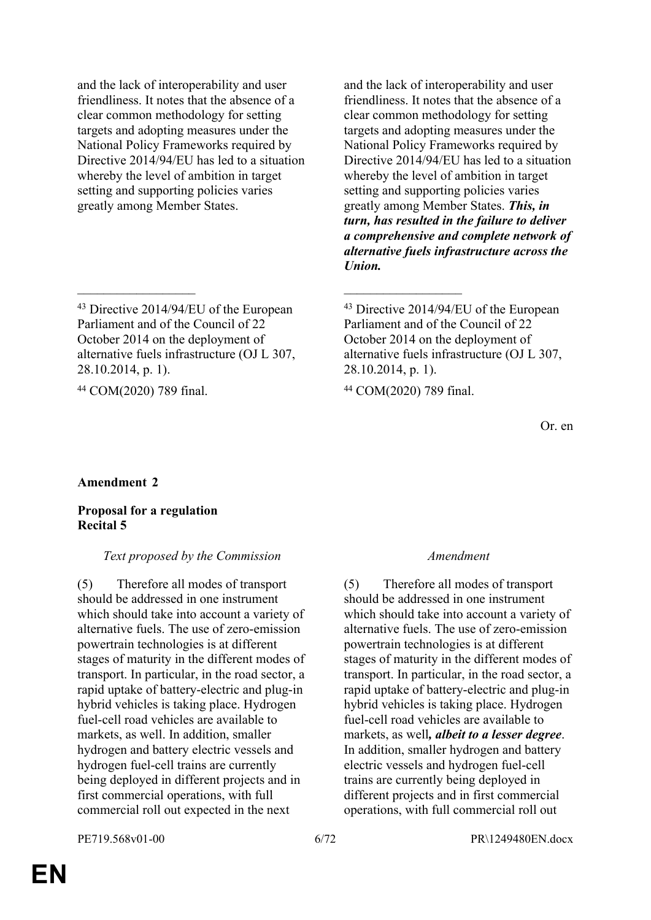and the lack of interoperability and user friendliness. It notes that the absence of a clear common methodology for setting targets and adopting measures under the National Policy Frameworks required by Directive 2014/94/EU has led to a situation whereby the level of ambition in target setting and supporting policies varies greatly among Member States.

 $\mathcal{L}_\text{max}$  and  $\mathcal{L}_\text{max}$  and  $\mathcal{L}_\text{max}$  and  $\mathcal{L}_\text{max}$ 

<sup>44</sup> COM(2020) 789 final. <sup>44</sup> COM(2020) 789 final.

and the lack of interoperability and user friendliness. It notes that the absence of a clear common methodology for setting targets and adopting measures under the National Policy Frameworks required by Directive 2014/94/EU has led to a situation whereby the level of ambition in target setting and supporting policies varies greatly among Member States. *This, in turn, has resulted in the failure to deliver a comprehensive and complete network of alternative fuels infrastructure across the Union.*

Or. en

### **Amendment 2**

### **Proposal for a regulation Recital 5**

### *Text proposed by the Commission Amendment*

(5) Therefore all modes of transport should be addressed in one instrument which should take into account a variety of alternative fuels. The use of zero-emission powertrain technologies is at different stages of maturity in the different modes of transport. In particular, in the road sector, a rapid uptake of battery-electric and plug-in hybrid vehicles is taking place. Hydrogen fuel-cell road vehicles are available to markets, as well. In addition, smaller hydrogen and battery electric vessels and hydrogen fuel-cell trains are currently being deployed in different projects and in first commercial operations, with full commercial roll out expected in the next

(5) Therefore all modes of transport should be addressed in one instrument which should take into account a variety of alternative fuels. The use of zero-emission powertrain technologies is at different stages of maturity in the different modes of transport. In particular, in the road sector, a rapid uptake of battery-electric and plug-in hybrid vehicles is taking place. Hydrogen fuel-cell road vehicles are available to markets, as well*, albeit to a lesser degree*. In addition, smaller hydrogen and battery electric vessels and hydrogen fuel-cell trains are currently being deployed in different projects and in first commercial operations, with full commercial roll out

<sup>43</sup> Directive 2014/94/EU of the European Parliament and of the Council of 22 October 2014 on the deployment of alternative fuels infrastructure (OJ L 307, 28.10.2014, p. 1).

<sup>43</sup> Directive 2014/94/EU of the European Parliament and of the Council of 22 October 2014 on the deployment of alternative fuels infrastructure (OJ L 307, 28.10.2014, p. 1).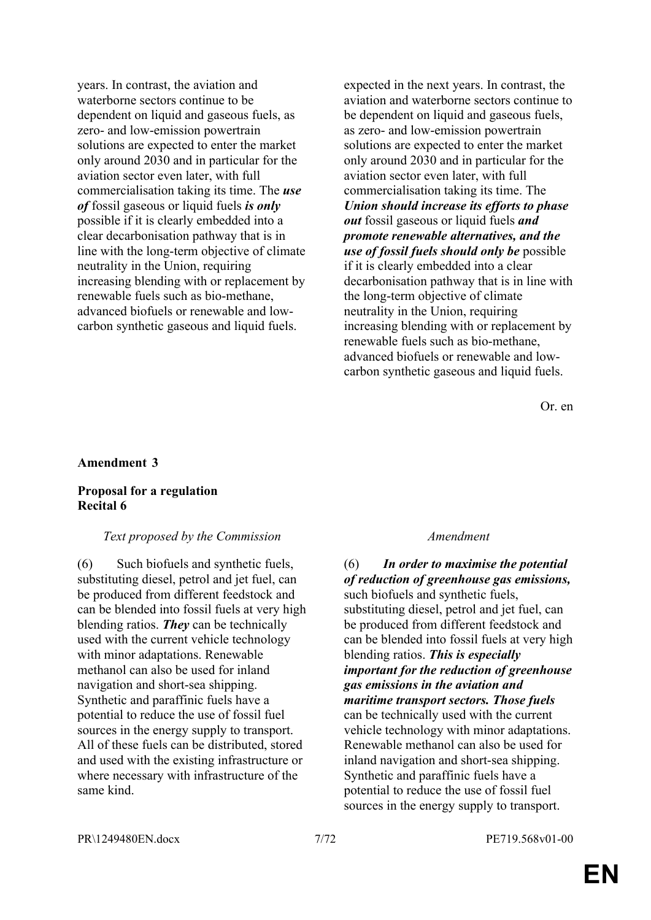years. In contrast, the aviation and waterborne sectors continue to be dependent on liquid and gaseous fuels, as zero- and low-emission powertrain solutions are expected to enter the market only around 2030 and in particular for the aviation sector even later, with full commercialisation taking its time. The *use of* fossil gaseous or liquid fuels *is only* possible if it is clearly embedded into a clear decarbonisation pathway that is in line with the long-term objective of climate neutrality in the Union, requiring increasing blending with or replacement by renewable fuels such as bio-methane, advanced biofuels or renewable and lowcarbon synthetic gaseous and liquid fuels.

expected in the next years. In contrast, the aviation and waterborne sectors continue to be dependent on liquid and gaseous fuels, as zero- and low-emission powertrain solutions are expected to enter the market only around 2030 and in particular for the aviation sector even later, with full commercialisation taking its time. The *Union should increase its efforts to phase out* fossil gaseous or liquid fuels *and promote renewable alternatives, and the use of fossil fuels should only be* possible if it is clearly embedded into a clear decarbonisation pathway that is in line with the long-term objective of climate neutrality in the Union, requiring increasing blending with or replacement by renewable fuels such as bio-methane, advanced biofuels or renewable and lowcarbon synthetic gaseous and liquid fuels.

Or. en

#### **Amendment 3**

#### **Proposal for a regulation Recital 6**

#### *Text proposed by the Commission Amendment*

(6) Such biofuels and synthetic fuels, substituting diesel, petrol and jet fuel, can be produced from different feedstock and can be blended into fossil fuels at very high blending ratios. *They* can be technically used with the current vehicle technology with minor adaptations. Renewable methanol can also be used for inland navigation and short-sea shipping. Synthetic and paraffinic fuels have a potential to reduce the use of fossil fuel sources in the energy supply to transport. All of these fuels can be distributed, stored and used with the existing infrastructure or where necessary with infrastructure of the same kind.

(6) *In order to maximise the potential of reduction of greenhouse gas emissions,* such biofuels and synthetic fuels, substituting diesel, petrol and jet fuel, can be produced from different feedstock and can be blended into fossil fuels at very high blending ratios. *This is especially important for the reduction of greenhouse gas emissions in the aviation and maritime transport sectors. Those fuels* can be technically used with the current vehicle technology with minor adaptations. Renewable methanol can also be used for inland navigation and short-sea shipping. Synthetic and paraffinic fuels have a potential to reduce the use of fossil fuel sources in the energy supply to transport.

PR\1249480EN.docx 7/72 PE719.568v01-00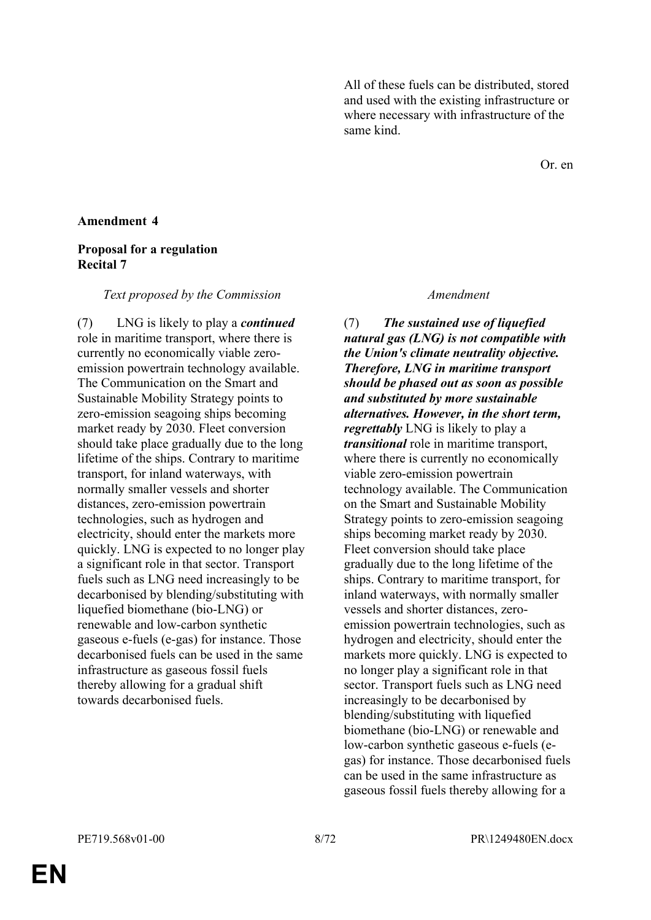All of these fuels can be distributed, stored and used with the existing infrastructure or where necessary with infrastructure of the same kind.

Or. en

### **Amendment 4**

### **Proposal for a regulation Recital 7**

#### *Text proposed by the Commission Amendment*

(7) LNG is likely to play a *continued* role in maritime transport, where there is currently no economically viable zeroemission powertrain technology available. The Communication on the Smart and Sustainable Mobility Strategy points to zero-emission seagoing ships becoming market ready by 2030. Fleet conversion should take place gradually due to the long lifetime of the ships. Contrary to maritime transport, for inland waterways, with normally smaller vessels and shorter distances, zero-emission powertrain technologies, such as hydrogen and electricity, should enter the markets more quickly. LNG is expected to no longer play a significant role in that sector. Transport fuels such as LNG need increasingly to be decarbonised by blending/substituting with liquefied biomethane (bio-LNG) or renewable and low-carbon synthetic gaseous e-fuels (e-gas) for instance. Those decarbonised fuels can be used in the same infrastructure as gaseous fossil fuels thereby allowing for a gradual shift towards decarbonised fuels.

(7) *The sustained use of liquefied natural gas (LNG) is not compatible with the Union's climate neutrality objective. Therefore, LNG in maritime transport should be phased out as soon as possible and substituted by more sustainable alternatives. However, in the short term, regrettably* LNG is likely to play a *transitional* role in maritime transport, where there is currently no economically viable zero-emission powertrain technology available. The Communication on the Smart and Sustainable Mobility Strategy points to zero-emission seagoing ships becoming market ready by 2030. Fleet conversion should take place gradually due to the long lifetime of the ships. Contrary to maritime transport, for inland waterways, with normally smaller vessels and shorter distances, zeroemission powertrain technologies, such as hydrogen and electricity, should enter the markets more quickly. LNG is expected to no longer play a significant role in that sector. Transport fuels such as LNG need increasingly to be decarbonised by blending/substituting with liquefied biomethane (bio-LNG) or renewable and low-carbon synthetic gaseous e-fuels (egas) for instance. Those decarbonised fuels can be used in the same infrastructure as gaseous fossil fuels thereby allowing for a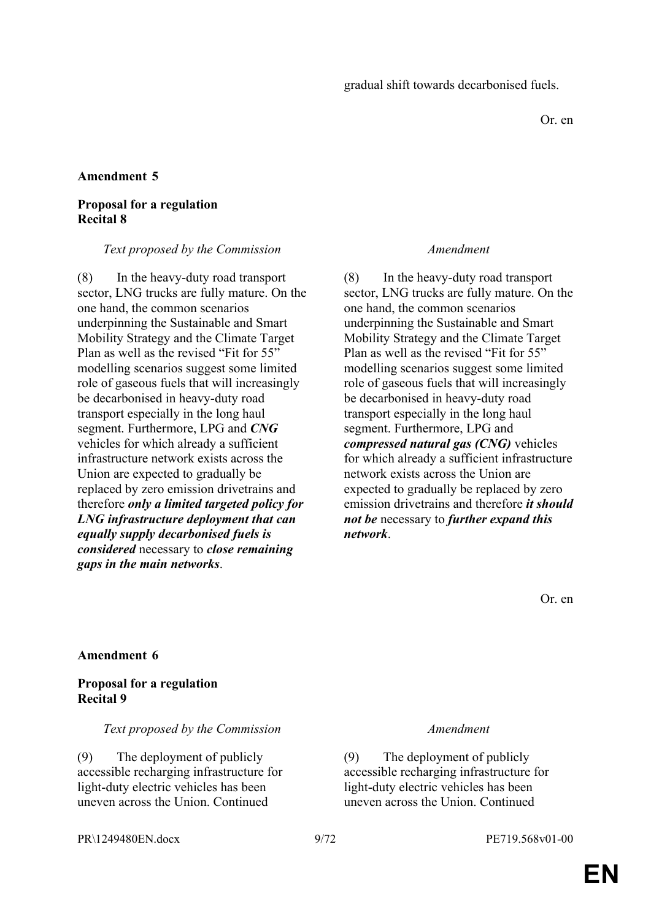Or. en

### **Amendment 5**

### **Proposal for a regulation Recital 8**

#### *Text proposed by the Commission Amendment*

(8) In the heavy-duty road transport sector, LNG trucks are fully mature. On the one hand, the common scenarios underpinning the Sustainable and Smart Mobility Strategy and the Climate Target Plan as well as the revised "Fit for 55" modelling scenarios suggest some limited role of gaseous fuels that will increasingly be decarbonised in heavy-duty road transport especially in the long haul segment. Furthermore, LPG and *CNG* vehicles for which already a sufficient infrastructure network exists across the Union are expected to gradually be replaced by zero emission drivetrains and therefore *only a limited targeted policy for LNG infrastructure deployment that can equally supply decarbonised fuels is considered* necessary to *close remaining gaps in the main networks*.

(8) In the heavy-duty road transport sector, LNG trucks are fully mature. On the one hand, the common scenarios underpinning the Sustainable and Smart Mobility Strategy and the Climate Target Plan as well as the revised "Fit for 55" modelling scenarios suggest some limited role of gaseous fuels that will increasingly be decarbonised in heavy-duty road transport especially in the long haul segment. Furthermore, LPG and *compressed natural gas (CNG)* vehicles for which already a sufficient infrastructure network exists across the Union are expected to gradually be replaced by zero emission drivetrains and therefore *it should not be* necessary to *further expand this network*.

Or. en

### **Amendment 6**

### **Proposal for a regulation Recital 9**

### *Text proposed by the Commission Amendment*

(9) The deployment of publicly accessible recharging infrastructure for light-duty electric vehicles has been uneven across the Union. Continued

(9) The deployment of publicly accessible recharging infrastructure for light-duty electric vehicles has been uneven across the Union. Continued

PR\1249480EN.docx 9/72 PE719.568v01-00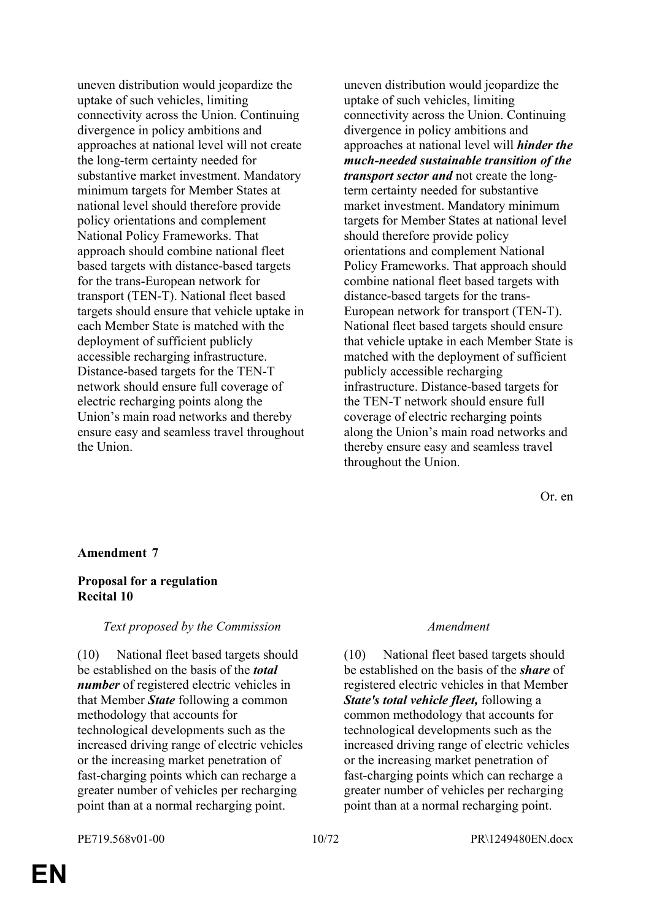uneven distribution would jeopardize the uptake of such vehicles, limiting connectivity across the Union. Continuing divergence in policy ambitions and approaches at national level will not create the long-term certainty needed for substantive market investment. Mandatory minimum targets for Member States at national level should therefore provide policy orientations and complement National Policy Frameworks. That approach should combine national fleet based targets with distance-based targets for the trans-European network for transport (TEN-T). National fleet based targets should ensure that vehicle uptake in each Member State is matched with the deployment of sufficient publicly accessible recharging infrastructure. Distance-based targets for the TEN-T network should ensure full coverage of electric recharging points along the Union's main road networks and thereby ensure easy and seamless travel throughout the Union.

uneven distribution would jeopardize the uptake of such vehicles, limiting connectivity across the Union. Continuing divergence in policy ambitions and approaches at national level will *hinder the much-needed sustainable transition of the transport sector and* not create the longterm certainty needed for substantive market investment. Mandatory minimum targets for Member States at national level should therefore provide policy orientations and complement National Policy Frameworks. That approach should combine national fleet based targets with distance-based targets for the trans-European network for transport (TEN-T). National fleet based targets should ensure that vehicle uptake in each Member State is matched with the deployment of sufficient publicly accessible recharging infrastructure. Distance-based targets for the TEN-T network should ensure full coverage of electric recharging points along the Union's main road networks and thereby ensure easy and seamless travel throughout the Union.

Or. en

### **Amendment 7**

#### **Proposal for a regulation Recital 10**

#### *Text proposed by the Commission Amendment*

(10) National fleet based targets should be established on the basis of the *total number* of registered electric vehicles in that Member *State* following a common methodology that accounts for technological developments such as the increased driving range of electric vehicles or the increasing market penetration of fast-charging points which can recharge a greater number of vehicles per recharging point than at a normal recharging point.

(10) National fleet based targets should be established on the basis of the *share* of registered electric vehicles in that Member *State's total vehicle fleet,* following a common methodology that accounts for technological developments such as the increased driving range of electric vehicles or the increasing market penetration of fast-charging points which can recharge a greater number of vehicles per recharging point than at a normal recharging point.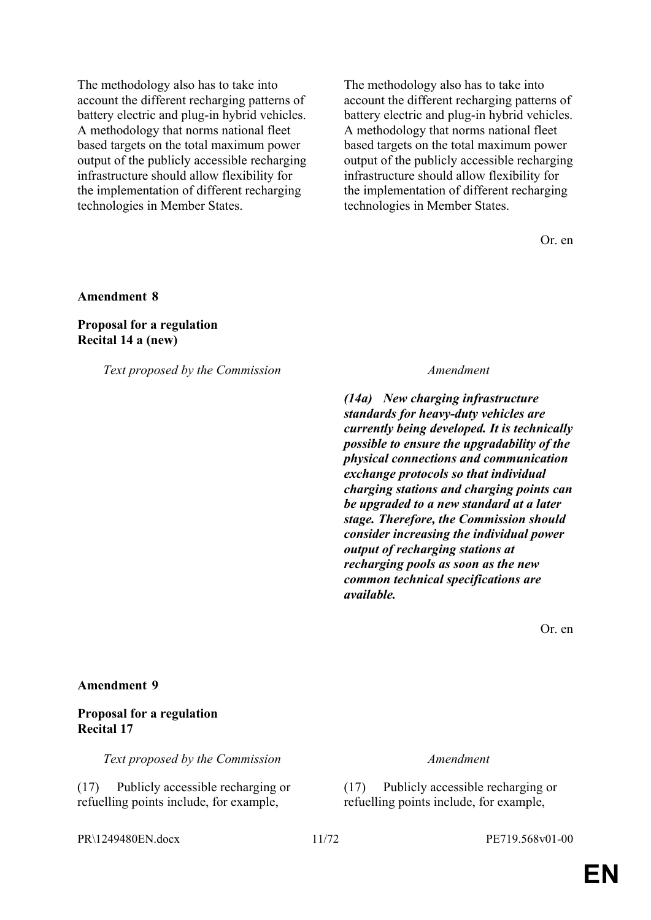The methodology also has to take into account the different recharging patterns of battery electric and plug-in hybrid vehicles. A methodology that norms national fleet based targets on the total maximum power output of the publicly accessible recharging infrastructure should allow flexibility for the implementation of different recharging technologies in Member States.

The methodology also has to take into account the different recharging patterns of battery electric and plug-in hybrid vehicles. A methodology that norms national fleet based targets on the total maximum power output of the publicly accessible recharging infrastructure should allow flexibility for the implementation of different recharging technologies in Member States.

Or. en

#### **Amendment 8**

#### **Proposal for a regulation Recital 14 a (new)**

*Text proposed by the Commission Amendment*

*(14a) New charging infrastructure standards for heavy-duty vehicles are currently being developed. It is technically possible to ensure the upgradability of the physical connections and communication exchange protocols so that individual charging stations and charging points can be upgraded to a new standard at a later stage. Therefore, the Commission should consider increasing the individual power output of recharging stations at recharging pools as soon as the new common technical specifications are available.*

Or. en

#### **Amendment 9**

#### **Proposal for a regulation Recital 17**

*Text proposed by the Commission Amendment*

(17) Publicly accessible recharging or refuelling points include, for example,

(17) Publicly accessible recharging or refuelling points include, for example,

PR\1249480EN.docx 11/72 PE719.568v01-00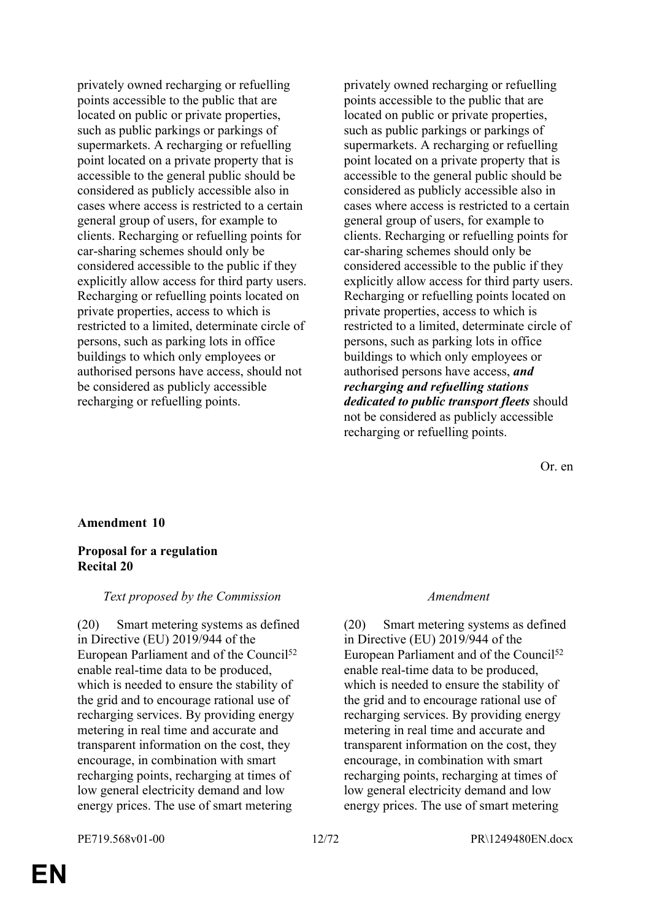privately owned recharging or refuelling points accessible to the public that are located on public or private properties, such as public parkings or parkings of supermarkets. A recharging or refuelling point located on a private property that is accessible to the general public should be considered as publicly accessible also in cases where access is restricted to a certain general group of users, for example to clients. Recharging or refuelling points for car-sharing schemes should only be considered accessible to the public if they explicitly allow access for third party users. Recharging or refuelling points located on private properties, access to which is restricted to a limited, determinate circle of persons, such as parking lots in office buildings to which only employees or authorised persons have access, should not be considered as publicly accessible recharging or refuelling points.

privately owned recharging or refuelling points accessible to the public that are located on public or private properties, such as public parkings or parkings of supermarkets. A recharging or refuelling point located on a private property that is accessible to the general public should be considered as publicly accessible also in cases where access is restricted to a certain general group of users, for example to clients. Recharging or refuelling points for car-sharing schemes should only be considered accessible to the public if they explicitly allow access for third party users. Recharging or refuelling points located on private properties, access to which is restricted to a limited, determinate circle of persons, such as parking lots in office buildings to which only employees or authorised persons have access, *and recharging and refuelling stations dedicated to public transport fleets* should not be considered as publicly accessible recharging or refuelling points.

Or. en

### **Amendment 10**

### **Proposal for a regulation Recital 20**

### *Text proposed by the Commission Amendment*

(20) Smart metering systems as defined in Directive (EU) 2019/944 of the European Parliament and of the Council<sup>52</sup> enable real-time data to be produced, which is needed to ensure the stability of the grid and to encourage rational use of recharging services. By providing energy metering in real time and accurate and transparent information on the cost, they encourage, in combination with smart recharging points, recharging at times of low general electricity demand and low energy prices. The use of smart metering

(20) Smart metering systems as defined in Directive (EU) 2019/944 of the European Parliament and of the Council<sup>52</sup> enable real-time data to be produced, which is needed to ensure the stability of the grid and to encourage rational use of recharging services. By providing energy metering in real time and accurate and transparent information on the cost, they encourage, in combination with smart recharging points, recharging at times of low general electricity demand and low energy prices. The use of smart metering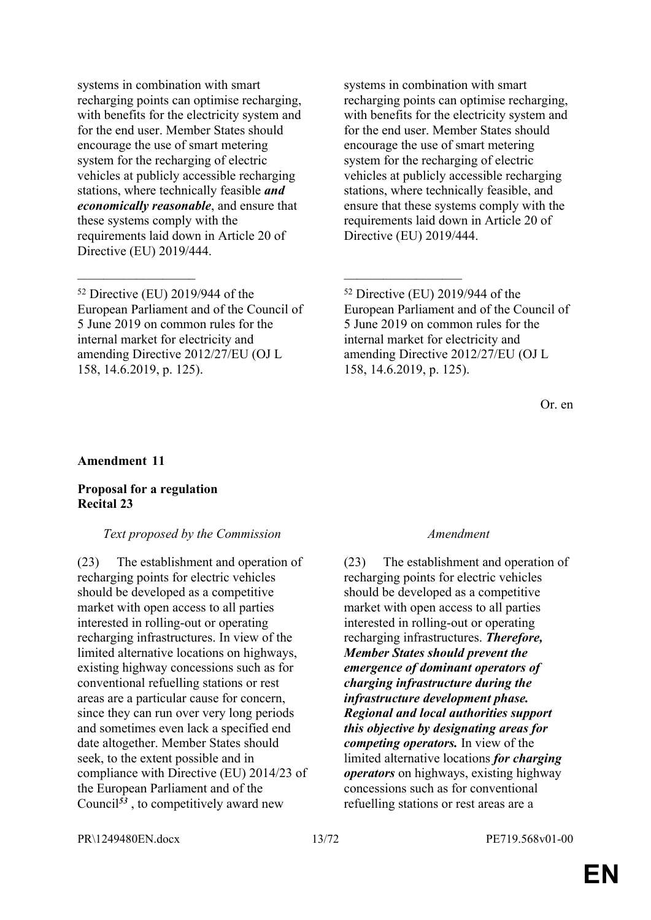systems in combination with smart recharging points can optimise recharging, with benefits for the electricity system and for the end user. Member States should encourage the use of smart metering system for the recharging of electric vehicles at publicly accessible recharging stations, where technically feasible *and economically reasonable*, and ensure that these systems comply with the requirements laid down in Article 20 of Directive (EU) 2019/444.

 $\mathcal{L}_\text{max}$  , and the contract of the contract of the contract of the contract of the contract of the contract of

systems in combination with smart recharging points can optimise recharging, with benefits for the electricity system and for the end user. Member States should encourage the use of smart metering system for the recharging of electric vehicles at publicly accessible recharging stations, where technically feasible, and ensure that these systems comply with the requirements laid down in Article 20 of Directive (EU) 2019/444.

Or. en

#### **Amendment 11**

#### **Proposal for a regulation Recital 23**

#### *Text proposed by the Commission Amendment*

(23) The establishment and operation of recharging points for electric vehicles should be developed as a competitive market with open access to all parties interested in rolling-out or operating recharging infrastructures. In view of the limited alternative locations on highways, existing highway concessions such as for conventional refuelling stations or rest areas are a particular cause for concern, since they can run over very long periods and sometimes even lack a specified end date altogether. Member States should seek, to the extent possible and in compliance with Directive (EU) 2014/23 of the European Parliament and of the Council<sup>53</sup>, to competitively award new

(23) The establishment and operation of recharging points for electric vehicles should be developed as a competitive market with open access to all parties interested in rolling-out or operating recharging infrastructures. *Therefore, Member States should prevent the emergence of dominant operators of charging infrastructure during the infrastructure development phase. Regional and local authorities support this objective by designating areas for competing operators.* In view of the limited alternative locations *for charging operators* on highways, existing highway concessions such as for conventional refuelling stations or rest areas are a

PR\1249480EN.docx 13/72 PE719.568v01-00

<sup>52</sup> Directive (EU) 2019/944 of the European Parliament and of the Council of 5 June 2019 on common rules for the internal market for electricity and amending Directive 2012/27/EU (OJ L 158, 14.6.2019, p. 125).

<sup>52</sup> Directive (EU) 2019/944 of the European Parliament and of the Council of 5 June 2019 on common rules for the internal market for electricity and amending Directive 2012/27/EU (OJ L 158, 14.6.2019, p. 125).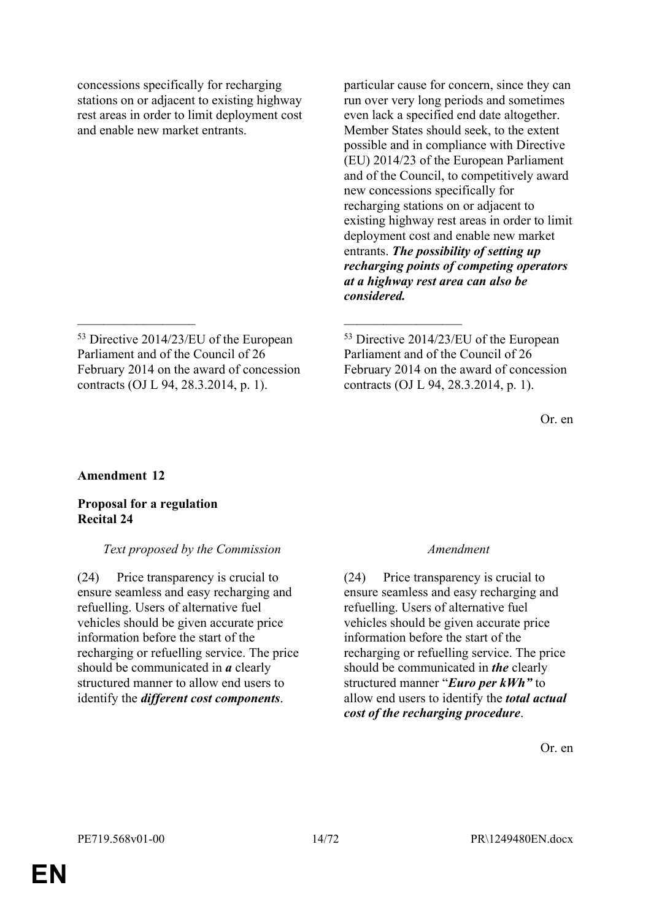concessions specifically for recharging stations on or adjacent to existing highway rest areas in order to limit deployment cost and enable new market entrants.

particular cause for concern, since they can run over very long periods and sometimes even lack a specified end date altogether. Member States should seek, to the extent possible and in compliance with Directive (EU) 2014/23 of the European Parliament and of the Council, to competitively award new concessions specifically for recharging stations on or adjacent to existing highway rest areas in order to limit deployment cost and enable new market entrants. *The possibility of setting up recharging points of competing operators at a highway rest area can also be considered.*

 $\mathcal{L}_\text{max}$  , and the contract of the contract of the contract of the contract of the contract of the contract of

<sup>53</sup> Directive 2014/23/EU of the European Parliament and of the Council of 26 February 2014 on the award of concession contracts (OJ L 94, 28.3.2014, p. 1).

Or. en

### **Amendment 12**

### **Proposal for a regulation Recital 24**

### *Text proposed by the Commission Amendment*

(24) Price transparency is crucial to ensure seamless and easy recharging and refuelling. Users of alternative fuel vehicles should be given accurate price information before the start of the recharging or refuelling service. The price should be communicated in *a* clearly structured manner to allow end users to identify the *different cost components*.

(24) Price transparency is crucial to ensure seamless and easy recharging and refuelling. Users of alternative fuel vehicles should be given accurate price information before the start of the recharging or refuelling service. The price should be communicated in *the* clearly structured manner "*Euro per kWh"* to allow end users to identify the *total actual cost of the recharging procedure*.

Or. en

<sup>53</sup> Directive 2014/23/EU of the European Parliament and of the Council of 26 February 2014 on the award of concession contracts (OJ L 94, 28.3.2014, p. 1).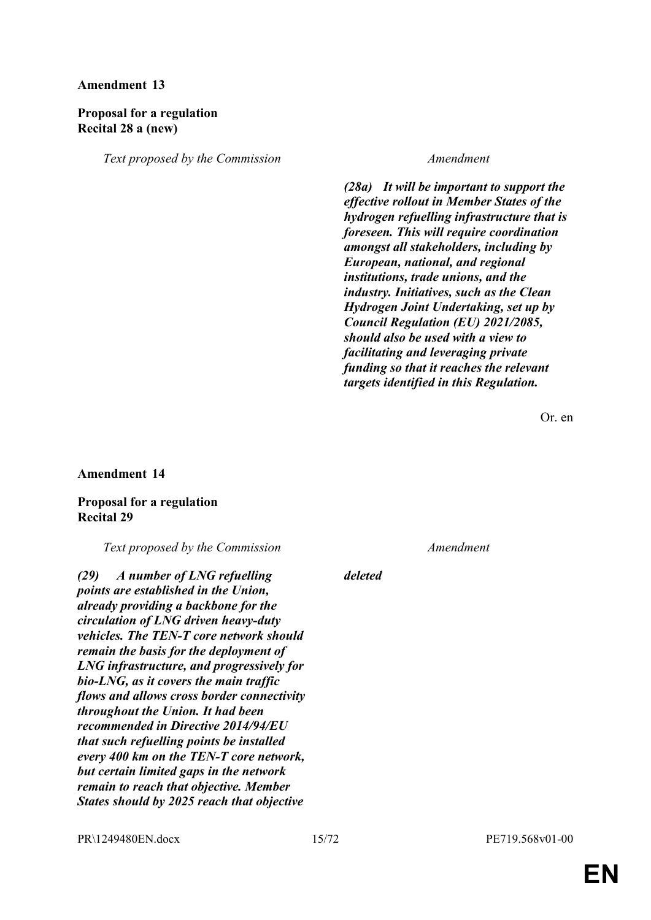### **Amendment 13**

### **Proposal for a regulation Recital 28 a (new)**

*Text proposed by the Commission Amendment*

*(28a) It will be important to support the effective rollout in Member States of the hydrogen refuelling infrastructure that is foreseen. This will require coordination amongst all stakeholders, including by European, national, and regional institutions, trade unions, and the industry. Initiatives, such as the Clean Hydrogen Joint Undertaking, set up by Council Regulation (EU) 2021/2085, should also be used with a view to facilitating and leveraging private funding so that it reaches the relevant targets identified in this Regulation.*

Or. en

#### **Amendment 14**

#### **Proposal for a regulation Recital 29**

*Text proposed by the Commission Amendment*

*(29) A number of LNG refuelling points are established in the Union, already providing a backbone for the circulation of LNG driven heavy-duty vehicles. The TEN-T core network should remain the basis for the deployment of LNG infrastructure, and progressively for bio-LNG, as it covers the main traffic flows and allows cross border connectivity throughout the Union. It had been recommended in Directive 2014/94/EU that such refuelling points be installed every 400 km on the TEN-T core network, but certain limited gaps in the network remain to reach that objective. Member States should by 2025 reach that objective* 

*deleted*

PR\1249480EN.docx 15/72 PE719.568v01-00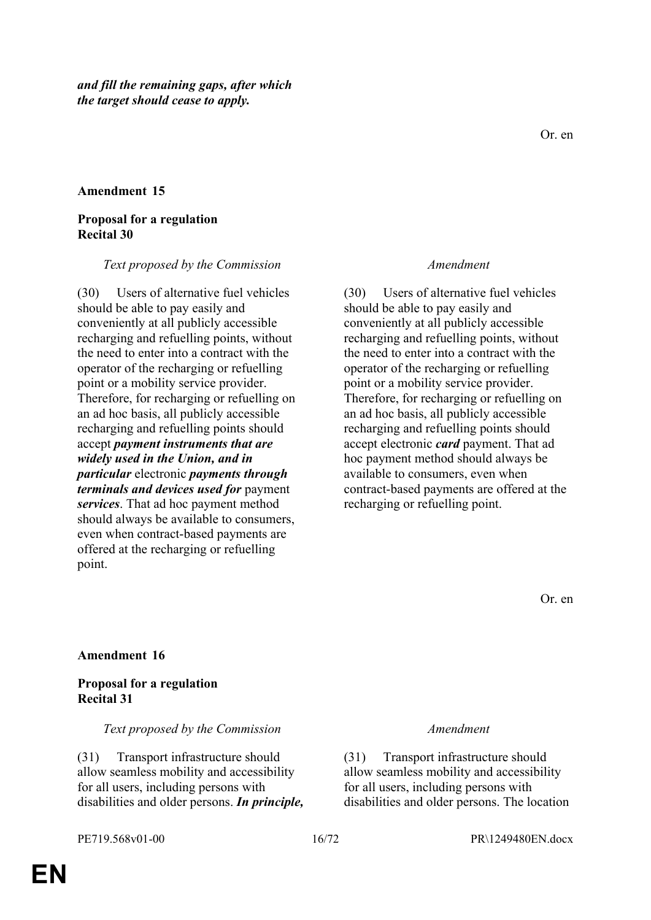#### **Amendment 15**

#### **Proposal for a regulation Recital 30**

#### *Text proposed by the Commission Amendment*

(30) Users of alternative fuel vehicles should be able to pay easily and conveniently at all publicly accessible recharging and refuelling points, without the need to enter into a contract with the operator of the recharging or refuelling point or a mobility service provider. Therefore, for recharging or refuelling on an ad hoc basis, all publicly accessible recharging and refuelling points should accept *payment instruments that are widely used in the Union, and in particular* electronic *payments through terminals and devices used for* payment *services*. That ad hoc payment method should always be available to consumers, even when contract-based payments are offered at the recharging or refuelling point.

(30) Users of alternative fuel vehicles should be able to pay easily and conveniently at all publicly accessible recharging and refuelling points, without the need to enter into a contract with the operator of the recharging or refuelling point or a mobility service provider. Therefore, for recharging or refuelling on an ad hoc basis, all publicly accessible recharging and refuelling points should accept electronic *card* payment. That ad hoc payment method should always be available to consumers, even when contract-based payments are offered at the recharging or refuelling point.

Or. en

### **Amendment 16**

### **Proposal for a regulation Recital 31**

#### *Text proposed by the Commission Amendment*

(31) Transport infrastructure should allow seamless mobility and accessibility for all users, including persons with disabilities and older persons. *In principle,*

(31) Transport infrastructure should allow seamless mobility and accessibility for all users, including persons with disabilities and older persons. The location

**EN**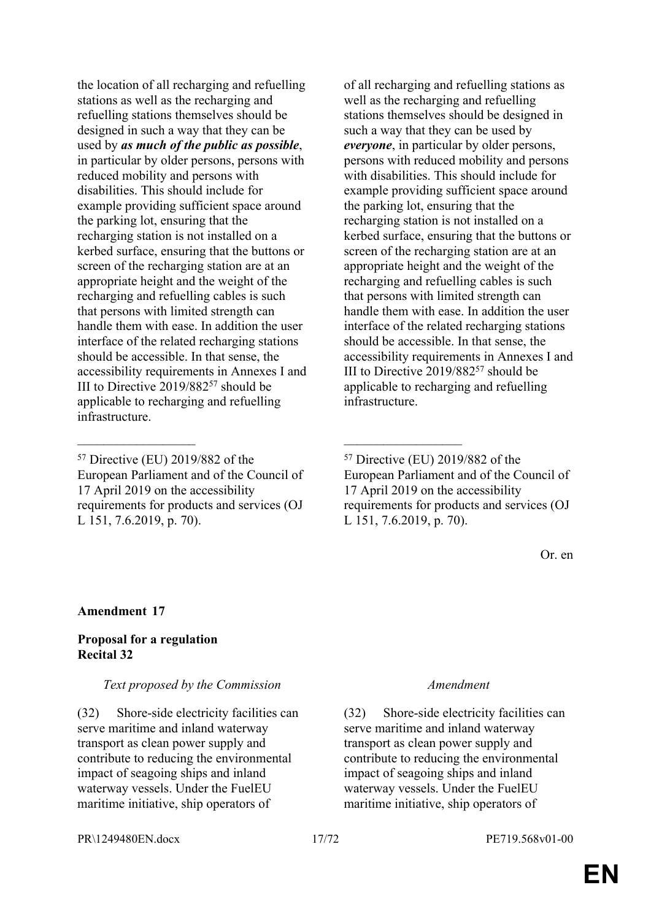the location of all recharging and refuelling stations as well as the recharging and refuelling stations themselves should be designed in such a way that they can be used by *as much of the public as possible*, in particular by older persons, persons with reduced mobility and persons with disabilities. This should include for example providing sufficient space around the parking lot, ensuring that the recharging station is not installed on a kerbed surface, ensuring that the buttons or screen of the recharging station are at an appropriate height and the weight of the recharging and refuelling cables is such that persons with limited strength can handle them with ease. In addition the user interface of the related recharging stations should be accessible. In that sense, the accessibility requirements in Annexes I and III to Directive 2019/882<sup>57</sup> should be applicable to recharging and refuelling infrastructure.

 $\mathcal{L}_\text{max}$  , and the contract of the contract of the contract of the contract of the contract of the contract of

of all recharging and refuelling stations as well as the recharging and refuelling stations themselves should be designed in such a way that they can be used by *everyone*, in particular by older persons, persons with reduced mobility and persons with disabilities. This should include for example providing sufficient space around the parking lot, ensuring that the recharging station is not installed on a kerbed surface, ensuring that the buttons or screen of the recharging station are at an appropriate height and the weight of the recharging and refuelling cables is such that persons with limited strength can handle them with ease. In addition the user interface of the related recharging stations should be accessible. In that sense, the accessibility requirements in Annexes I and III to Directive 2019/882<sup>57</sup> should be applicable to recharging and refuelling **infrastructure** 

Or. en

### **Amendment 17**

### **Proposal for a regulation Recital 32**

### *Text proposed by the Commission Amendment*

(32) Shore-side electricity facilities can serve maritime and inland waterway transport as clean power supply and contribute to reducing the environmental impact of seagoing ships and inland waterway vessels. Under the FuelEU maritime initiative, ship operators of

(32) Shore-side electricity facilities can serve maritime and inland waterway transport as clean power supply and contribute to reducing the environmental impact of seagoing ships and inland waterway vessels. Under the FuelEU maritime initiative, ship operators of

<sup>57</sup> Directive (EU) 2019/882 of the European Parliament and of the Council of 17 April 2019 on the accessibility requirements for products and services (OJ L 151, 7.6.2019, p. 70).

<sup>57</sup> Directive (EU) 2019/882 of the European Parliament and of the Council of 17 April 2019 on the accessibility requirements for products and services (OJ L 151, 7.6.2019, p. 70).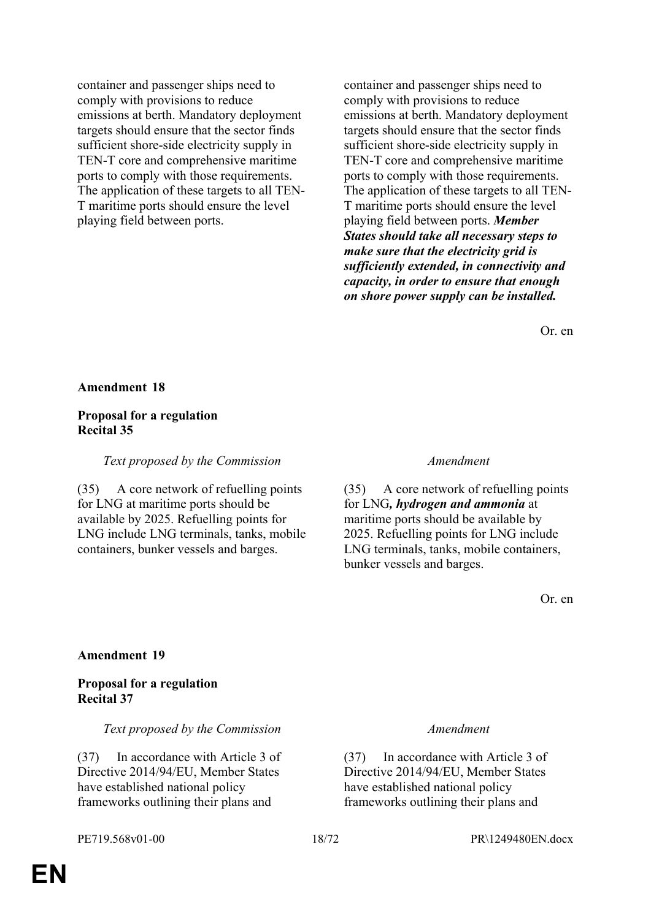container and passenger ships need to comply with provisions to reduce emissions at berth. Mandatory deployment targets should ensure that the sector finds sufficient shore-side electricity supply in TEN-T core and comprehensive maritime ports to comply with those requirements. The application of these targets to all TEN-T maritime ports should ensure the level playing field between ports.

container and passenger ships need to comply with provisions to reduce emissions at berth. Mandatory deployment targets should ensure that the sector finds sufficient shore-side electricity supply in TEN-T core and comprehensive maritime ports to comply with those requirements. The application of these targets to all TEN-T maritime ports should ensure the level playing field between ports. *Member States should take all necessary steps to make sure that the electricity grid is sufficiently extended, in connectivity and capacity, in order to ensure that enough on shore power supply can be installed.*

Or. en

#### **Amendment 18**

### **Proposal for a regulation Recital 35**

*Text proposed by the Commission Amendment*

(35) A core network of refuelling points for LNG at maritime ports should be available by 2025. Refuelling points for LNG include LNG terminals, tanks, mobile containers, bunker vessels and barges.

(35) A core network of refuelling points for LNG*, hydrogen and ammonia* at maritime ports should be available by 2025. Refuelling points for LNG include LNG terminals, tanks, mobile containers, bunker vessels and barges.

Or. en

### **Amendment 19**

#### **Proposal for a regulation Recital 37**

*Text proposed by the Commission Amendment*

(37) In accordance with Article 3 of Directive 2014/94/EU, Member States have established national policy frameworks outlining their plans and

(37) In accordance with Article 3 of Directive 2014/94/EU, Member States have established national policy frameworks outlining their plans and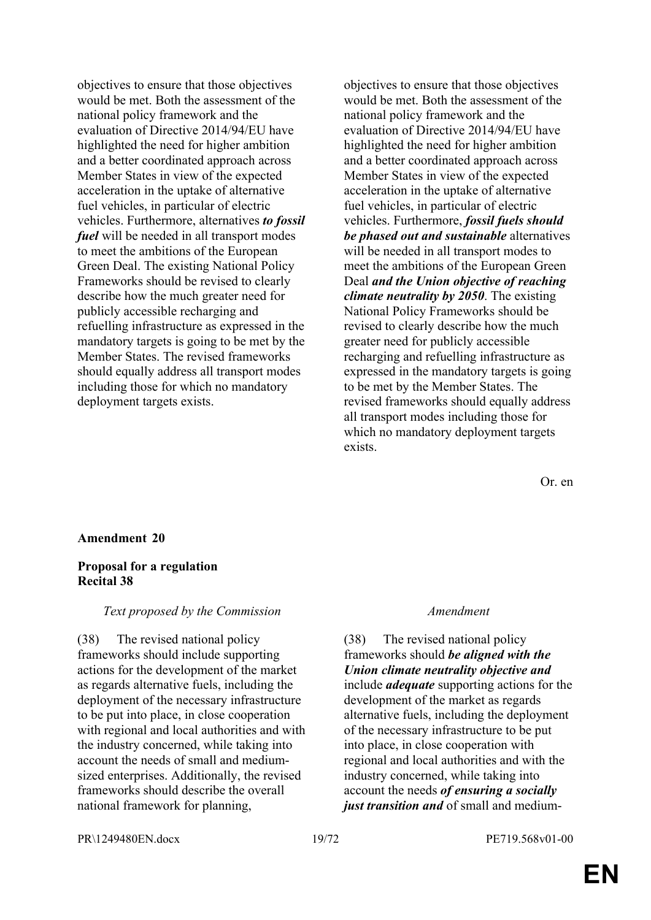objectives to ensure that those objectives would be met. Both the assessment of the national policy framework and the evaluation of Directive 2014/94/EU have highlighted the need for higher ambition and a better coordinated approach across Member States in view of the expected acceleration in the uptake of alternative fuel vehicles, in particular of electric vehicles. Furthermore, alternatives *to fossil fuel* will be needed in all transport modes to meet the ambitions of the European Green Deal. The existing National Policy Frameworks should be revised to clearly describe how the much greater need for publicly accessible recharging and refuelling infrastructure as expressed in the mandatory targets is going to be met by the Member States. The revised frameworks should equally address all transport modes including those for which no mandatory deployment targets exists.

objectives to ensure that those objectives would be met. Both the assessment of the national policy framework and the evaluation of Directive 2014/94/EU have highlighted the need for higher ambition and a better coordinated approach across Member States in view of the expected acceleration in the uptake of alternative fuel vehicles, in particular of electric vehicles. Furthermore, *fossil fuels should be phased out and sustainable* alternatives will be needed in all transport modes to meet the ambitions of the European Green Deal *and the Union objective of reaching climate neutrality by 2050*. The existing National Policy Frameworks should be revised to clearly describe how the much greater need for publicly accessible recharging and refuelling infrastructure as expressed in the mandatory targets is going to be met by the Member States. The revised frameworks should equally address all transport modes including those for which no mandatory deployment targets exists.

Or. en

#### **Amendment 20**

#### **Proposal for a regulation Recital 38**

#### *Text proposed by the Commission Amendment*

(38) The revised national policy frameworks should include supporting actions for the development of the market as regards alternative fuels, including the deployment of the necessary infrastructure to be put into place, in close cooperation with regional and local authorities and with the industry concerned, while taking into account the needs of small and mediumsized enterprises. Additionally, the revised frameworks should describe the overall national framework for planning,

(38) The revised national policy frameworks should *be aligned with the Union climate neutrality objective and*  include *adequate* supporting actions for the development of the market as regards alternative fuels, including the deployment of the necessary infrastructure to be put into place, in close cooperation with regional and local authorities and with the industry concerned, while taking into account the needs *of ensuring a socially just transition and* of small and medium-

PR\1249480EN.docx 19/72 PE719.568v01-00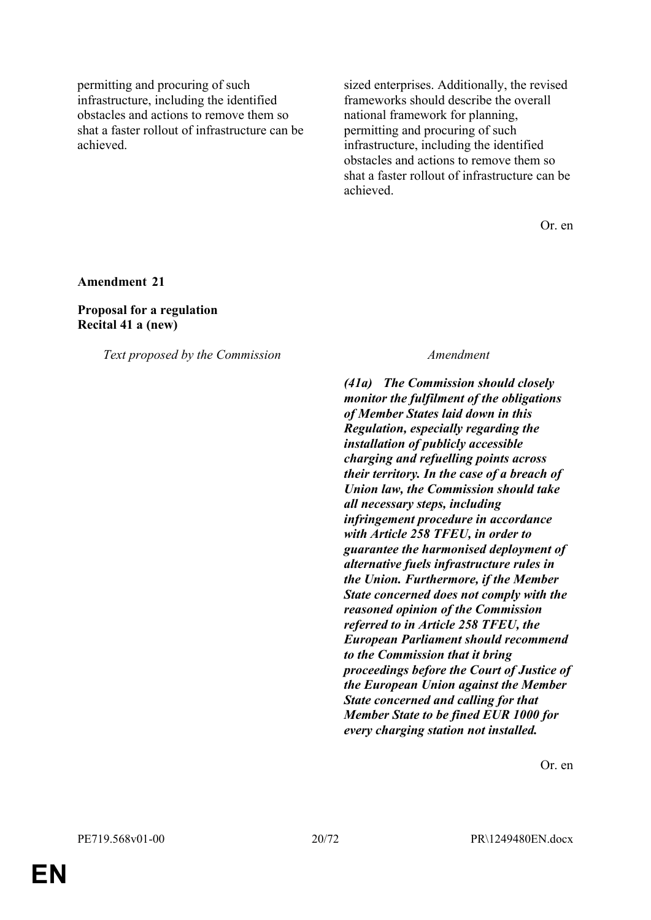permitting and procuring of such infrastructure, including the identified obstacles and actions to remove them so shat a faster rollout of infrastructure can be achieved.

sized enterprises. Additionally, the revised frameworks should describe the overall national framework for planning, permitting and procuring of such infrastructure, including the identified obstacles and actions to remove them so shat a faster rollout of infrastructure can be achieved.

Or. en

**Amendment 21**

**Proposal for a regulation Recital 41 a (new)**

*Text proposed by the Commission Amendment*

*(41a) The Commission should closely monitor the fulfilment of the obligations of Member States laid down in this Regulation, especially regarding the installation of publicly accessible charging and refuelling points across their territory. In the case of a breach of Union law, the Commission should take all necessary steps, including infringement procedure in accordance with Article 258 TFEU, in order to guarantee the harmonised deployment of alternative fuels infrastructure rules in the Union. Furthermore, if the Member State concerned does not comply with the reasoned opinion of the Commission referred to in Article 258 TFEU, the European Parliament should recommend to the Commission that it bring proceedings before the Court of Justice of the European Union against the Member State concerned and calling for that Member State to be fined EUR 1000 for every charging station not installed.*

Or. en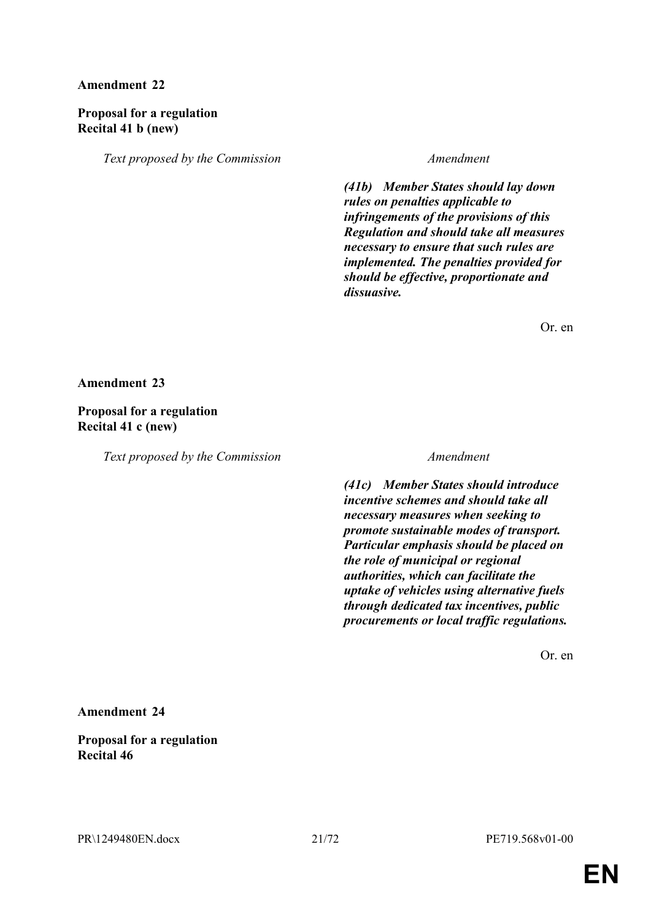### **Amendment 22**

### **Proposal for a regulation Recital 41 b (new)**

*Text proposed by the Commission Amendment*

*(41b) Member States should lay down rules on penalties applicable to infringements of the provisions of this Regulation and should take all measures necessary to ensure that such rules are implemented. The penalties provided for should be effective, proportionate and dissuasive.*

Or. en

**Amendment 23**

**Proposal for a regulation Recital 41 c (new)**

*Text proposed by the Commission Amendment*

*(41c) Member States should introduce incentive schemes and should take all necessary measures when seeking to promote sustainable modes of transport. Particular emphasis should be placed on the role of municipal or regional authorities, which can facilitate the uptake of vehicles using alternative fuels through dedicated tax incentives, public procurements or local traffic regulations.*

Or. en

**Amendment 24**

**Proposal for a regulation Recital 46**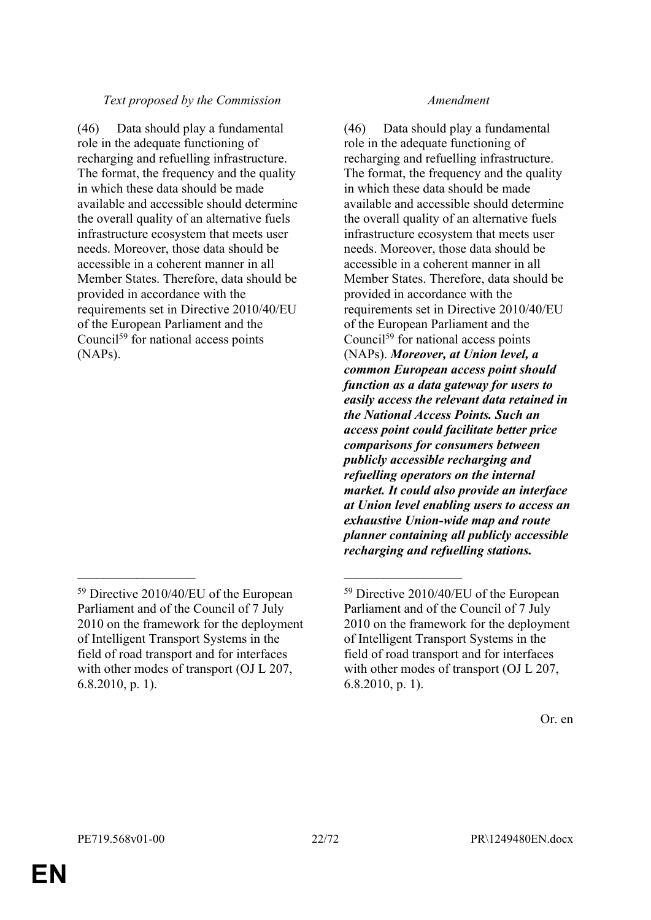### *Text proposed by the Commission Amendment*

(46) Data should play a fundamental role in the adequate functioning of recharging and refuelling infrastructure. The format, the frequency and the quality in which these data should be made available and accessible should determine the overall quality of an alternative fuels infrastructure ecosystem that meets user needs. Moreover, those data should be accessible in a coherent manner in all Member States. Therefore, data should be provided in accordance with the requirements set in Directive 2010/40/EU of the European Parliament and the Council<sup>59</sup> for national access points (NAPs).

 $\mathcal{L}_\text{max}$  , and the contract of the contract of the contract of the contract of the contract of the contract of

(46) Data should play a fundamental role in the adequate functioning of recharging and refuelling infrastructure. The format, the frequency and the quality in which these data should be made available and accessible should determine the overall quality of an alternative fuels infrastructure ecosystem that meets user needs. Moreover, those data should be accessible in a coherent manner in all Member States. Therefore, data should be provided in accordance with the requirements set in Directive 2010/40/EU of the European Parliament and the Council<sup>59</sup> for national access points (NAPs). *Moreover, at Union level, a common European access point should function as a data gateway for users to easily access the relevant data retained in the National Access Points. Such an access point could facilitate better price comparisons for consumers between publicly accessible recharging and refuelling operators on the internal market. It could also provide an interface at Union level enabling users to access an exhaustive Union-wide map and route planner containing all publicly accessible recharging and refuelling stations.*

<sup>59</sup> Directive 2010/40/EU of the European Parliament and of the Council of 7 July 2010 on the framework for the deployment of Intelligent Transport Systems in the field of road transport and for interfaces with other modes of transport (OJ L 207, 6.8.2010, p. 1).

<sup>59</sup> Directive 2010/40/EU of the European Parliament and of the Council of 7 July 2010 on the framework for the deployment of Intelligent Transport Systems in the field of road transport and for interfaces with other modes of transport (OJ L 207, 6.8.2010, p. 1).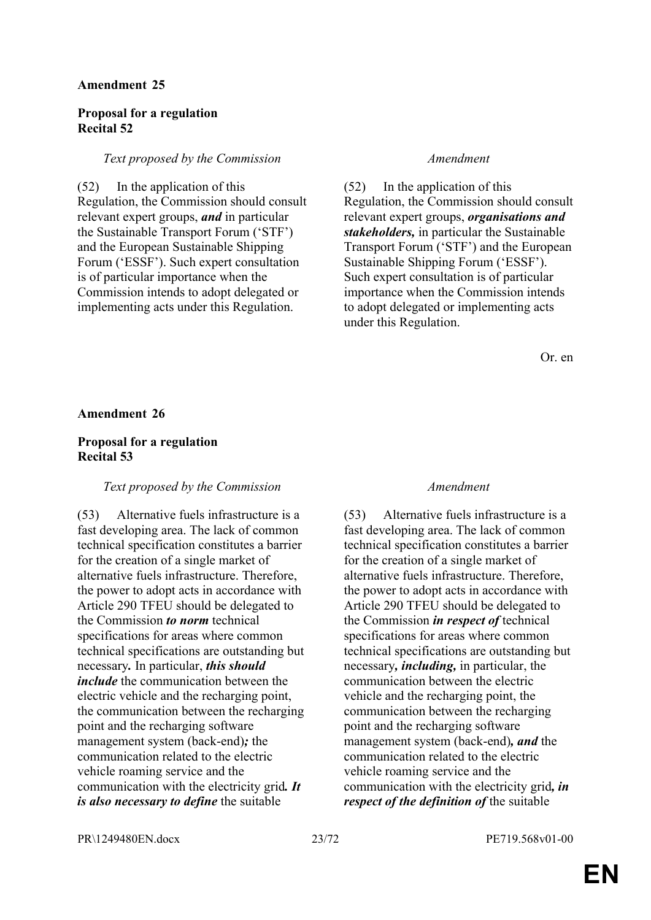#### **Amendment 25**

### **Proposal for a regulation Recital 52**

#### *Text proposed by the Commission Amendment*

(52) In the application of this Regulation, the Commission should consult relevant expert groups, *and* in particular the Sustainable Transport Forum ('STF') and the European Sustainable Shipping Forum ('ESSF'). Such expert consultation is of particular importance when the Commission intends to adopt delegated or implementing acts under this Regulation.

(52) In the application of this Regulation, the Commission should consult relevant expert groups, *organisations and stakeholders,* in particular the Sustainable Transport Forum ('STF') and the European Sustainable Shipping Forum ('ESSF'). Such expert consultation is of particular importance when the Commission intends to adopt delegated or implementing acts under this Regulation.

Or. en

#### **Amendment 26**

#### **Proposal for a regulation Recital 53**

#### *Text proposed by the Commission Amendment*

(53) Alternative fuels infrastructure is a fast developing area. The lack of common technical specification constitutes a barrier for the creation of a single market of alternative fuels infrastructure. Therefore, the power to adopt acts in accordance with Article 290 TFEU should be delegated to the Commission *to norm* technical specifications for areas where common technical specifications are outstanding but necessary*.* In particular, *this should include* the communication between the electric vehicle and the recharging point, the communication between the recharging point and the recharging software management system (back-end)*;* the communication related to the electric vehicle roaming service and the communication with the electricity grid*. It is also necessary to define* the suitable

(53) Alternative fuels infrastructure is a fast developing area. The lack of common technical specification constitutes a barrier for the creation of a single market of alternative fuels infrastructure. Therefore, the power to adopt acts in accordance with Article 290 TFEU should be delegated to the Commission *in respect of* technical specifications for areas where common technical specifications are outstanding but necessary*, including,* in particular, the communication between the electric vehicle and the recharging point, the communication between the recharging point and the recharging software management system (back-end)*, and* the communication related to the electric vehicle roaming service and the communication with the electricity grid*, in respect of the definition of* the suitable

PR\1249480EN.docx 23/72 PE719.568v01-00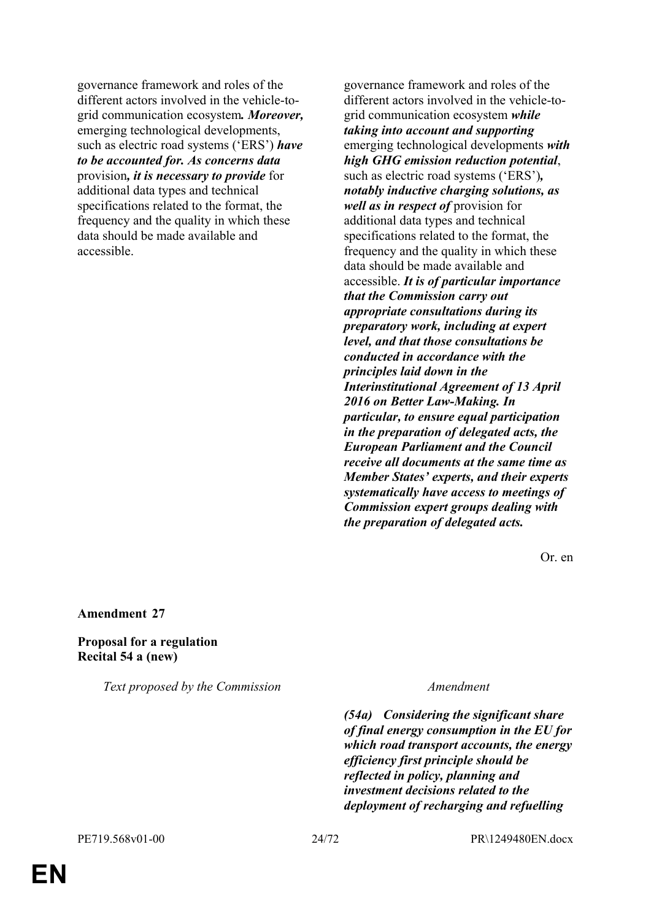governance framework and roles of the different actors involved in the vehicle-togrid communication ecosystem*. Moreover,* emerging technological developments, such as electric road systems ('ERS') *have to be accounted for. As concerns data* provision*, it is necessary to provide* for additional data types and technical specifications related to the format, the frequency and the quality in which these data should be made available and accessible.

governance framework and roles of the different actors involved in the vehicle-togrid communication ecosystem *while taking into account and supporting* emerging technological developments *with high GHG emission reduction potential*, such as electric road systems ('ERS')*, notably inductive charging solutions, as well as in respect of* provision for additional data types and technical specifications related to the format, the frequency and the quality in which these data should be made available and accessible. *It is of particular importance that the Commission carry out appropriate consultations during its preparatory work, including at expert level, and that those consultations be conducted in accordance with the principles laid down in the Interinstitutional Agreement of 13 April 2016 on Better Law-Making. In particular, to ensure equal participation in the preparation of delegated acts, the European Parliament and the Council receive all documents at the same time as Member States' experts, and their experts systematically have access to meetings of Commission expert groups dealing with the preparation of delegated acts.*

Or. en

**Amendment 27**

### **Proposal for a regulation Recital 54 a (new)**

*Text proposed by the Commission Amendment*

*(54a) Considering the significant share of final energy consumption in the EU for which road transport accounts, the energy efficiency first principle should be reflected in policy, planning and investment decisions related to the deployment of recharging and refuelling*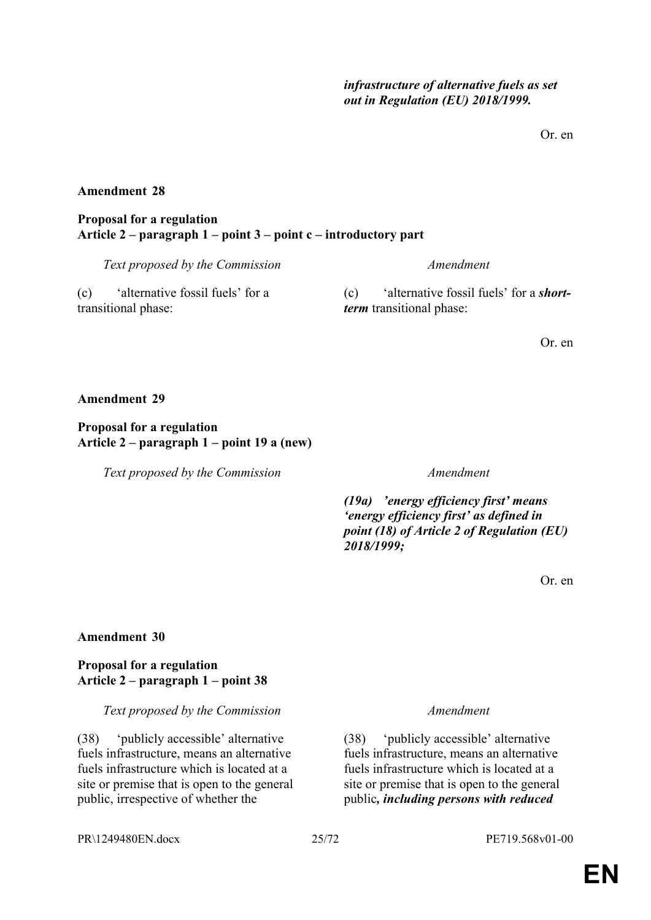Or. en

### **Amendment 28**

### **Proposal for a regulation Article 2 – paragraph 1 – point 3 – point c – introductory part**

*Text proposed by the Commission Amendment*

(c) 'alternative fossil fuels' for a transitional phase:

(c) 'alternative fossil fuels' for a *shortterm* transitional phase:

Or. en

### **Amendment 29**

**Proposal for a regulation Article 2 – paragraph 1 – point 19 a (new)**

*Text proposed by the Commission Amendment*

*(19a) 'energy efficiency first' means 'energy efficiency first' as defined in point (18) of Article 2 of Regulation (EU) 2018/1999;*

Or. en

### **Amendment 30**

### **Proposal for a regulation Article 2 – paragraph 1 – point 38**

*Text proposed by the Commission Amendment*

(38) 'publicly accessible' alternative fuels infrastructure, means an alternative fuels infrastructure which is located at a site or premise that is open to the general public, irrespective of whether the

(38) 'publicly accessible' alternative fuels infrastructure, means an alternative fuels infrastructure which is located at a site or premise that is open to the general public*, including persons with reduced*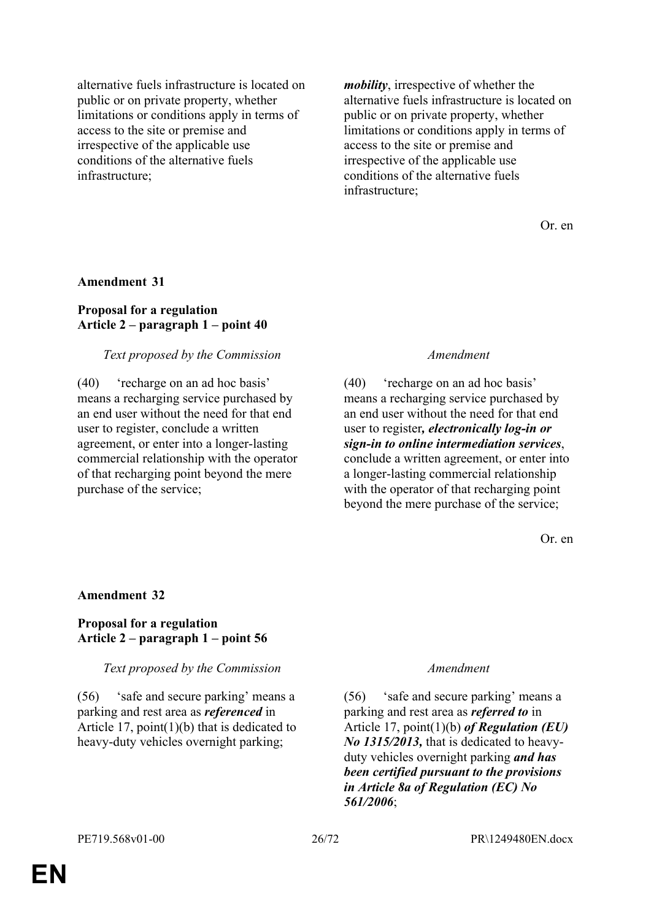alternative fuels infrastructure is located on public or on private property, whether limitations or conditions apply in terms of access to the site or premise and irrespective of the applicable use conditions of the alternative fuels infrastructure;

*mobility*, irrespective of whether the alternative fuels infrastructure is located on public or on private property, whether limitations or conditions apply in terms of access to the site or premise and irrespective of the applicable use conditions of the alternative fuels infrastructure;

Or. en

#### **Amendment 31**

### **Proposal for a regulation Article 2 – paragraph 1 – point 40**

#### *Text proposed by the Commission Amendment*

(40) 'recharge on an ad hoc basis' means a recharging service purchased by an end user without the need for that end user to register, conclude a written agreement, or enter into a longer-lasting commercial relationship with the operator of that recharging point beyond the mere purchase of the service;

(40) 'recharge on an ad hoc basis' means a recharging service purchased by an end user without the need for that end user to register*, electronically log-in or sign-in to online intermediation services*, conclude a written agreement, or enter into a longer-lasting commercial relationship with the operator of that recharging point beyond the mere purchase of the service;

Or. en

#### **Amendment 32**

### **Proposal for a regulation Article 2 – paragraph 1 – point 56**

*Text proposed by the Commission Amendment*

(56) 'safe and secure parking' means a parking and rest area as *referenced* in Article 17, point(1)(b) that is dedicated to heavy-duty vehicles overnight parking;

(56) 'safe and secure parking' means a parking and rest area as *referred to* in Article 17, point(1)(b) *of Regulation (EU) No 1315/2013,* that is dedicated to heavyduty vehicles overnight parking *and has been certified pursuant to the provisions in Article 8a of Regulation (EC) No 561/2006*;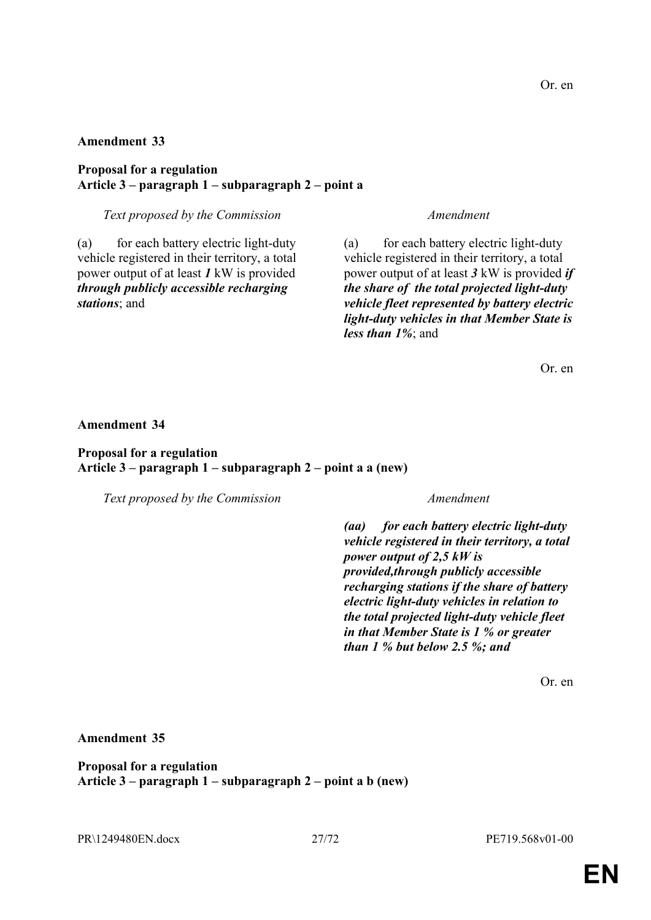Or. en

# **Amendment 33**

# **Proposal for a regulation Article 3 – paragraph 1 – subparagraph 2 – point a**

# *Text proposed by the Commission Amendment*

(a) for each battery electric light-duty vehicle registered in their territory, a total power output of at least *1* kW is provided *through publicly accessible recharging stations*; and

(a) for each battery electric light-duty vehicle registered in their territory, a total power output of at least *3* kW is provided *if the share of the total projected light-duty vehicle fleet represented by battery electric light-duty vehicles in that Member State is less than 1%*; and

Or. en

# **Amendment 34**

## **Proposal for a regulation Article 3 – paragraph 1 – subparagraph 2 – point a a (new)**

*Text proposed by the Commission Amendment*

*(aa) for each battery electric light-duty vehicle registered in their territory, a total power output of 2,5 kW is provided,through publicly accessible recharging stations if the share of battery electric light-duty vehicles in relation to the total projected light-duty vehicle fleet in that Member State is 1 % or greater than 1 % but below 2.5 %; and*

Or. en

# **Amendment 35**

**Proposal for a regulation Article 3 – paragraph 1 – subparagraph 2 – point a b (new)**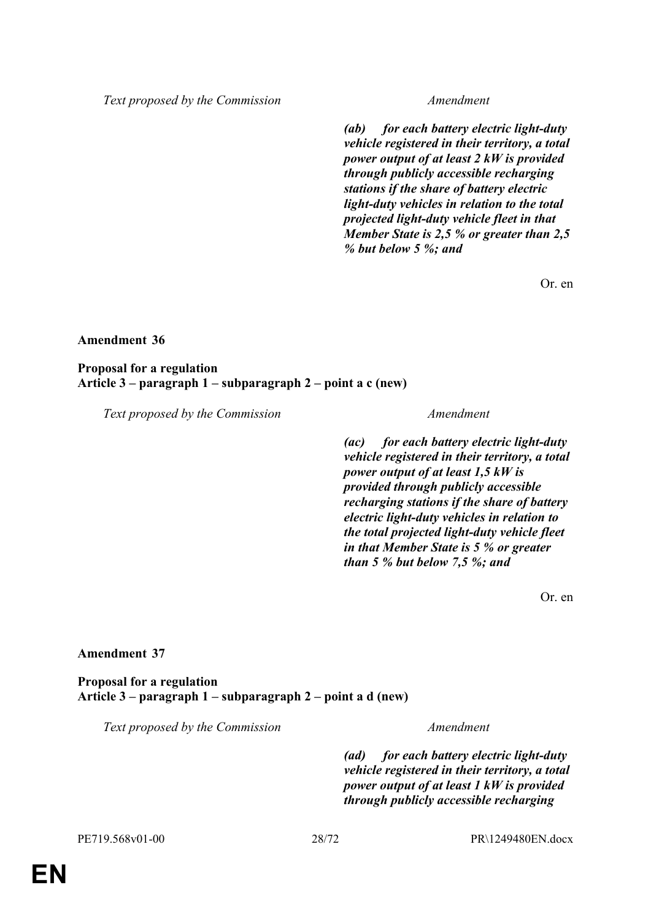*Text proposed by the Commission Amendment*

*(ab) for each battery electric light-duty vehicle registered in their territory, a total power output of at least 2 kW is provided through publicly accessible recharging stations if the share of battery electric light-duty vehicles in relation to the total projected light-duty vehicle fleet in that Member State is 2,5 % or greater than 2,5 % but below 5 %; and*

Or. en

#### **Amendment 36**

**Proposal for a regulation Article 3 – paragraph 1 – subparagraph 2 – point a c (new)**

*Text proposed by the Commission Amendment*

*(ac) for each battery electric light-duty vehicle registered in their territory, a total power output of at least 1,5 kW is provided through publicly accessible recharging stations if the share of battery electric light-duty vehicles in relation to the total projected light-duty vehicle fleet in that Member State is 5 % or greater than 5 % but below 7,5 %; and*

Or. en

#### **Amendment 37**

**Proposal for a regulation Article 3 – paragraph 1 – subparagraph 2 – point a d (new)**

*Text proposed by the Commission Amendment*

*(ad) for each battery electric light-duty vehicle registered in their territory, a total power output of at least 1 kW is provided through publicly accessible recharging*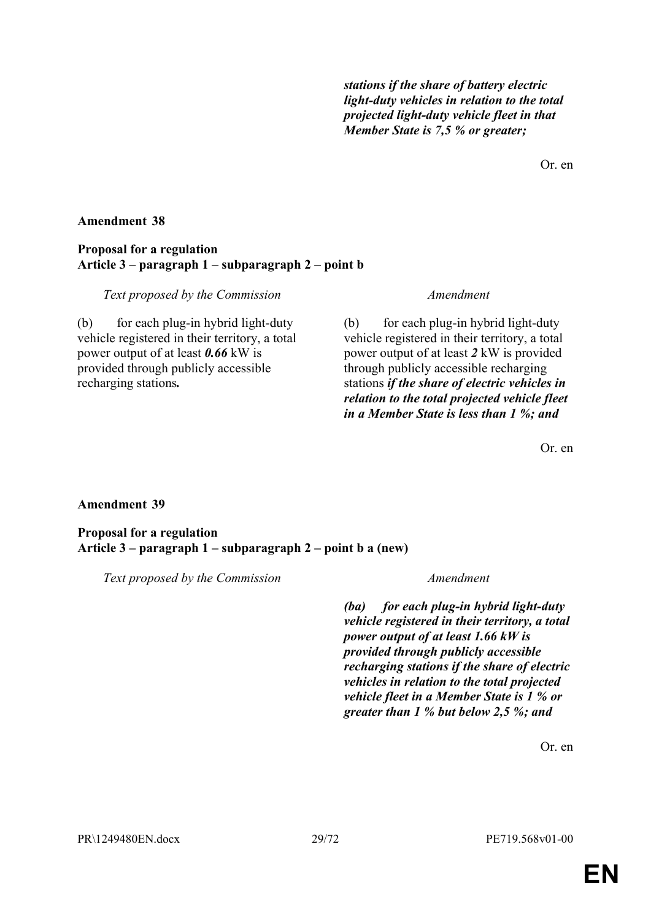*stations if the share of battery electric light-duty vehicles in relation to the total projected light-duty vehicle fleet in that Member State is 7,5 % or greater;*

Or. en

### **Amendment 38**

### **Proposal for a regulation Article 3 – paragraph 1 – subparagraph 2 – point b**

#### *Text proposed by the Commission Amendment*

(b) for each plug-in hybrid light-duty vehicle registered in their territory, a total power output of at least *0.66* kW is provided through publicly accessible recharging stations*.*

(b) for each plug-in hybrid light-duty vehicle registered in their territory, a total power output of at least *2* kW is provided through publicly accessible recharging stations *if the share of electric vehicles in relation to the total projected vehicle fleet in a Member State is less than 1 %; and*

Or. en

### **Amendment 39**

### **Proposal for a regulation Article 3 – paragraph 1 – subparagraph 2 – point b a (new)**

*Text proposed by the Commission Amendment*

*(ba) for each plug-in hybrid light-duty vehicle registered in their territory, a total power output of at least 1.66 kW is provided through publicly accessible recharging stations if the share of electric vehicles in relation to the total projected vehicle fleet in a Member State is 1 % or greater than 1 % but below 2,5 %; and*

Or. en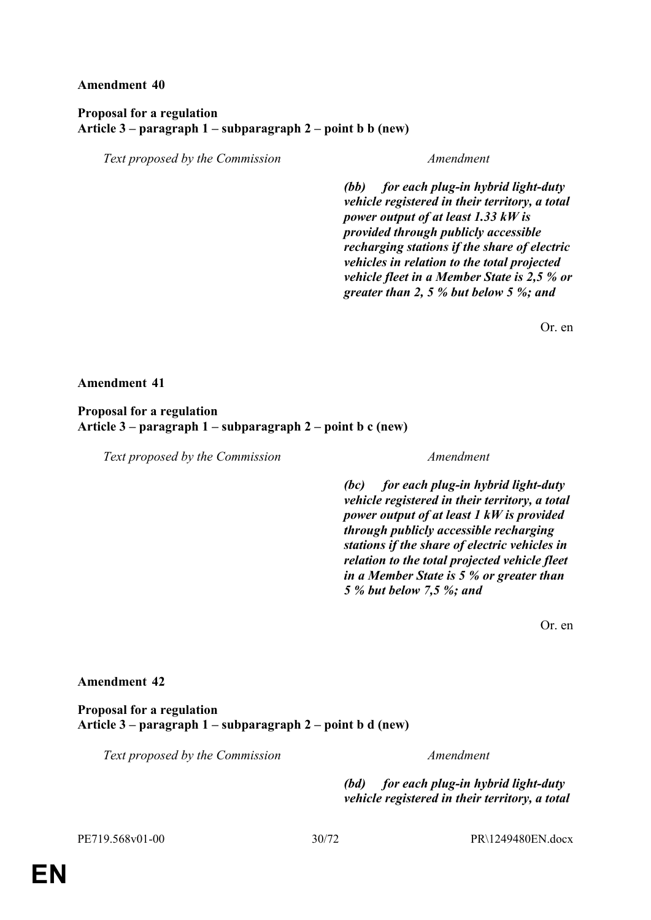### **Amendment 40**

### **Proposal for a regulation Article 3 – paragraph 1 – subparagraph 2 – point b b (new)**

*Text proposed by the Commission Amendment*

*(bb) for each plug-in hybrid light-duty vehicle registered in their territory, a total power output of at least 1.33 kW is provided through publicly accessible recharging stations if the share of electric vehicles in relation to the total projected vehicle fleet in a Member State is 2,5 % or greater than 2, 5 % but below 5 %; and*

Or. en

#### **Amendment 41**

### **Proposal for a regulation Article 3 – paragraph 1 – subparagraph 2 – point b c (new)**

*Text proposed by the Commission Amendment*

*(bc) for each plug-in hybrid light-duty vehicle registered in their territory, a total power output of at least 1 kW is provided through publicly accessible recharging stations if the share of electric vehicles in relation to the total projected vehicle fleet in a Member State is 5 % or greater than 5 % but below 7,5 %; and*

Or. en

### **Amendment 42**

#### **Proposal for a regulation Article 3 – paragraph 1 – subparagraph 2 – point b d (new)**

*Text proposed by the Commission Amendment*

*(bd) for each plug-in hybrid light-duty vehicle registered in their territory, a total*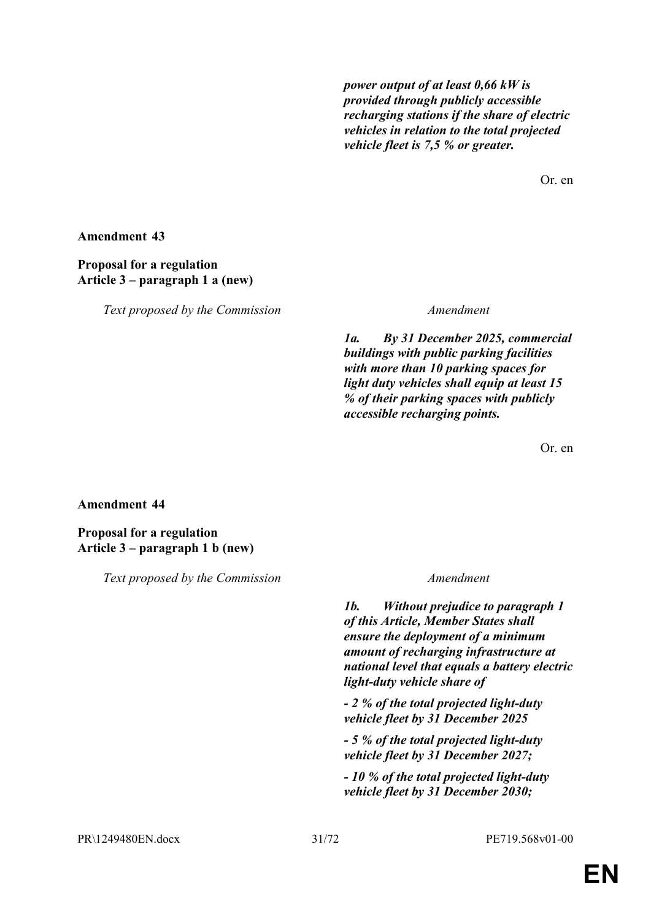*power output of at least 0,66 kW is provided through publicly accessible recharging stations if the share of electric vehicles in relation to the total projected vehicle fleet is 7,5 % or greater.*

Or. en

**Amendment 43**

### **Proposal for a regulation Article 3 – paragraph 1 a (new)**

*Text proposed by the Commission Amendment*

*1a. By 31 December 2025, commercial buildings with public parking facilities with more than 10 parking spaces for light duty vehicles shall equip at least 15 % of their parking spaces with publicly accessible recharging points.*

Or. en

**Amendment 44**

**Proposal for a regulation Article 3 – paragraph 1 b (new)**

*Text proposed by the Commission Amendment*

*1b. Without prejudice to paragraph 1 of this Article, Member States shall ensure the deployment of a minimum amount of recharging infrastructure at national level that equals a battery electric light-duty vehicle share of*

*- 2 % of the total projected light-duty vehicle fleet by 31 December 2025*

*- 5 % of the total projected light-duty vehicle fleet by 31 December 2027;*

*- 10 % of the total projected light-duty vehicle fleet by 31 December 2030;*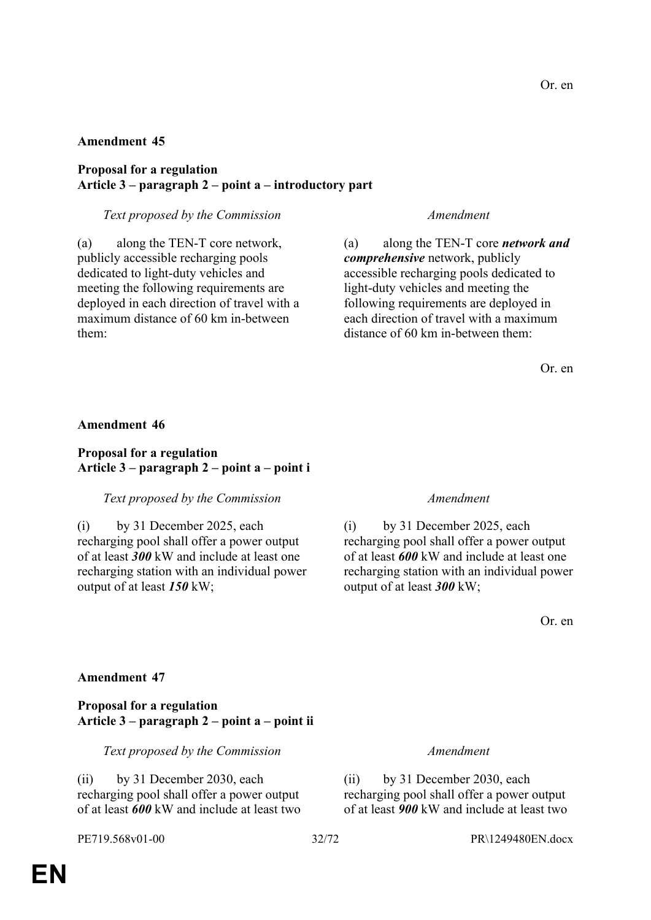### **Amendment 45**

### **Proposal for a regulation Article 3 – paragraph 2 – point a – introductory part**

### *Text proposed by the Commission Amendment*

(a) along the TEN-T core network, publicly accessible recharging pools dedicated to light-duty vehicles and meeting the following requirements are deployed in each direction of travel with a maximum distance of 60 km in-between them:

(a) along the TEN-T core *network and comprehensive* network, publicly accessible recharging pools dedicated to light-duty vehicles and meeting the following requirements are deployed in each direction of travel with a maximum distance of 60 km in-between them:

Or. en

### **Amendment 46**

### **Proposal for a regulation Article 3 – paragraph 2 – point a – point i**

### *Text proposed by the Commission Amendment*

(i) by 31 December 2025, each recharging pool shall offer a power output of at least *300* kW and include at least one recharging station with an individual power output of at least *150* kW;

(i) by 31 December 2025, each recharging pool shall offer a power output of at least *600* kW and include at least one recharging station with an individual power output of at least *300* kW;

Or. en

### **Amendment 47**

### **Proposal for a regulation Article 3 – paragraph 2 – point a – point ii**

*Text proposed by the Commission Amendment*

(ii) by 31 December 2030, each recharging pool shall offer a power output of at least *600* kW and include at least two

(ii) by 31 December 2030, each recharging pool shall offer a power output of at least *900* kW and include at least two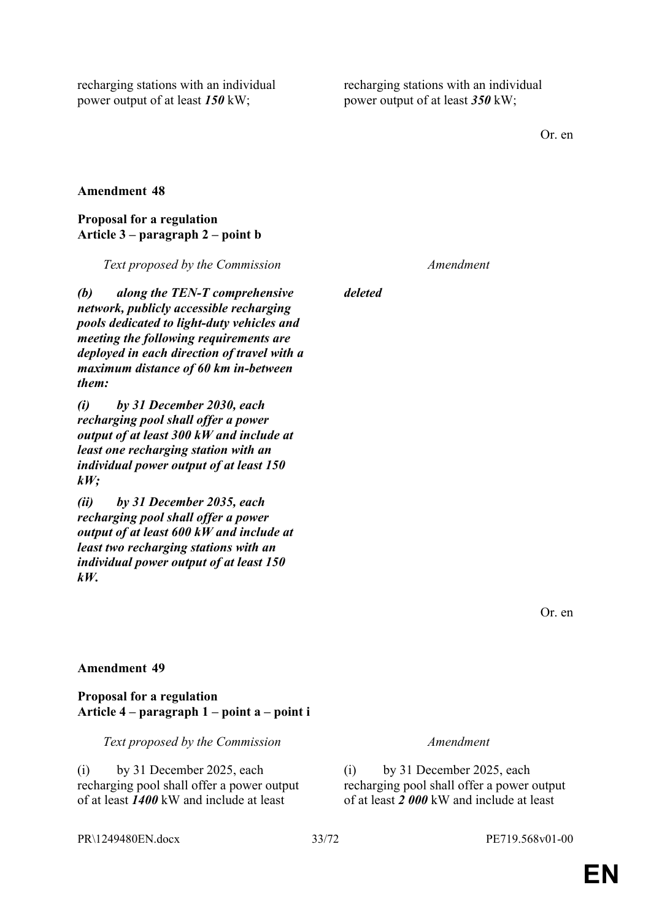recharging stations with an individual power output of at least *150* kW;

recharging stations with an individual power output of at least *350* kW;

Or. en

### **Amendment 48**

#### **Proposal for a regulation Article 3 – paragraph 2 – point b**

*Text proposed by the Commission Amendment*

*(b) along the TEN-T comprehensive network, publicly accessible recharging pools dedicated to light-duty vehicles and meeting the following requirements are deployed in each direction of travel with a maximum distance of 60 km in-between them:*

*(i) by 31 December 2030, each recharging pool shall offer a power output of at least 300 kW and include at least one recharging station with an individual power output of at least 150 kW;*

*(ii) by 31 December 2035, each recharging pool shall offer a power output of at least 600 kW and include at least two recharging stations with an individual power output of at least 150 kW.*

*deleted*

Or. en

### **Amendment 49**

### **Proposal for a regulation Article 4 – paragraph 1 – point a – point i**

*Text proposed by the Commission Amendment*

(i) by 31 December 2025, each recharging pool shall offer a power output of at least *1400* kW and include at least

(i) by 31 December 2025, each recharging pool shall offer a power output of at least *2 000* kW and include at least

### PR\1249480EN.docx 33/72 PE719.568v01-00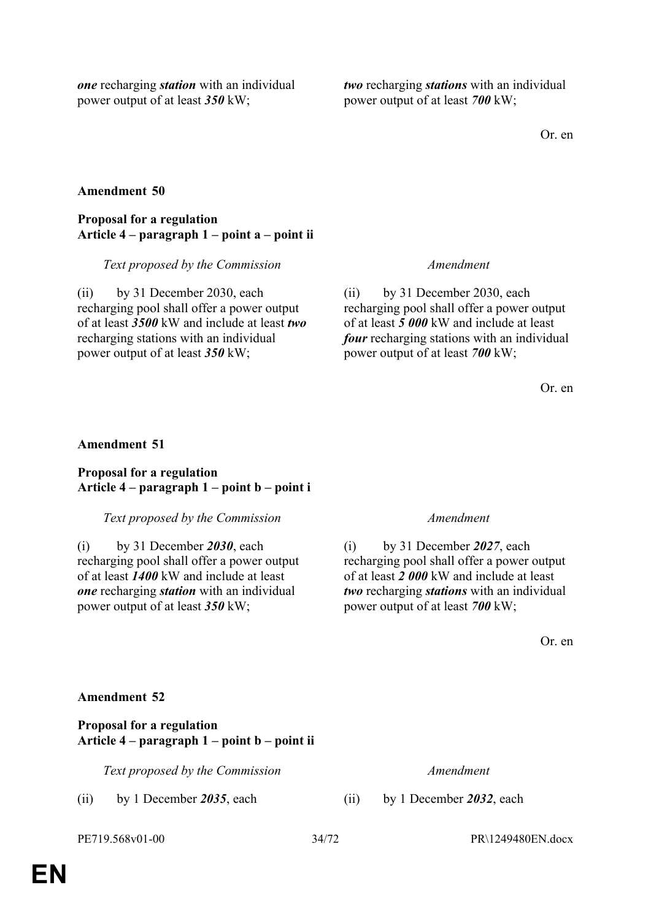*one* recharging *station* with an individual power output of at least *350* kW;

*two* recharging *stations* with an individual power output of at least *700* kW;

Or. en

### **Amendment 50**

### **Proposal for a regulation Article 4 – paragraph 1 – point a – point ii**

*Text proposed by the Commission Amendment*

(ii) by 31 December 2030, each recharging pool shall offer a power output of at least *3500* kW and include at least *two* recharging stations with an individual power output of at least *350* kW;

(ii) by 31 December 2030, each recharging pool shall offer a power output of at least *5 000* kW and include at least *four* recharging stations with an individual power output of at least *700* kW;

Or. en

### **Amendment 51**

### **Proposal for a regulation Article 4 – paragraph 1 – point b – point i**

### *Text proposed by the Commission Amendment*

(i) by 31 December *2030*, each recharging pool shall offer a power output of at least *1400* kW and include at least *one* recharging *station* with an individual power output of at least *350* kW;

(i) by 31 December *2027*, each recharging pool shall offer a power output of at least *2 000* kW and include at least *two* recharging *stations* with an individual power output of at least *700* kW;

Or. en

### **Amendment 52**

**Proposal for a regulation Article 4 – paragraph 1 – point b – point ii**

*Text proposed by the Commission Amendment*

(ii) by 1 December *2035*, each (ii) by 1 December *2032*, each

PE719.568v01-00 34/72 PR\1249480EN.docx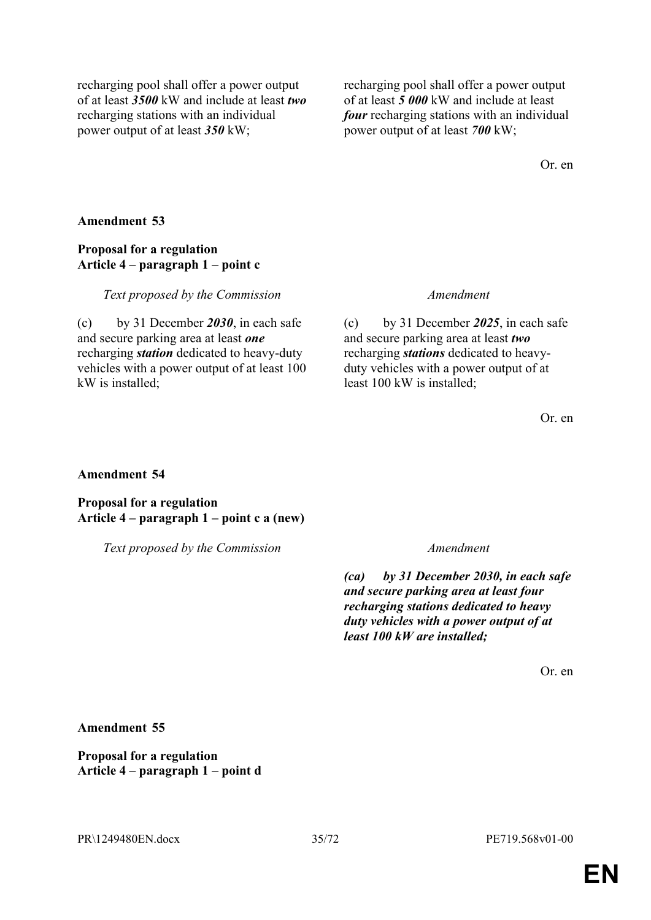recharging pool shall offer a power output of at least *3500* kW and include at least *two* recharging stations with an individual power output of at least *350* kW;

recharging pool shall offer a power output of at least *5 000* kW and include at least *four* recharging stations with an individual power output of at least *700* kW;

Or. en

### **Amendment 53**

### **Proposal for a regulation Article 4 – paragraph 1 – point c**

### *Text proposed by the Commission Amendment*

(c) by 31 December *2030*, in each safe and secure parking area at least *one* recharging *station* dedicated to heavy-duty vehicles with a power output of at least 100 kW is installed;

(c) by 31 December *2025*, in each safe and secure parking area at least *two* recharging *stations* dedicated to heavyduty vehicles with a power output of at least 100 kW is installed;

Or. en

### **Amendment 54**

**Proposal for a regulation Article 4 – paragraph 1 – point c a (new)**

*Text proposed by the Commission Amendment*

*(ca) by 31 December 2030, in each safe and secure parking area at least four recharging stations dedicated to heavy duty vehicles with a power output of at least 100 kW are installed;*

Or. en

**Amendment 55**

**Proposal for a regulation Article 4 – paragraph 1 – point d**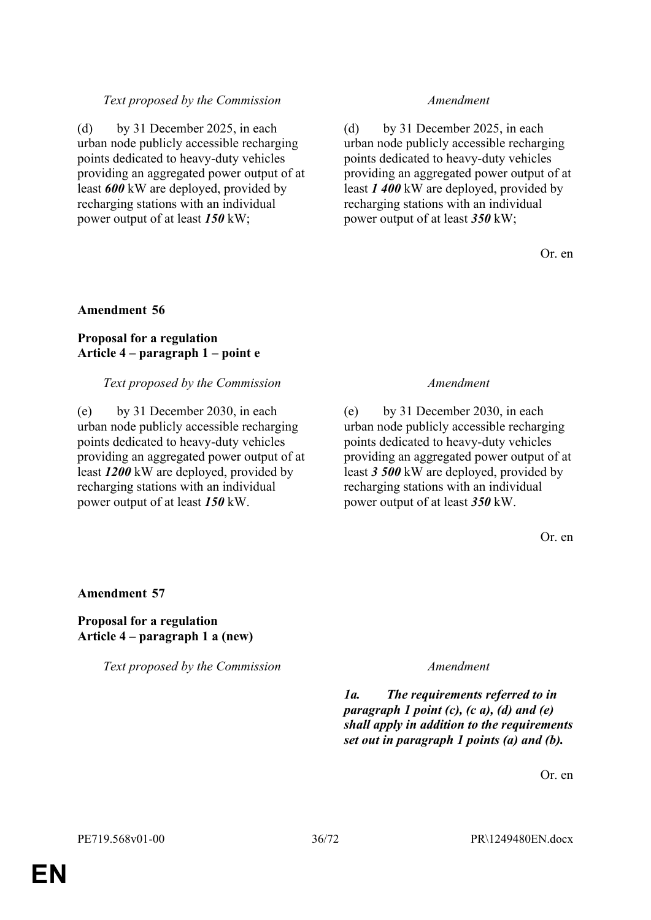### *Text proposed by the Commission Amendment*

(d) by 31 December 2025, in each urban node publicly accessible recharging points dedicated to heavy-duty vehicles providing an aggregated power output of at least *600* kW are deployed, provided by recharging stations with an individual power output of at least *150* kW;

(d) by 31 December 2025, in each urban node publicly accessible recharging points dedicated to heavy-duty vehicles providing an aggregated power output of at least *1 400* kW are deployed, provided by recharging stations with an individual power output of at least *350* kW;

Or. en

### **Amendment 56**

### **Proposal for a regulation Article 4 – paragraph 1 – point e**

#### *Text proposed by the Commission Amendment*

(e) by 31 December 2030, in each urban node publicly accessible recharging points dedicated to heavy-duty vehicles providing an aggregated power output of at least *1200* kW are deployed, provided by recharging stations with an individual power output of at least *150* kW.

(e) by 31 December 2030, in each urban node publicly accessible recharging points dedicated to heavy-duty vehicles providing an aggregated power output of at least *3 500* kW are deployed, provided by recharging stations with an individual power output of at least *350* kW.

Or. en

### **Amendment 57**

### **Proposal for a regulation Article 4 – paragraph 1 a (new)**

*Text proposed by the Commission Amendment*

*1a. The requirements referred to in paragraph 1 point (c), (c a), (d) and (e) shall apply in addition to the requirements set out in paragraph 1 points (a) and (b).*

Or. en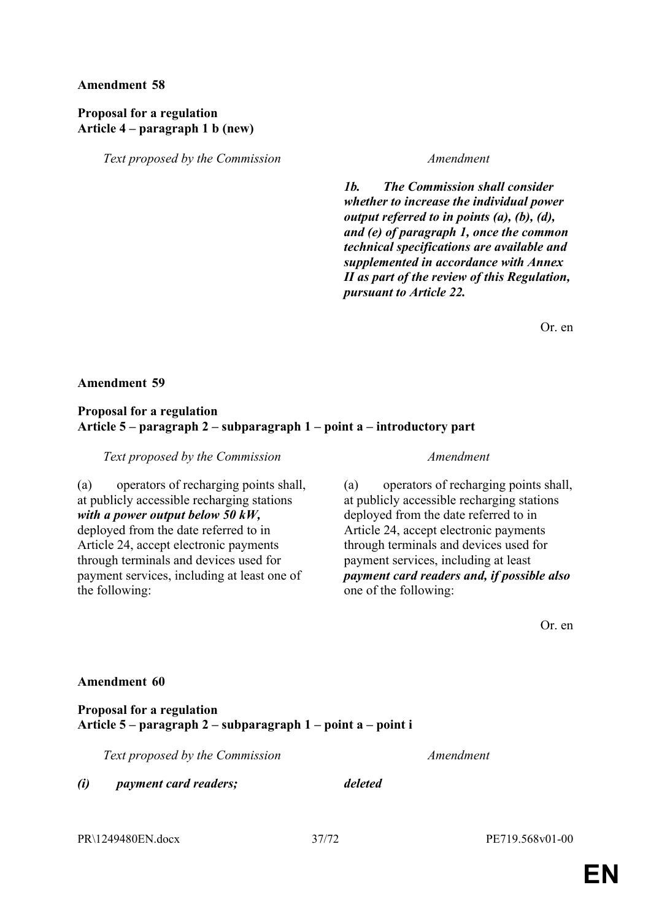### **Proposal for a regulation Article 4 – paragraph 1 b (new)**

*Text proposed by the Commission Amendment*

*1b. The Commission shall consider whether to increase the individual power output referred to in points (a), (b), (d), and (e) of paragraph 1, once the common technical specifications are available and supplemented in accordance with Annex II as part of the review of this Regulation, pursuant to Article 22.*

Or. en

#### **Amendment 59**

#### **Proposal for a regulation Article 5 – paragraph 2 – subparagraph 1 – point a – introductory part**

*Text proposed by the Commission Amendment*

(a) operators of recharging points shall, at publicly accessible recharging stations *with a power output below 50 kW,* deployed from the date referred to in Article 24, accept electronic payments through terminals and devices used for payment services, including at least one of the following:

(a) operators of recharging points shall, at publicly accessible recharging stations deployed from the date referred to in Article 24, accept electronic payments through terminals and devices used for payment services, including at least *payment card readers and, if possible also* one of the following:

Or. en

#### **Amendment 60**

### **Proposal for a regulation Article 5 – paragraph 2 – subparagraph 1 – point a – point i**

*Text proposed by the Commission Amendment*

*(i) payment card readers; deleted*

PR\1249480EN.docx 37/72 PE719.568v01-00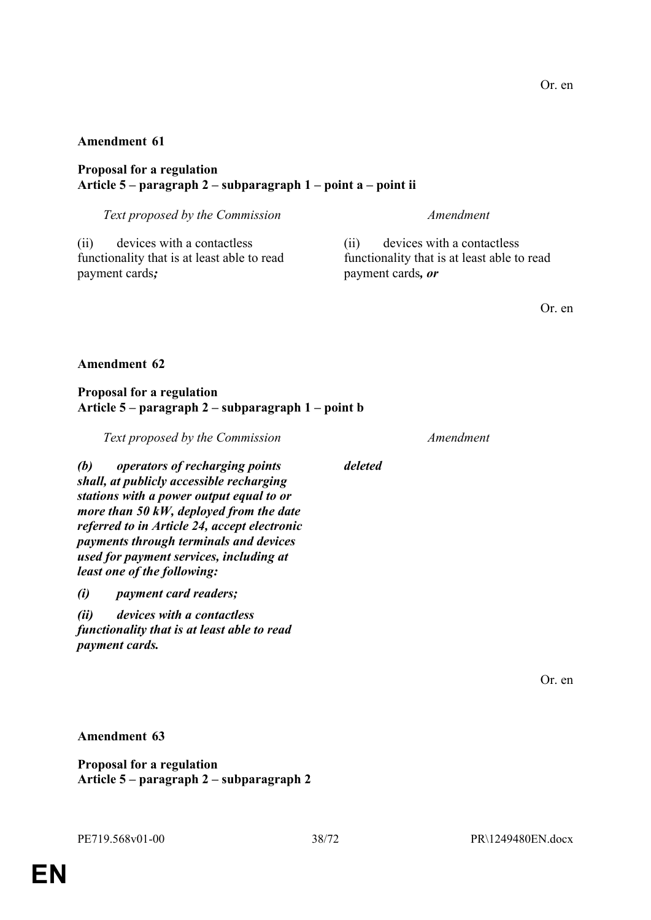### **Proposal for a regulation Article 5 – paragraph 2 – subparagraph 1 – point a – point ii**

*Text proposed by the Commission Amendment*

(ii) devices with a contactless functionality that is at least able to read payment cards*;*

(ii) devices with a contactless functionality that is at least able to read payment cards*, or*

Or. en

### **Amendment 62**

### **Proposal for a regulation Article 5 – paragraph 2 – subparagraph 1 – point b**

*Text proposed by the Commission Amendment*

*(b) operators of recharging points shall, at publicly accessible recharging stations with a power output equal to or more than 50 kW, deployed from the date referred to in Article 24, accept electronic payments through terminals and devices used for payment services, including at least one of the following:*

*(i) payment card readers;*

*(ii) devices with a contactless functionality that is at least able to read payment cards.*

Or. en

**Amendment 63**

**Proposal for a regulation Article 5 – paragraph 2 – subparagraph 2**

*deleted*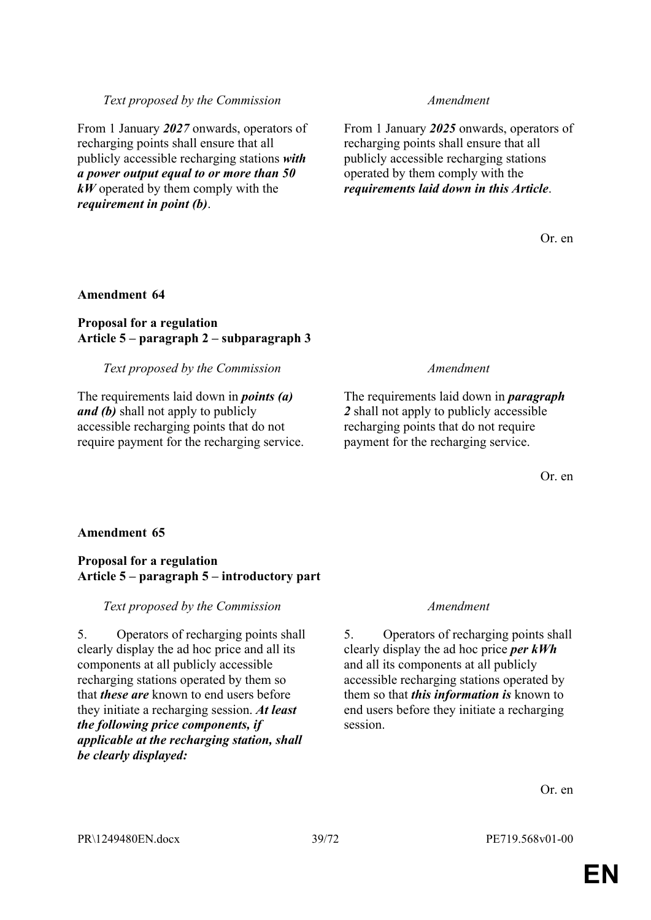*Text proposed by the Commission Amendment*

From 1 January *2027* onwards, operators of recharging points shall ensure that all publicly accessible recharging stations *with a power output equal to or more than 50 kW* operated by them comply with the *requirement in point (b)*.

From 1 January *2025* onwards, operators of recharging points shall ensure that all publicly accessible recharging stations operated by them comply with the *requirements laid down in this Article*.

Or. en

#### **Amendment 64**

#### **Proposal for a regulation Article 5 – paragraph 2 – subparagraph 3**

#### *Text proposed by the Commission Amendment*

The requirements laid down in *points (a) and (b)* shall not apply to publicly accessible recharging points that do not require payment for the recharging service.

The requirements laid down in *paragraph 2* shall not apply to publicly accessible recharging points that do not require payment for the recharging service.

Or. en

#### **Amendment 65**

#### **Proposal for a regulation Article 5 – paragraph 5 – introductory part**

*Text proposed by the Commission Amendment*

5. Operators of recharging points shall clearly display the ad hoc price and all its components at all publicly accessible recharging stations operated by them so that *these are* known to end users before they initiate a recharging session. *At least the following price components, if applicable at the recharging station, shall be clearly displayed:*

5. Operators of recharging points shall clearly display the ad hoc price *per kWh* and all its components at all publicly accessible recharging stations operated by them so that *this information is* known to end users before they initiate a recharging session.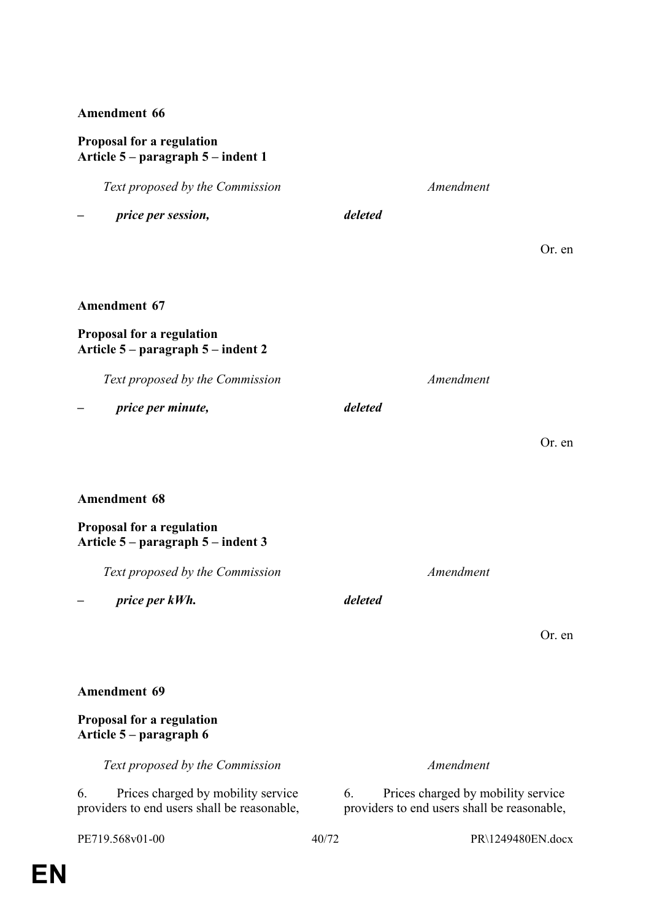## **Proposal for a regulation Article 5 – paragraph 5 – indent 1**

| Text proposed by the Commission                                                         | Amendment                                                                               |
|-----------------------------------------------------------------------------------------|-----------------------------------------------------------------------------------------|
| price per session,                                                                      | deleted                                                                                 |
|                                                                                         | Or. en                                                                                  |
|                                                                                         |                                                                                         |
| <b>Amendment 67</b>                                                                     |                                                                                         |
| <b>Proposal for a regulation</b><br>Article 5 – paragraph 5 – indent 2                  |                                                                                         |
| Text proposed by the Commission                                                         | Amendment                                                                               |
| price per minute,                                                                       | deleted                                                                                 |
|                                                                                         | Or. en                                                                                  |
|                                                                                         |                                                                                         |
| <b>Amendment 68</b>                                                                     |                                                                                         |
| Proposal for a regulation<br>Article 5 – paragraph 5 – indent 3                         |                                                                                         |
| Text proposed by the Commission                                                         | Amendment                                                                               |
| price per kWh.                                                                          | deleted                                                                                 |
|                                                                                         | Or. en                                                                                  |
|                                                                                         |                                                                                         |
| <b>Amendment 69</b>                                                                     |                                                                                         |
| <b>Proposal for a regulation</b><br>Article 5 – paragraph 6                             |                                                                                         |
| Text proposed by the Commission                                                         | Amendment                                                                               |
| Prices charged by mobility service<br>6.<br>providers to end users shall be reasonable, | Prices charged by mobility service<br>6.<br>providers to end users shall be reasonable, |
| PE719.568v01-00                                                                         | 40/72<br>PR\1249480EN.docx                                                              |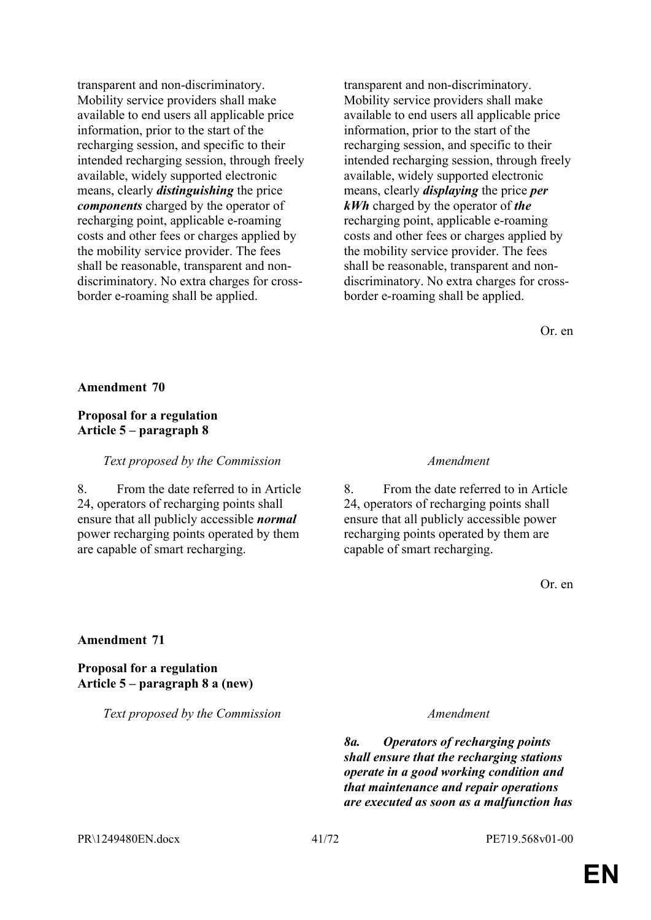transparent and non-discriminatory. Mobility service providers shall make available to end users all applicable price information, prior to the start of the recharging session, and specific to their intended recharging session, through freely available, widely supported electronic means, clearly *distinguishing* the price *components* charged by the operator of recharging point, applicable e-roaming costs and other fees or charges applied by the mobility service provider. The fees shall be reasonable, transparent and nondiscriminatory. No extra charges for crossborder e-roaming shall be applied.

transparent and non-discriminatory. Mobility service providers shall make available to end users all applicable price information, prior to the start of the recharging session, and specific to their intended recharging session, through freely available, widely supported electronic means, clearly *displaying* the price *per kWh* charged by the operator of *the* recharging point, applicable e-roaming costs and other fees or charges applied by the mobility service provider. The fees shall be reasonable, transparent and nondiscriminatory. No extra charges for crossborder e-roaming shall be applied.

Or. en

#### **Amendment 70**

### **Proposal for a regulation Article 5 – paragraph 8**

*Text proposed by the Commission Amendment*

8. From the date referred to in Article 24, operators of recharging points shall ensure that all publicly accessible *normal* power recharging points operated by them are capable of smart recharging.

8. From the date referred to in Article 24, operators of recharging points shall ensure that all publicly accessible power recharging points operated by them are capable of smart recharging.

Or. en

#### **Amendment 71**

**Proposal for a regulation Article 5 – paragraph 8 a (new)**

*Text proposed by the Commission Amendment*

*8a. Operators of recharging points shall ensure that the recharging stations operate in a good working condition and that maintenance and repair operations are executed as soon as a malfunction has* 

PR\1249480EN.docx 41/72 PE719.568v01-00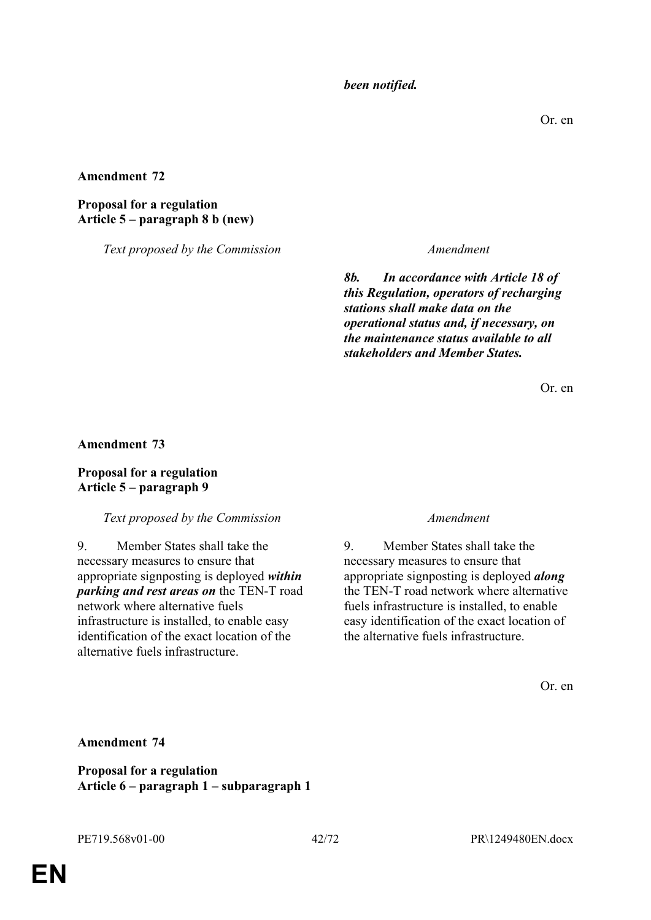*been notified.*

**Amendment 72**

#### **Proposal for a regulation Article 5 – paragraph 8 b (new)**

*Text proposed by the Commission Amendment*

*8b. In accordance with Article 18 of this Regulation, operators of recharging stations shall make data on the operational status and, if necessary, on the maintenance status available to all stakeholders and Member States.*

Or. en

**Amendment 73**

### **Proposal for a regulation Article 5 – paragraph 9**

### *Text proposed by the Commission Amendment*

9. Member States shall take the necessary measures to ensure that appropriate signposting is deployed *within parking and rest areas on* the TEN-T road network where alternative fuels infrastructure is installed, to enable easy identification of the exact location of the alternative fuels infrastructure.

9. Member States shall take the necessary measures to ensure that appropriate signposting is deployed *along* the TEN-T road network where alternative fuels infrastructure is installed, to enable easy identification of the exact location of the alternative fuels infrastructure.

Or. en

**Amendment 74**

**Proposal for a regulation Article 6 – paragraph 1 – subparagraph 1**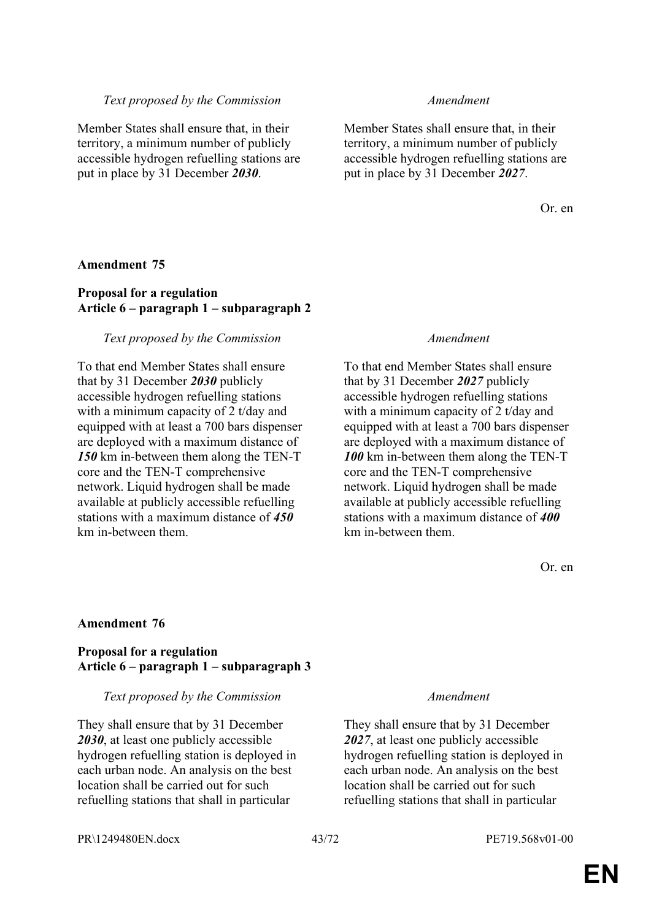#### *Text proposed by the Commission Amendment*

Member States shall ensure that, in their territory, a minimum number of publicly accessible hydrogen refuelling stations are put in place by 31 December *2030*.

Member States shall ensure that, in their territory, a minimum number of publicly accessible hydrogen refuelling stations are put in place by 31 December *2027*.

Or. en

#### **Amendment 75**

#### **Proposal for a regulation Article 6 – paragraph 1 – subparagraph 2**

#### *Text proposed by the Commission Amendment*

To that end Member States shall ensure that by 31 December *2030* publicly accessible hydrogen refuelling stations with a minimum capacity of 2 t/day and equipped with at least a 700 bars dispenser are deployed with a maximum distance of *150* km in-between them along the TEN-T core and the TEN-T comprehensive network. Liquid hydrogen shall be made available at publicly accessible refuelling stations with a maximum distance of *450* km in-between them.

To that end Member States shall ensure that by 31 December *2027* publicly accessible hydrogen refuelling stations with a minimum capacity of 2 t/day and equipped with at least a 700 bars dispenser are deployed with a maximum distance of *100* km in-between them along the TEN-T core and the TEN-T comprehensive network. Liquid hydrogen shall be made available at publicly accessible refuelling stations with a maximum distance of *400* km in-between them.

Or. en

#### **Amendment 76**

#### **Proposal for a regulation Article 6 – paragraph 1 – subparagraph 3**

#### *Text proposed by the Commission Amendment*

They shall ensure that by 31 December *2030*, at least one publicly accessible hydrogen refuelling station is deployed in each urban node. An analysis on the best location shall be carried out for such refuelling stations that shall in particular

They shall ensure that by 31 December *2027*, at least one publicly accessible hydrogen refuelling station is deployed in each urban node. An analysis on the best location shall be carried out for such refuelling stations that shall in particular

PR\1249480EN.docx 43/72 PE719.568v01-00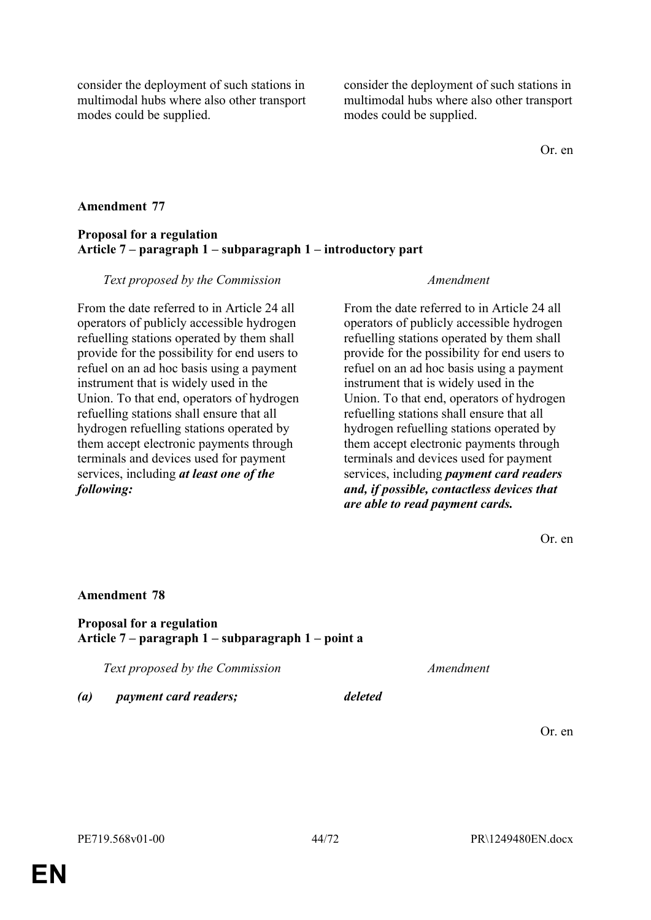consider the deployment of such stations in multimodal hubs where also other transport modes could be supplied.

consider the deployment of such stations in multimodal hubs where also other transport modes could be supplied.

Or. en

#### **Amendment 77**

### **Proposal for a regulation Article 7 – paragraph 1 – subparagraph 1 – introductory part**

#### *Text proposed by the Commission Amendment*

From the date referred to in Article 24 all operators of publicly accessible hydrogen refuelling stations operated by them shall provide for the possibility for end users to refuel on an ad hoc basis using a payment instrument that is widely used in the Union. To that end, operators of hydrogen refuelling stations shall ensure that all hydrogen refuelling stations operated by them accept electronic payments through terminals and devices used for payment services, including *at least one of the following:*

From the date referred to in Article 24 all operators of publicly accessible hydrogen refuelling stations operated by them shall provide for the possibility for end users to refuel on an ad hoc basis using a payment instrument that is widely used in the Union. To that end, operators of hydrogen refuelling stations shall ensure that all hydrogen refuelling stations operated by them accept electronic payments through terminals and devices used for payment services, including *payment card readers and, if possible, contactless devices that are able to read payment cards.*

Or. en

#### **Amendment 78**

**Proposal for a regulation Article 7 – paragraph 1 – subparagraph 1 – point a**

*Text proposed by the Commission Amendment*

*(a) payment card readers; deleted*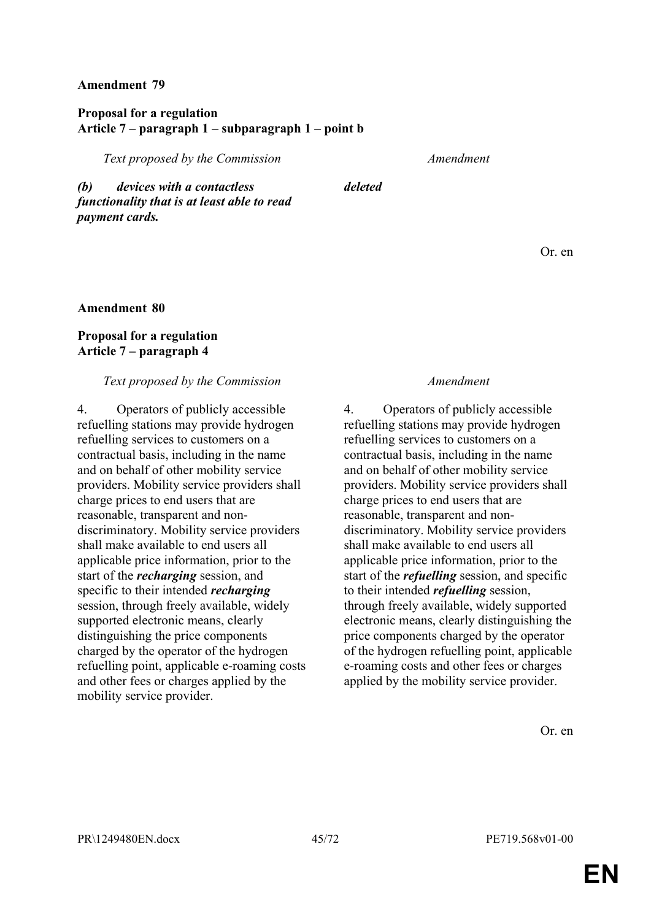### **Proposal for a regulation Article 7 – paragraph 1 – subparagraph 1 – point b**

*Text proposed by the Commission Amendment*

*(b) devices with a contactless functionality that is at least able to read payment cards.*

*deleted*

Or. en

#### **Amendment 80**

### **Proposal for a regulation Article 7 – paragraph 4**

#### *Text proposed by the Commission Amendment*

4. Operators of publicly accessible refuelling stations may provide hydrogen refuelling services to customers on a contractual basis, including in the name and on behalf of other mobility service providers. Mobility service providers shall charge prices to end users that are reasonable, transparent and nondiscriminatory. Mobility service providers shall make available to end users all applicable price information, prior to the start of the *recharging* session, and specific to their intended *recharging* session, through freely available, widely supported electronic means, clearly distinguishing the price components charged by the operator of the hydrogen refuelling point, applicable e-roaming costs and other fees or charges applied by the mobility service provider.

4. Operators of publicly accessible refuelling stations may provide hydrogen refuelling services to customers on a contractual basis, including in the name and on behalf of other mobility service providers. Mobility service providers shall charge prices to end users that are reasonable, transparent and nondiscriminatory. Mobility service providers shall make available to end users all applicable price information, prior to the start of the *refuelling* session, and specific to their intended *refuelling* session, through freely available, widely supported electronic means, clearly distinguishing the price components charged by the operator of the hydrogen refuelling point, applicable e-roaming costs and other fees or charges applied by the mobility service provider.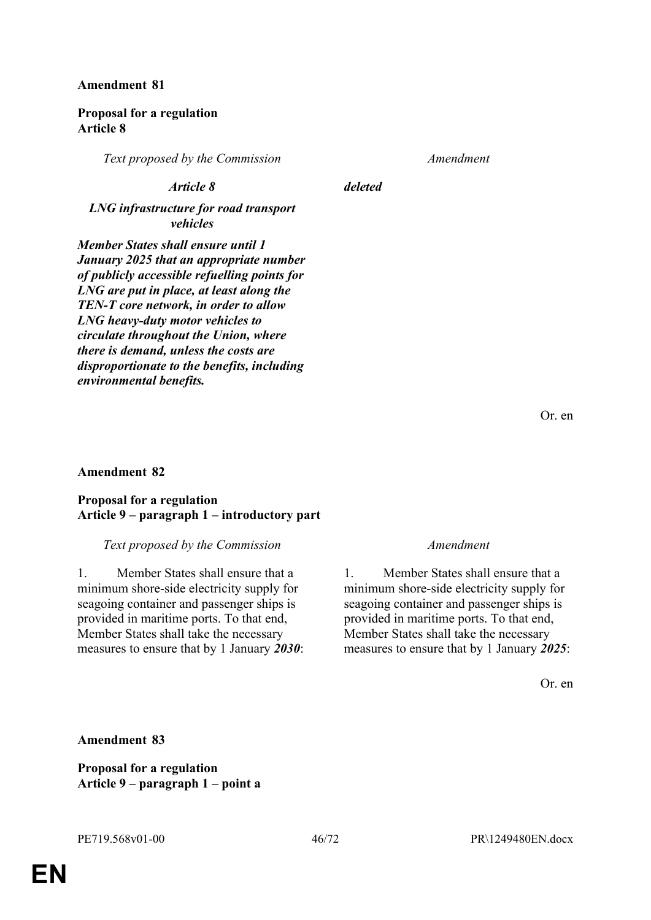#### **Proposal for a regulation Article 8**

*Text proposed by the Commission Amendment*

#### *Article 8 deleted*

*LNG infrastructure for road transport vehicles*

*Member States shall ensure until 1 January 2025 that an appropriate number of publicly accessible refuelling points for LNG are put in place, at least along the TEN-T core network, in order to allow LNG heavy-duty motor vehicles to circulate throughout the Union, where there is demand, unless the costs are disproportionate to the benefits, including environmental benefits.*

Or. en

#### **Amendment 82**

#### **Proposal for a regulation Article 9 – paragraph 1 – introductory part**

#### *Text proposed by the Commission Amendment*

1. Member States shall ensure that a minimum shore-side electricity supply for seagoing container and passenger ships is provided in maritime ports. To that end, Member States shall take the necessary measures to ensure that by 1 January *2030*:

1. Member States shall ensure that a minimum shore-side electricity supply for seagoing container and passenger ships is provided in maritime ports. To that end, Member States shall take the necessary measures to ensure that by 1 January *2025*:

Or. en

#### **Amendment 83**

**Proposal for a regulation Article 9 – paragraph 1 – point a**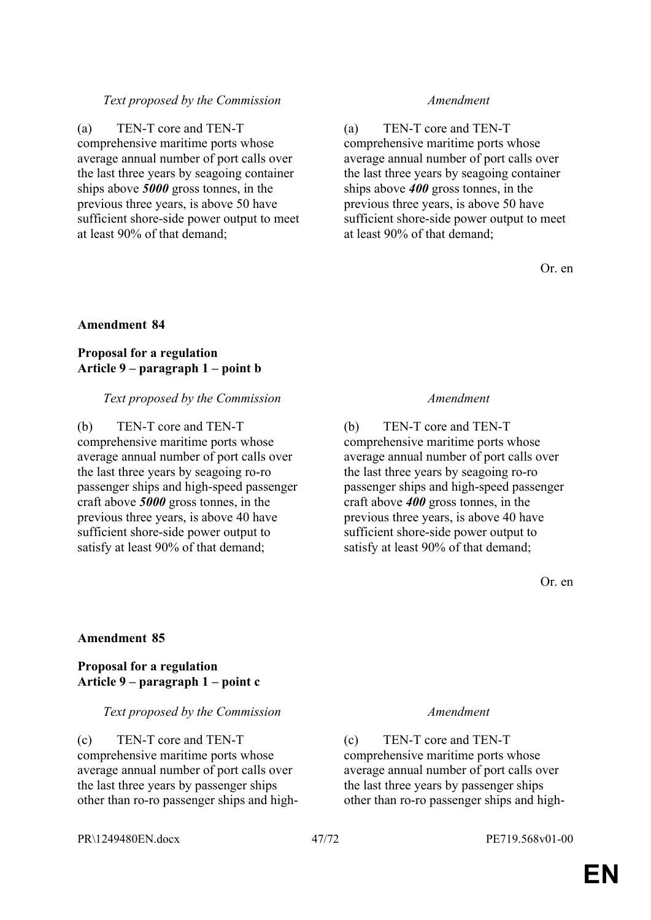### *Text proposed by the Commission Amendment*

(a) TEN-T core and TEN-T comprehensive maritime ports whose average annual number of port calls over the last three years by seagoing container ships above *5000* gross tonnes, in the previous three years, is above 50 have sufficient shore-side power output to meet at least 90% of that demand;

(a) TEN-T core and TEN-T comprehensive maritime ports whose average annual number of port calls over the last three years by seagoing container ships above *400* gross tonnes, in the previous three years, is above 50 have sufficient shore-side power output to meet at least 90% of that demand;

Or. en

### **Amendment 84**

### **Proposal for a regulation Article 9 – paragraph 1 – point b**

#### *Text proposed by the Commission Amendment*

(b) TEN-T core and TEN-T comprehensive maritime ports whose average annual number of port calls over the last three years by seagoing ro-ro passenger ships and high-speed passenger craft above *5000* gross tonnes, in the previous three years, is above 40 have sufficient shore-side power output to satisfy at least 90% of that demand;

(b) TEN-T core and TEN-T comprehensive maritime ports whose average annual number of port calls over the last three years by seagoing ro-ro passenger ships and high-speed passenger craft above *400* gross tonnes, in the previous three years, is above 40 have sufficient shore-side power output to satisfy at least 90% of that demand;

Or. en

### **Amendment 85**

#### **Proposal for a regulation Article 9 – paragraph 1 – point c**

#### *Text proposed by the Commission Amendment*

(c) TEN-T core and TEN-T comprehensive maritime ports whose average annual number of port calls over the last three years by passenger ships other than ro-ro passenger ships and high-

(c) TEN-T core and TEN-T comprehensive maritime ports whose average annual number of port calls over the last three years by passenger ships other than ro-ro passenger ships and high-

PR\1249480EN.docx 47/72 PE719.568v01-00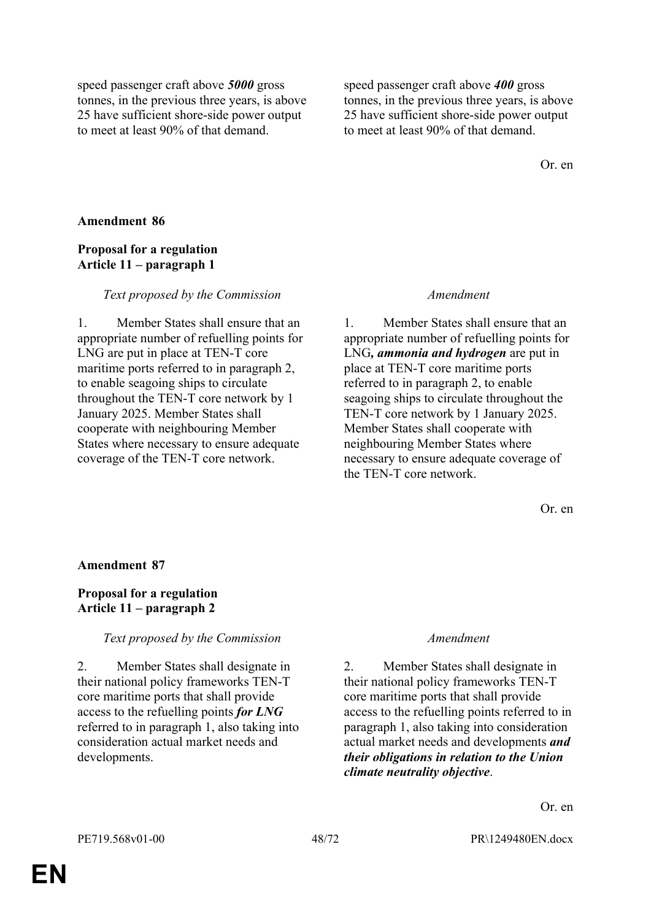speed passenger craft above *5000* gross tonnes, in the previous three years, is above 25 have sufficient shore-side power output to meet at least 90% of that demand.

speed passenger craft above *400* gross tonnes, in the previous three years, is above 25 have sufficient shore-side power output to meet at least 90% of that demand.

Or. en

#### **Amendment 86**

#### **Proposal for a regulation Article 11 – paragraph 1**

#### *Text proposed by the Commission Amendment*

1. Member States shall ensure that an appropriate number of refuelling points for LNG are put in place at TEN-T core maritime ports referred to in paragraph 2, to enable seagoing ships to circulate throughout the TEN-T core network by 1 January 2025. Member States shall cooperate with neighbouring Member States where necessary to ensure adequate coverage of the TEN-T core network.

1. Member States shall ensure that an appropriate number of refuelling points for LNG*, ammonia and hydrogen* are put in place at TEN-T core maritime ports referred to in paragraph 2, to enable seagoing ships to circulate throughout the TEN-T core network by 1 January 2025. Member States shall cooperate with neighbouring Member States where necessary to ensure adequate coverage of the TEN-T core network.

Or. en

#### **Amendment 87**

#### **Proposal for a regulation Article 11 – paragraph 2**

#### *Text proposed by the Commission Amendment*

2. Member States shall designate in their national policy frameworks TEN-T core maritime ports that shall provide access to the refuelling points *for LNG* referred to in paragraph 1, also taking into consideration actual market needs and developments.

2. Member States shall designate in their national policy frameworks TEN-T core maritime ports that shall provide access to the refuelling points referred to in paragraph 1, also taking into consideration actual market needs and developments *and their obligations in relation to the Union climate neutrality objective*.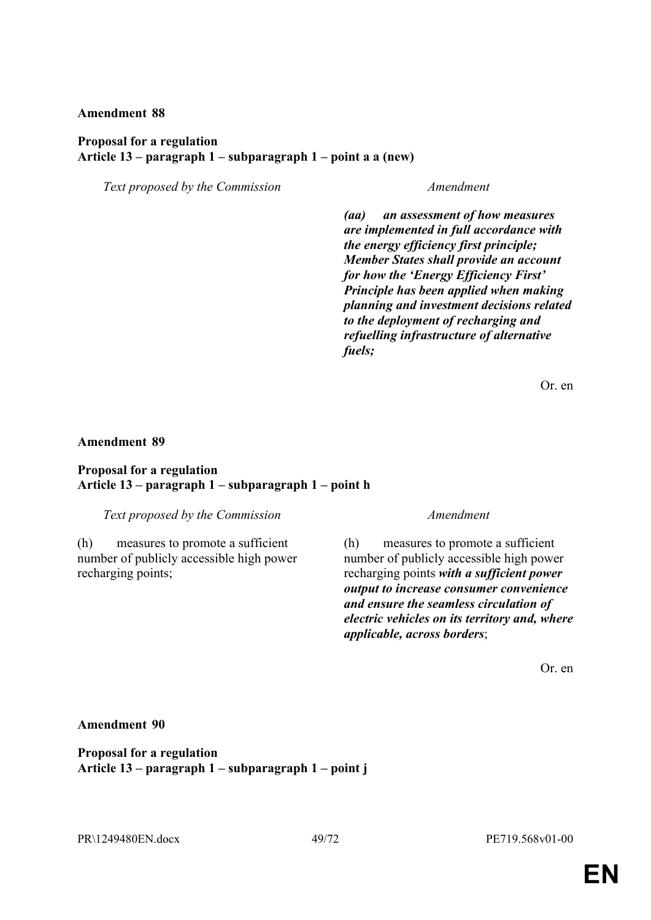#### **Proposal for a regulation Article 13 – paragraph 1 – subparagraph 1 – point a a (new)**

*Text proposed by the Commission Amendment*

*(aa) an assessment of how measures are implemented in full accordance with the energy efficiency first principle; Member States shall provide an account for how the 'Energy Efficiency First' Principle has been applied when making planning and investment decisions related to the deployment of recharging and refuelling infrastructure of alternative fuels;*

Or. en

#### **Amendment 89**

#### **Proposal for a regulation Article 13 – paragraph 1 – subparagraph 1 – point h**

*Text proposed by the Commission Amendment*

(h) measures to promote a sufficient number of publicly accessible high power recharging points;

(h) measures to promote a sufficient number of publicly accessible high power recharging points *with a sufficient power output to increase consumer convenience and ensure the seamless circulation of electric vehicles on its territory and, where applicable, across borders*;

Or. en

#### **Amendment 90**

**Proposal for a regulation Article 13 – paragraph 1 – subparagraph 1 – point j**

PR\1249480EN.docx 49/72 PE719.568v01-00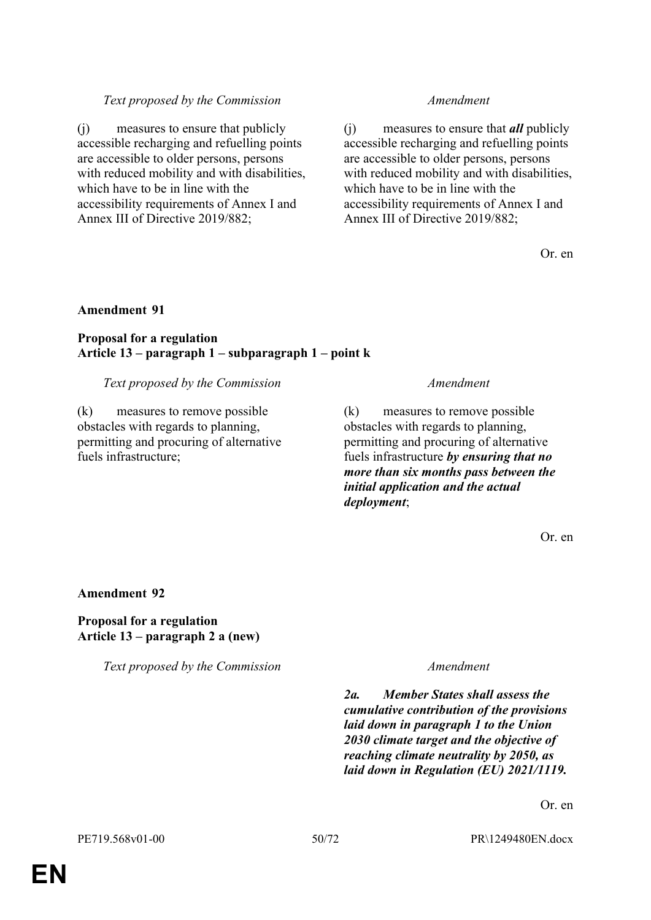### *Text proposed by the Commission Amendment*

(j) measures to ensure that publicly accessible recharging and refuelling points are accessible to older persons, persons with reduced mobility and with disabilities, which have to be in line with the accessibility requirements of Annex I and Annex III of Directive 2019/882;

(j) measures to ensure that *all* publicly accessible recharging and refuelling points are accessible to older persons, persons with reduced mobility and with disabilities, which have to be in line with the accessibility requirements of Annex I and Annex III of Directive 2019/882;

Or. en

#### **Amendment 91**

#### **Proposal for a regulation Article 13 – paragraph 1 – subparagraph 1 – point k**

#### *Text proposed by the Commission Amendment*

(k) measures to remove possible obstacles with regards to planning, permitting and procuring of alternative fuels infrastructure;

(k) measures to remove possible obstacles with regards to planning, permitting and procuring of alternative fuels infrastructure *by ensuring that no more than six months pass between the initial application and the actual deployment*;

Or. en

#### **Amendment 92**

**Proposal for a regulation Article 13 – paragraph 2 a (new)**

*Text proposed by the Commission Amendment*

*2a. Member States shall assess the cumulative contribution of the provisions laid down in paragraph 1 to the Union 2030 climate target and the objective of reaching climate neutrality by 2050, as laid down in Regulation (EU) 2021/1119.*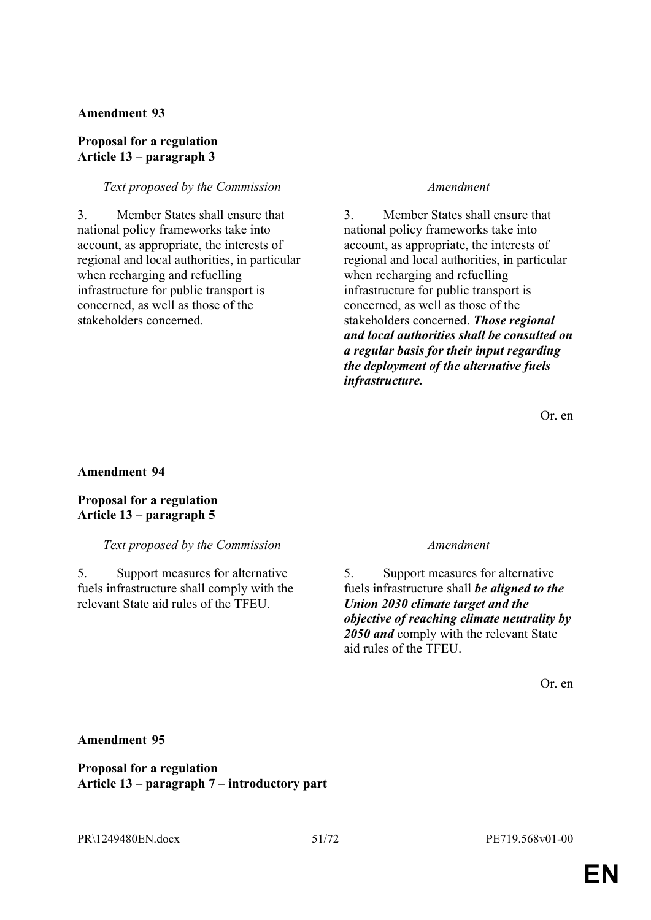### **Proposal for a regulation Article 13 – paragraph 3**

#### *Text proposed by the Commission Amendment*

3. Member States shall ensure that national policy frameworks take into account, as appropriate, the interests of regional and local authorities, in particular when recharging and refuelling infrastructure for public transport is concerned, as well as those of the stakeholders concerned.

3. Member States shall ensure that national policy frameworks take into account, as appropriate, the interests of regional and local authorities, in particular when recharging and refuelling infrastructure for public transport is concerned, as well as those of the stakeholders concerned. *Those regional and local authorities shall be consulted on a regular basis for their input regarding the deployment of the alternative fuels infrastructure.*

Or. en

#### **Amendment 94**

**Proposal for a regulation Article 13 – paragraph 5**

#### *Text proposed by the Commission Amendment*

5. Support measures for alternative fuels infrastructure shall comply with the relevant State aid rules of the TFEU.

5. Support measures for alternative fuels infrastructure shall *be aligned to the Union 2030 climate target and the objective of reaching climate neutrality by 2050 and* comply with the relevant State aid rules of the TFEU.

Or. en

#### **Amendment 95**

**Proposal for a regulation Article 13 – paragraph 7 – introductory part**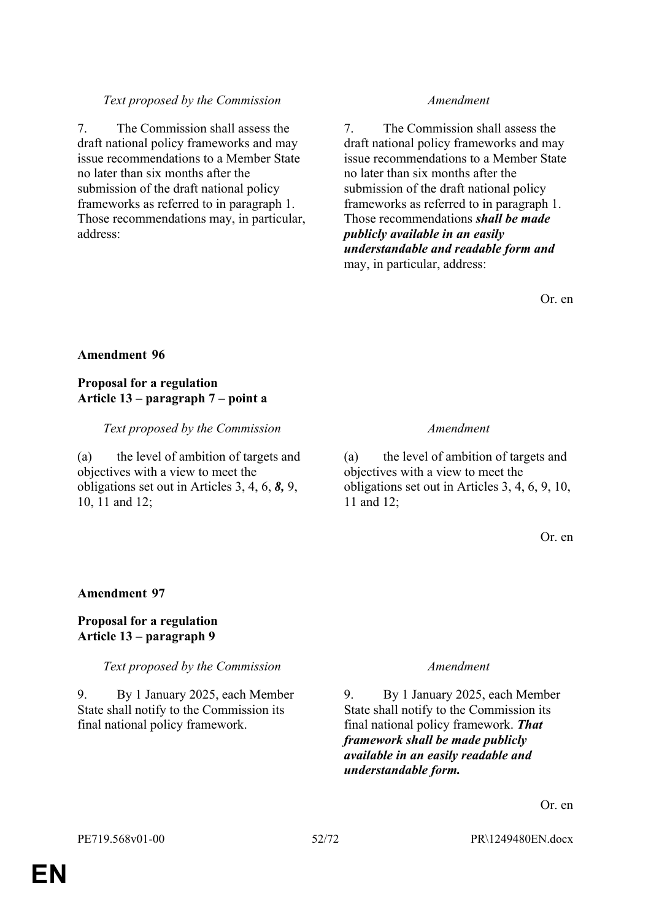### *Text proposed by the Commission Amendment*

7. The Commission shall assess the draft national policy frameworks and may issue recommendations to a Member State no later than six months after the submission of the draft national policy frameworks as referred to in paragraph 1. Those recommendations may, in particular, address:

7. The Commission shall assess the draft national policy frameworks and may issue recommendations to a Member State no later than six months after the submission of the draft national policy frameworks as referred to in paragraph 1. Those recommendations *shall be made publicly available in an easily understandable and readable form and* may, in particular, address:

Or. en

### **Amendment 96**

### **Proposal for a regulation Article 13 – paragraph 7 – point a**

*Text proposed by the Commission Amendment*

(a) the level of ambition of targets and objectives with a view to meet the obligations set out in Articles 3, 4, 6, *8,* 9, 10, 11 and 12;

(a) the level of ambition of targets and objectives with a view to meet the obligations set out in Articles 3, 4, 6, 9, 10, 11 and 12;

Or. en

### **Amendment 97**

### **Proposal for a regulation Article 13 – paragraph 9**

*Text proposed by the Commission Amendment*

9. By 1 January 2025, each Member State shall notify to the Commission its final national policy framework.

9. By 1 January 2025, each Member State shall notify to the Commission its final national policy framework. *That framework shall be made publicly available in an easily readable and understandable form.*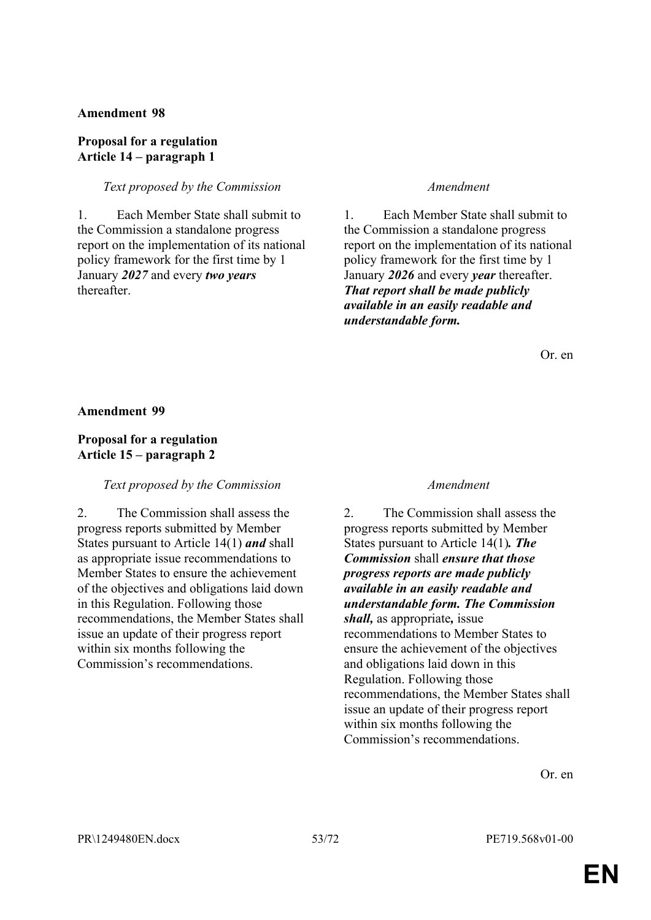#### **Proposal for a regulation Article 14 – paragraph 1**

#### *Text proposed by the Commission Amendment*

1. Each Member State shall submit to the Commission a standalone progress report on the implementation of its national policy framework for the first time by 1 January *2027* and every *two years* thereafter.

1. Each Member State shall submit to the Commission a standalone progress report on the implementation of its national policy framework for the first time by 1 January *2026* and every *year* thereafter. *That report shall be made publicly available in an easily readable and understandable form.*

Or. en

**Amendment 99**

#### **Proposal for a regulation Article 15 – paragraph 2**

#### *Text proposed by the Commission Amendment*

2. The Commission shall assess the progress reports submitted by Member States pursuant to Article 14(1) *and* shall as appropriate issue recommendations to Member States to ensure the achievement of the objectives and obligations laid down in this Regulation. Following those recommendations, the Member States shall issue an update of their progress report within six months following the Commission's recommendations.

2. The Commission shall assess the progress reports submitted by Member States pursuant to Article 14(1)*. The Commission* shall *ensure that those progress reports are made publicly available in an easily readable and understandable form. The Commission shall,* as appropriate*,* issue recommendations to Member States to ensure the achievement of the objectives and obligations laid down in this Regulation. Following those recommendations, the Member States shall issue an update of their progress report within six months following the Commission's recommendations.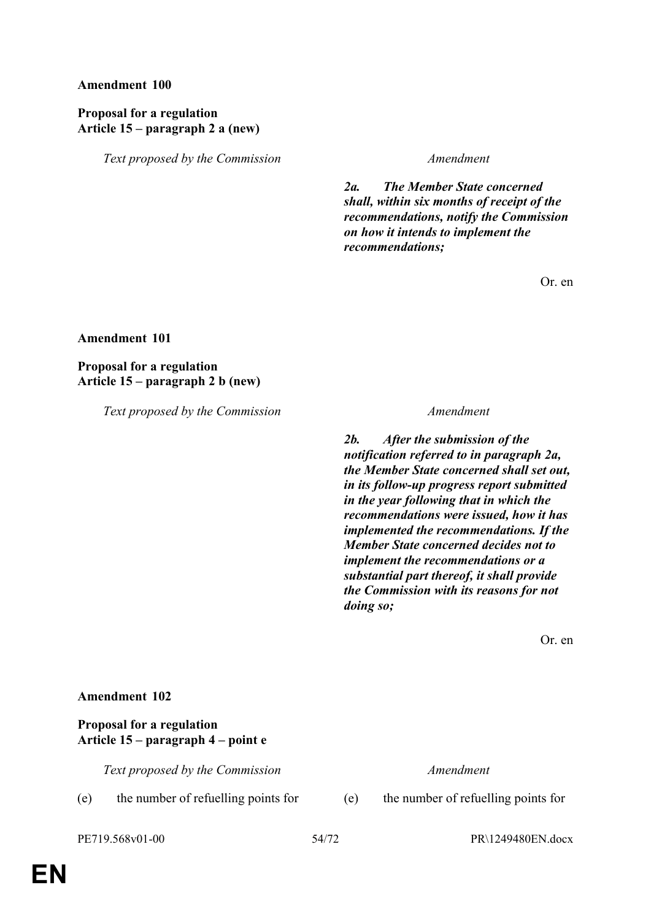### **Proposal for a regulation Article 15 – paragraph 2 a (new)**

*Text proposed by the Commission Amendment*

*2a. The Member State concerned shall, within six months of receipt of the recommendations, notify the Commission on how it intends to implement the recommendations;*

Or. en

**Amendment 101**

**Proposal for a regulation Article 15 – paragraph 2 b (new)**

*Text proposed by the Commission Amendment*

*2b. After the submission of the notification referred to in paragraph 2a, the Member State concerned shall set out, in its follow-up progress report submitted in the year following that in which the recommendations were issued, how it has implemented the recommendations. If the Member State concerned decides not to implement the recommendations or a substantial part thereof, it shall provide the Commission with its reasons for not doing so;*

Or. en

#### **Amendment 102**

#### **Proposal for a regulation Article 15 – paragraph 4 – point e**

*Text proposed by the Commission Amendment*

(e) the number of refuelling points for (e) the number of refuelling points for

PE719.568v01-00 54/72 PR\1249480EN.docx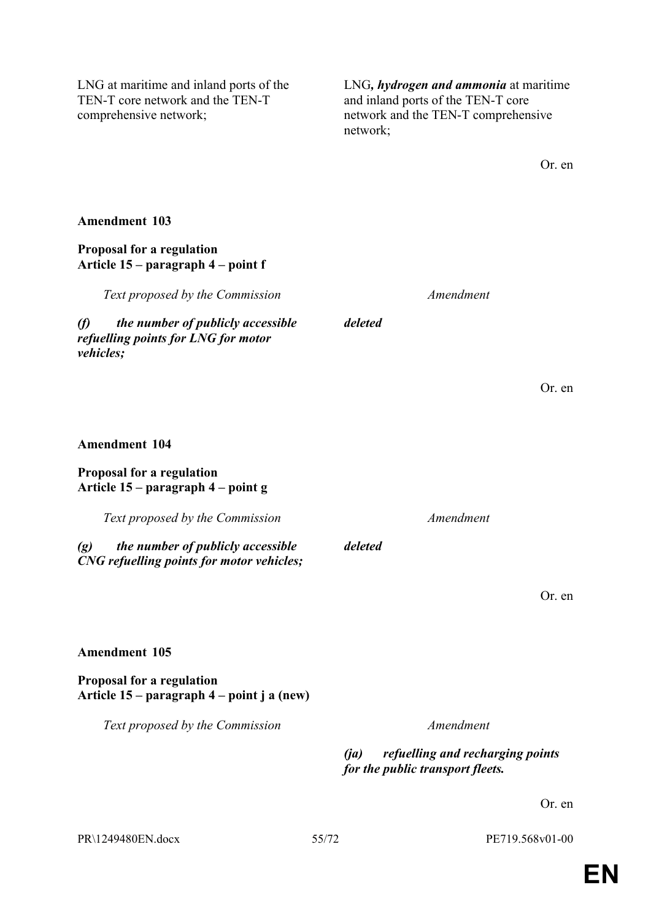LNG at maritime and inland ports of the TEN-T core network and the TEN-T comprehensive network;

LNG*, hydrogen and ammonia* at maritime and inland ports of the TEN-T core network and the TEN-T comprehensive network;

| <b>Amendment 103</b>                                                                                          |       |                   |                                                                      |        |
|---------------------------------------------------------------------------------------------------------------|-------|-------------------|----------------------------------------------------------------------|--------|
| Proposal for a regulation<br>Article 15 – paragraph 4 – point f                                               |       |                   |                                                                      |        |
| Text proposed by the Commission                                                                               |       |                   | Amendment                                                            |        |
| $\mathcal{L}$<br>the number of publicly accessible<br>refuelling points for LNG for motor<br><i>vehicles;</i> |       | deleted           |                                                                      |        |
|                                                                                                               |       |                   |                                                                      | Or. en |
| <b>Amendment 104</b>                                                                                          |       |                   |                                                                      |        |
| Proposal for a regulation<br>Article 15 – paragraph 4 – point g                                               |       |                   |                                                                      |        |
| Text proposed by the Commission                                                                               |       |                   | Amendment                                                            |        |
| the number of publicly accessible<br>$\left( g\right)$<br>CNG refuelling points for motor vehicles;           |       | deleted           |                                                                      |        |
|                                                                                                               |       |                   |                                                                      | Or. en |
| <b>Amendment 105</b>                                                                                          |       |                   |                                                                      |        |
| Proposal for a regulation<br>Article 15 – paragraph 4 – point j a (new)                                       |       |                   |                                                                      |        |
| Text proposed by the Commission                                                                               |       |                   | Amendment                                                            |        |
|                                                                                                               |       | $(i\mathfrak{a})$ | refuelling and recharging points<br>for the public transport fleets. |        |
|                                                                                                               |       |                   |                                                                      | Or. en |
| PR\1249480EN.docx                                                                                             | 55/72 |                   | PE719.568v01-00                                                      |        |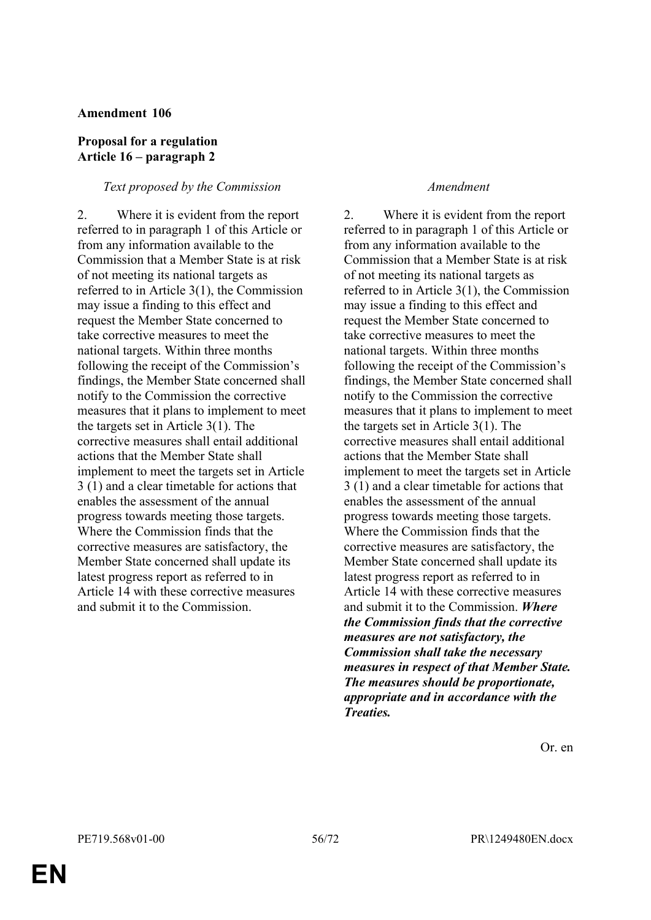#### **Proposal for a regulation Article 16 – paragraph 2**

#### *Text proposed by the Commission Amendment*

2. Where it is evident from the report referred to in paragraph 1 of this Article or from any information available to the Commission that a Member State is at risk of not meeting its national targets as referred to in Article 3(1), the Commission may issue a finding to this effect and request the Member State concerned to take corrective measures to meet the national targets. Within three months following the receipt of the Commission's findings, the Member State concerned shall notify to the Commission the corrective measures that it plans to implement to meet the targets set in Article 3(1). The corrective measures shall entail additional actions that the Member State shall implement to meet the targets set in Article 3 (1) and a clear timetable for actions that enables the assessment of the annual progress towards meeting those targets. Where the Commission finds that the corrective measures are satisfactory, the Member State concerned shall update its latest progress report as referred to in Article 14 with these corrective measures and submit it to the Commission.

2. Where it is evident from the report referred to in paragraph 1 of this Article or from any information available to the Commission that a Member State is at risk of not meeting its national targets as referred to in Article 3(1), the Commission may issue a finding to this effect and request the Member State concerned to take corrective measures to meet the national targets. Within three months following the receipt of the Commission's findings, the Member State concerned shall notify to the Commission the corrective measures that it plans to implement to meet the targets set in Article 3(1). The corrective measures shall entail additional actions that the Member State shall implement to meet the targets set in Article 3 (1) and a clear timetable for actions that enables the assessment of the annual progress towards meeting those targets. Where the Commission finds that the corrective measures are satisfactory, the Member State concerned shall update its latest progress report as referred to in Article 14 with these corrective measures and submit it to the Commission. *Where the Commission finds that the corrective measures are not satisfactory, the Commission shall take the necessary measures in respect of that Member State. The measures should be proportionate, appropriate and in accordance with the Treaties.*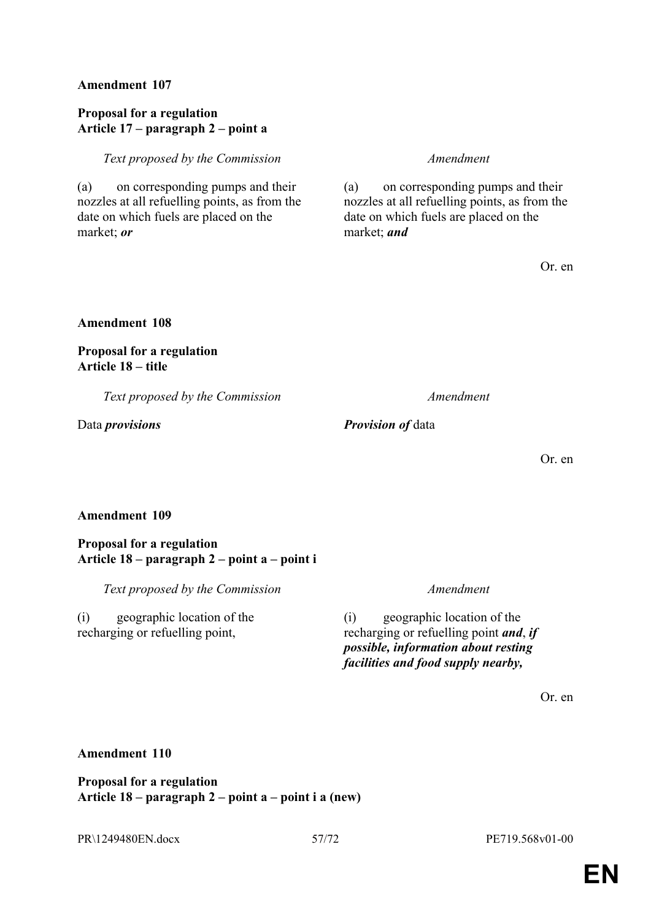### **Proposal for a regulation Article 17 – paragraph 2 – point a**

#### *Text proposed by the Commission Amendment*

(a) on corresponding pumps and their nozzles at all refuelling points, as from the date on which fuels are placed on the market; *or*

(a) on corresponding pumps and their nozzles at all refuelling points, as from the date on which fuels are placed on the market; *and*

Or. en

#### **Amendment 108**

#### **Proposal for a regulation Article 18 – title**

*Text proposed by the Commission Amendment*

Data *provisions Provision of* data

Or. en

### **Amendment 109**

#### **Proposal for a regulation Article 18 – paragraph 2 – point a – point i**

*Text proposed by the Commission Amendment*

(i) geographic location of the recharging or refuelling point,

(i) geographic location of the recharging or refuelling point *and*, *if possible, information about resting facilities and food supply nearby,*

Or. en

### **Amendment 110**

**Proposal for a regulation Article 18 – paragraph 2 – point a – point i a (new)**

PR\1249480EN.docx 57/72 PE719.568v01-00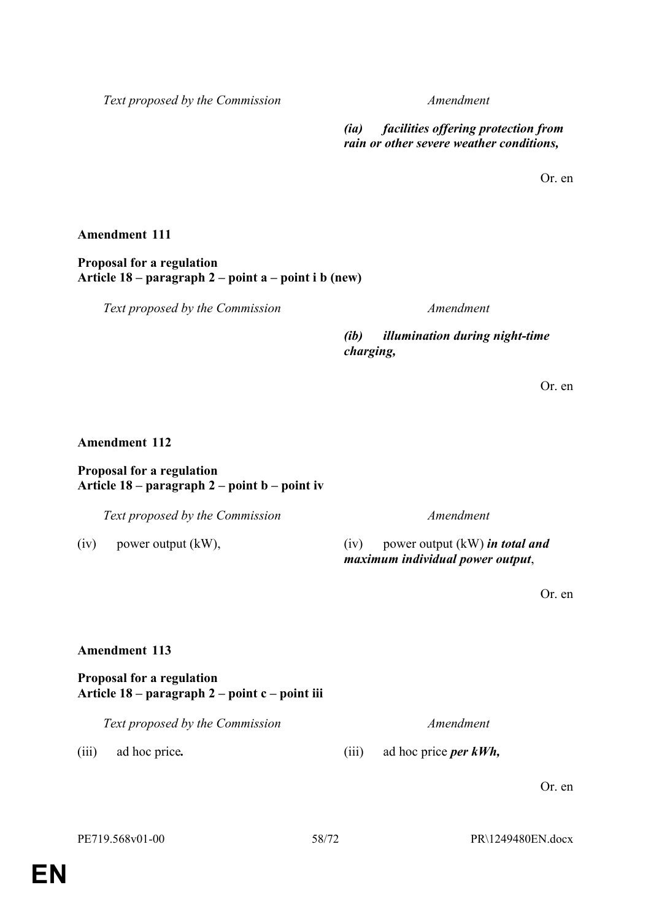*Text proposed by the Commission Amendment*

*(ia) facilities offering protection from rain or other severe weather conditions,*

Or. en

#### **Amendment 111**

**Proposal for a regulation Article 18 – paragraph 2 – point a – point i b (new)**

*Text proposed by the Commission Amendment*

*(ib) illumination during night-time charging,*

Or. en

#### **Amendment 112**

#### **Proposal for a regulation Article 18 – paragraph 2 – point b – point iv**

*Text proposed by the Commission Amendment*

(iv) power output (kW), (iv) power output (kW) *in total and maximum individual power output*,

Or. en

#### **Amendment 113**

### **Proposal for a regulation Article 18 – paragraph 2 – point c – point iii**

*Text proposed by the Commission Amendment*

(iii) ad hoc price*.* (iii) ad hoc price *per kWh,*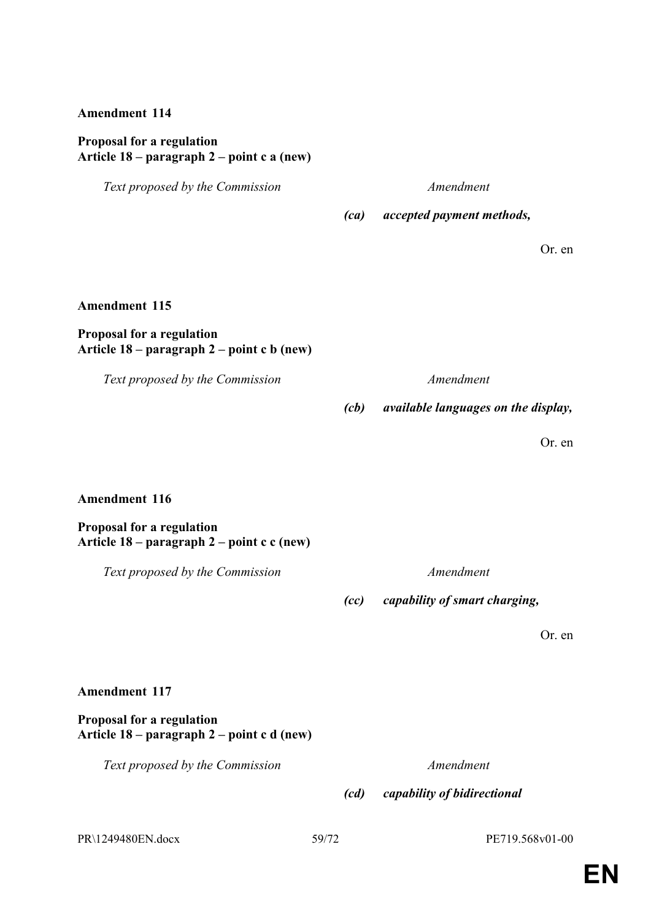#### **Proposal for a regulation Article 18 – paragraph 2 – point c a (new)**

*Text proposed by the Commission Amendment*

*(ca) accepted payment methods,*

Or. en

### **Amendment 115**

### **Proposal for a regulation Article 18 – paragraph 2 – point c b (new)**

*Text proposed by the Commission Amendment*

*(cb) available languages on the display,*

Or. en

#### **Amendment 116**

**Proposal for a regulation Article 18 – paragraph 2 – point c c (new)**

*Text proposed by the Commission Amendment*

*(cc) capability of smart charging,*

Or. en

### **Amendment 117**

**Proposal for a regulation Article 18 – paragraph 2 – point c d (new)**

*Text proposed by the Commission Amendment*

*(cd) capability of bidirectional* 

PR\1249480EN.docx 59/72 PE719.568v01-00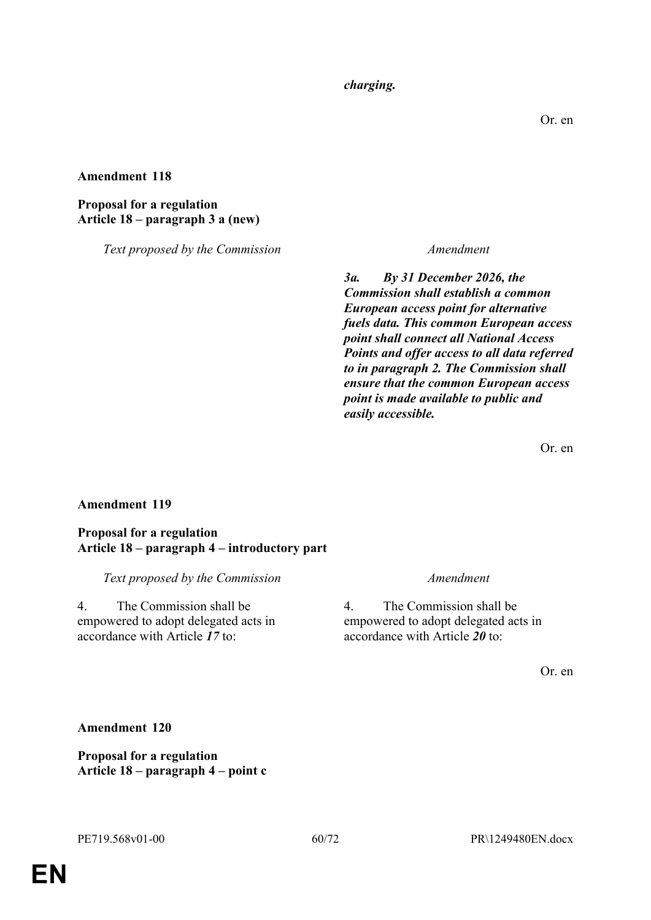*charging.*

#### **Amendment 118**

#### **Proposal for a regulation Article 18 – paragraph 3 a (new)**

*Text proposed by the Commission Amendment*

*3a. By 31 December 2026, the Commission shall establish a common European access point for alternative fuels data. This common European access point shall connect all National Access Points and offer access to all data referred to in paragraph 2. The Commission shall ensure that the common European access point is made available to public and easily accessible.*

Or. en

#### **Amendment 119**

#### **Proposal for a regulation Article 18 – paragraph 4 – introductory part**

*Text proposed by the Commission Amendment*

4. The Commission shall be empowered to adopt delegated acts in accordance with Article *17* to:

4. The Commission shall be empowered to adopt delegated acts in accordance with Article *20* to:

Or. en

#### **Amendment 120**

**Proposal for a regulation Article 18 – paragraph 4 – point c**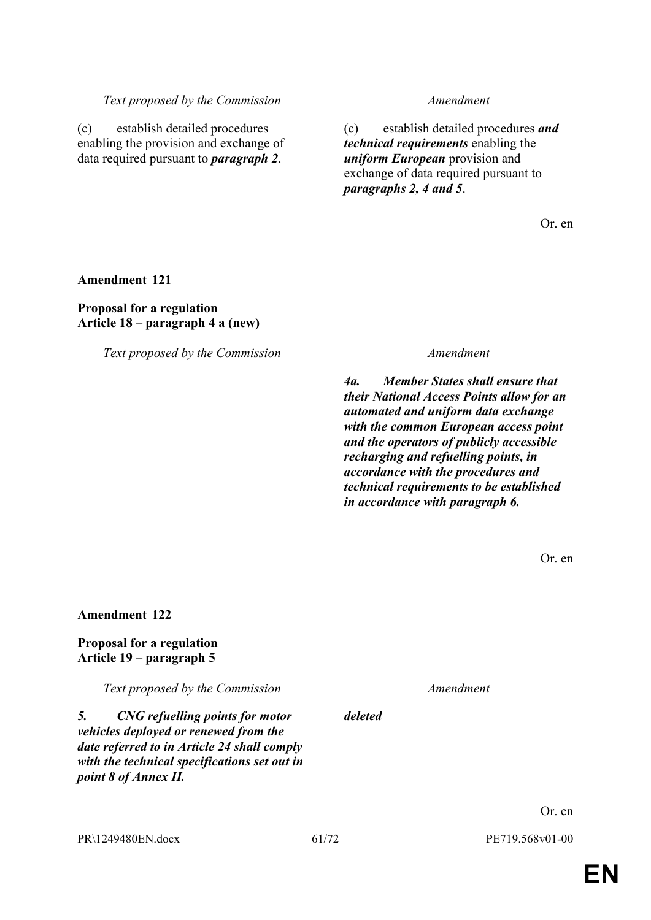PR\1249480EN.docx 61/72 PE719.568v01-00

*deleted*

*4a. Member States shall ensure that their National Access Points allow for an automated and uniform data exchange with the common European access point and the operators of publicly accessible recharging and refuelling points, in accordance with the procedures and technical requirements to be established in accordance with paragraph 6.*

*Text proposed by the Commission Amendment*

*Text proposed by the Commission Amendment*

(c) establish detailed procedures enabling the provision and exchange of data required pursuant to *paragraph 2*.

# **Amendment 122**

**Amendment 121**

**Proposal for a regulation**

**Article 18 – paragraph 4 a (new)**

#### **Proposal for a regulation Article 19 – paragraph 5**

*Text proposed by the Commission Amendment*

#### *5. CNG refuelling points for motor vehicles deployed or renewed from the date referred to in Article 24 shall comply with the technical specifications set out in point 8 of Annex II.*

(c) establish detailed procedures *and technical requirements* enabling the *uniform European* provision and exchange of data required pursuant to *paragraphs 2, 4 and 5*.

Or. en

Or. en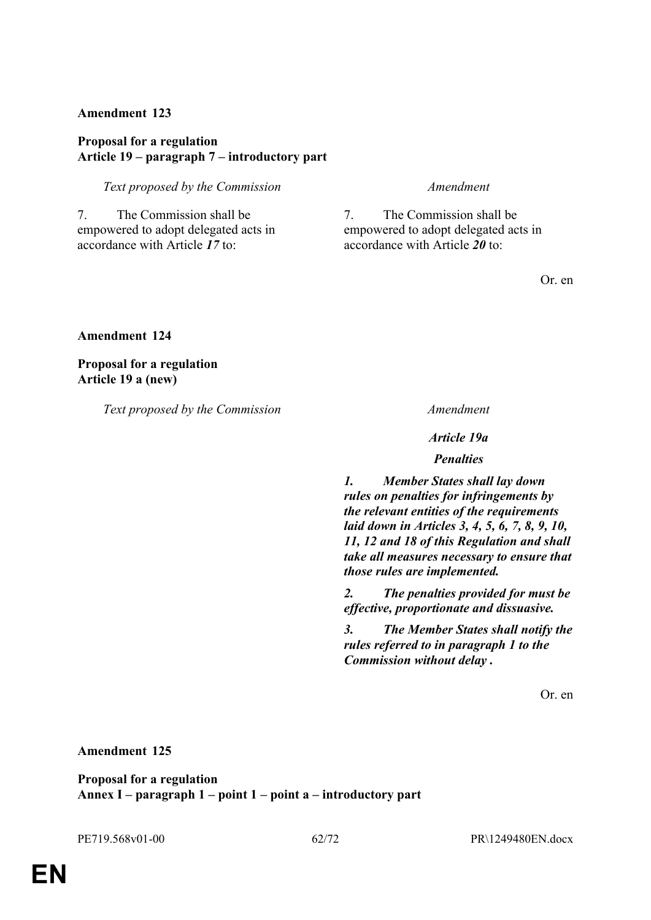#### **Proposal for a regulation Article 19 – paragraph 7 – introductory part**

*Text proposed by the Commission Amendment*

7. The Commission shall be empowered to adopt delegated acts in accordance with Article *17* to:

7. The Commission shall be empowered to adopt delegated acts in accordance with Article *20* to:

Or. en

**Amendment 124**

**Proposal for a regulation Article 19 a (new)**

*Text proposed by the Commission Amendment*

*Article 19a*

*Penalties*

*1. Member States shall lay down rules on penalties for infringements by the relevant entities of the requirements laid down in Articles 3, 4, 5, 6, 7, 8, 9, 10, 11, 12 and 18 of this Regulation and shall take all measures necessary to ensure that those rules are implemented.*

*2. The penalties provided for must be effective, proportionate and dissuasive.*

*3. The Member States shall notify the rules referred to in paragraph 1 to the Commission without delay .*

Or. en

**Amendment 125**

**Proposal for a regulation Annex I – paragraph 1 – point 1 – point a – introductory part**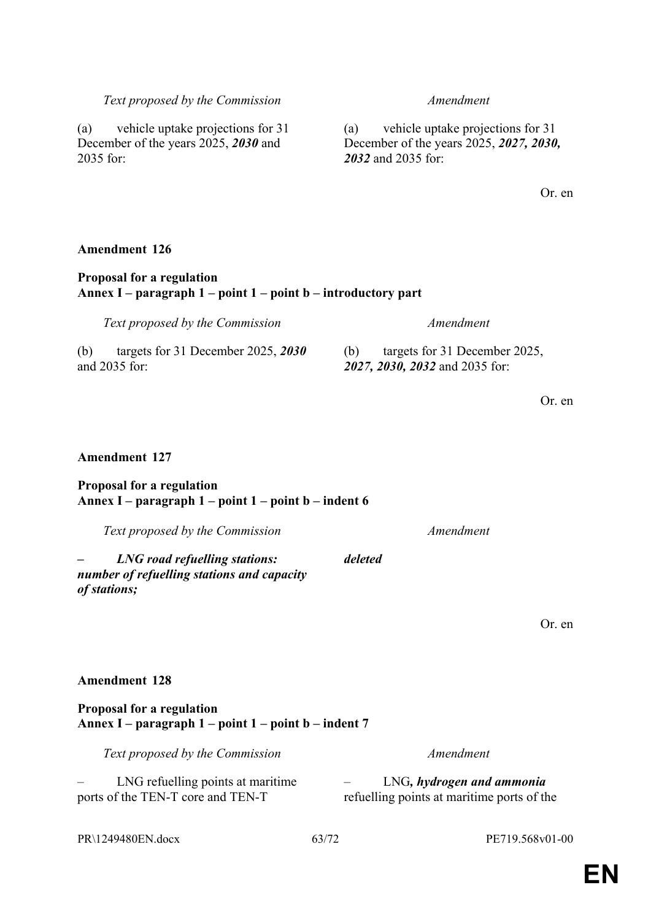*deleted*

# Or. en

**EN**

# *Text proposed by the Commission Amendment*

(a) vehicle uptake projections for 31 December of the years 2025, *2030* and 2035 for:

# **Amendment 126**

# **Proposal for a regulation Annex I – paragraph 1 – point 1 – point b – introductory part**

(b) targets for 31 December 2025, *2030* and 2035 for:

# **Amendment 127**

### **Proposal for a regulation Annex I – paragraph 1 – point 1 – point b – indent 6**

*Text proposed by the Commission Amendment*

*– LNG road refuelling stations: number of refuelling stations and capacity of stations;*

**Amendment 128**

### **Proposal for a regulation Annex I – paragraph 1 – point 1 – point b – indent 7**

*Text proposed by the Commission Amendment*

– LNG refuelling points at maritime ports of the TEN-T core and TEN-T

– LNG*, hydrogen and ammonia* refuelling points at maritime ports of the

Or. en

Or. en

*Text proposed by the Commission Amendment*

(b) targets for 31 December 2025, *2027, 2030, 2032* and 2035 for:

(a) vehicle uptake projections for 31 December of the years 2025, *2027, 2030,* 

*2032* and 2035 for:

PR\1249480EN.docx 63/72 PE719.568v01-00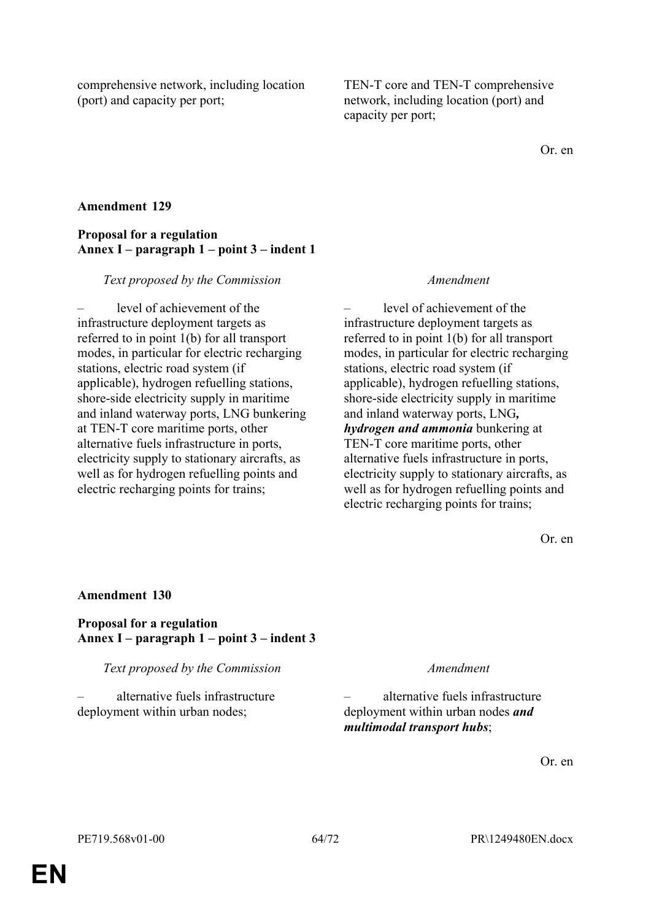comprehensive network, including location (port) and capacity per port;

TEN-T core and TEN-T comprehensive network, including location (port) and capacity per port;

Or. en

### **Amendment 129**

### **Proposal for a regulation Annex I – paragraph 1 – point 3 – indent 1**

#### *Text proposed by the Commission Amendment*

level of achievement of the infrastructure deployment targets as referred to in point 1(b) for all transport modes, in particular for electric recharging stations, electric road system (if applicable), hydrogen refuelling stations, shore-side electricity supply in maritime and inland waterway ports, LNG bunkering at TEN-T core maritime ports, other alternative fuels infrastructure in ports, electricity supply to stationary aircrafts, as well as for hydrogen refuelling points and electric recharging points for trains;

– level of achievement of the infrastructure deployment targets as referred to in point 1(b) for all transport modes, in particular for electric recharging stations, electric road system (if applicable), hydrogen refuelling stations, shore-side electricity supply in maritime and inland waterway ports, LNG*, hydrogen and ammonia* bunkering at TEN-T core maritime ports, other alternative fuels infrastructure in ports, electricity supply to stationary aircrafts, as well as for hydrogen refuelling points and electric recharging points for trains;

Or. en

#### **Amendment 130**

**Proposal for a regulation Annex I – paragraph 1 – point 3 – indent 3**

*Text proposed by the Commission Amendment*

– alternative fuels infrastructure deployment within urban nodes;

– alternative fuels infrastructure deployment within urban nodes *and multimodal transport hubs*;

Or. en

**EN**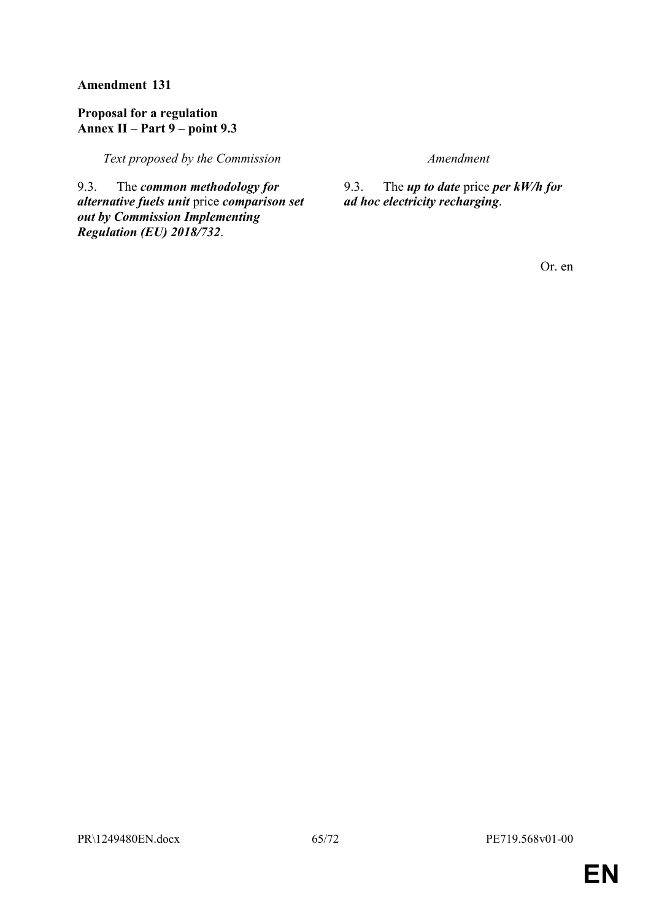### **Proposal for a regulation Annex II – Part 9 – point 9.3**

*Text proposed by the Commission Amendment*

9.3. The *common methodology for alternative fuels unit* price *comparison set out by Commission Implementing Regulation (EU) 2018/732*.

9.3. The *up to date* price *per kW/h for ad hoc electricity recharging*.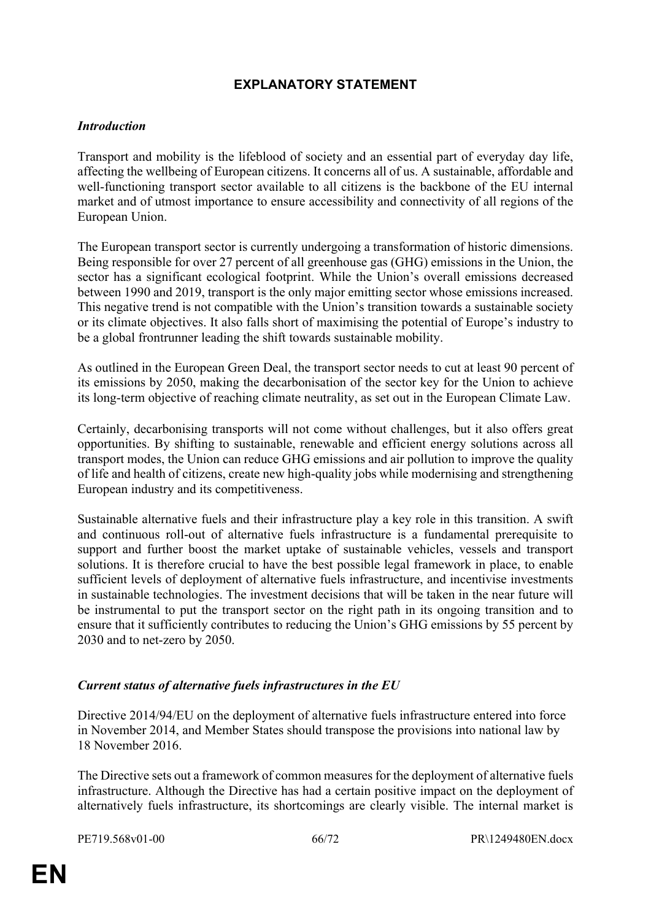# **EXPLANATORY STATEMENT**

### *Introduction*

Transport and mobility is the lifeblood of society and an essential part of everyday day life, affecting the wellbeing of European citizens. It concerns all of us. A sustainable, affordable and well-functioning transport sector available to all citizens is the backbone of the EU internal market and of utmost importance to ensure accessibility and connectivity of all regions of the European Union.

The European transport sector is currently undergoing a transformation of historic dimensions. Being responsible for over 27 percent of all greenhouse gas (GHG) emissions in the Union, the sector has a significant ecological footprint. While the Union's overall emissions decreased between 1990 and 2019, transport is the only major emitting sector whose emissions increased. This negative trend is not compatible with the Union's transition towards a sustainable society or its climate objectives. It also falls short of maximising the potential of Europe's industry to be a global frontrunner leading the shift towards sustainable mobility.

As outlined in the European Green Deal, the transport sector needs to cut at least 90 percent of its emissions by 2050, making the decarbonisation of the sector key for the Union to achieve its long-term objective of reaching climate neutrality, as set out in the European Climate Law.

Certainly, decarbonising transports will not come without challenges, but it also offers great opportunities. By shifting to sustainable, renewable and efficient energy solutions across all transport modes, the Union can reduce GHG emissions and air pollution to improve the quality of life and health of citizens, create new high-quality jobs while modernising and strengthening European industry and its competitiveness.

Sustainable alternative fuels and their infrastructure play a key role in this transition. A swift and continuous roll-out of alternative fuels infrastructure is a fundamental prerequisite to support and further boost the market uptake of sustainable vehicles, vessels and transport solutions. It is therefore crucial to have the best possible legal framework in place, to enable sufficient levels of deployment of alternative fuels infrastructure, and incentivise investments in sustainable technologies. The investment decisions that will be taken in the near future will be instrumental to put the transport sector on the right path in its ongoing transition and to ensure that it sufficiently contributes to reducing the Union's GHG emissions by 55 percent by 2030 and to net-zero by 2050.

### *Current status of alternative fuels infrastructures in the EU*

Directive 2014/94/EU on the deployment of alternative fuels infrastructure entered into force in November 2014, and Member States should transpose the provisions into national law by 18 November 2016.

The Directive sets out a framework of common measures for the deployment of alternative fuels infrastructure. Although the Directive has had a certain positive impact on the deployment of alternatively fuels infrastructure, its shortcomings are clearly visible. The internal market is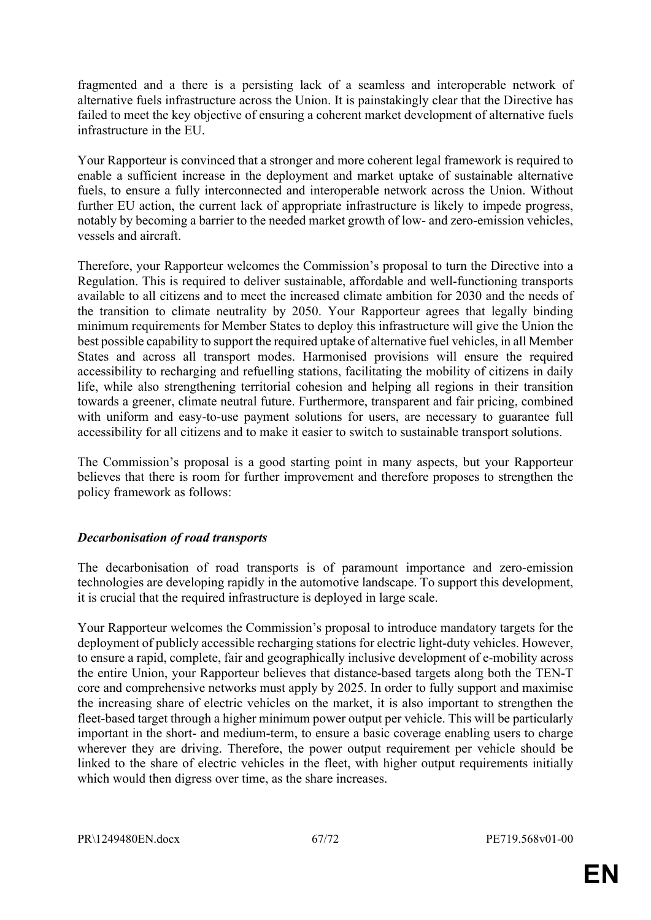fragmented and a there is a persisting lack of a seamless and interoperable network of alternative fuels infrastructure across the Union. It is painstakingly clear that the Directive has failed to meet the key objective of ensuring a coherent market development of alternative fuels infrastructure in the EU.

Your Rapporteur is convinced that a stronger and more coherent legal framework is required to enable a sufficient increase in the deployment and market uptake of sustainable alternative fuels, to ensure a fully interconnected and interoperable network across the Union. Without further EU action, the current lack of appropriate infrastructure is likely to impede progress, notably by becoming a barrier to the needed market growth of low- and zero-emission vehicles, vessels and aircraft.

Therefore, your Rapporteur welcomes the Commission's proposal to turn the Directive into a Regulation. This is required to deliver sustainable, affordable and well-functioning transports available to all citizens and to meet the increased climate ambition for 2030 and the needs of the transition to climate neutrality by 2050. Your Rapporteur agrees that legally binding minimum requirements for Member States to deploy this infrastructure will give the Union the best possible capability to support the required uptake of alternative fuel vehicles, in all Member States and across all transport modes. Harmonised provisions will ensure the required accessibility to recharging and refuelling stations, facilitating the mobility of citizens in daily life, while also strengthening territorial cohesion and helping all regions in their transition towards a greener, climate neutral future. Furthermore, transparent and fair pricing, combined with uniform and easy-to-use payment solutions for users, are necessary to guarantee full accessibility for all citizens and to make it easier to switch to sustainable transport solutions.

The Commission's proposal is a good starting point in many aspects, but your Rapporteur believes that there is room for further improvement and therefore proposes to strengthen the policy framework as follows:

### *Decarbonisation of road transports*

The decarbonisation of road transports is of paramount importance and zero-emission technologies are developing rapidly in the automotive landscape. To support this development, it is crucial that the required infrastructure is deployed in large scale.

Your Rapporteur welcomes the Commission's proposal to introduce mandatory targets for the deployment of publicly accessible recharging stations for electric light-duty vehicles. However, to ensure a rapid, complete, fair and geographically inclusive development of e-mobility across the entire Union, your Rapporteur believes that distance-based targets along both the TEN-T core and comprehensive networks must apply by 2025. In order to fully support and maximise the increasing share of electric vehicles on the market, it is also important to strengthen the fleet-based target through a higher minimum power output per vehicle. This will be particularly important in the short- and medium-term, to ensure a basic coverage enabling users to charge wherever they are driving. Therefore, the power output requirement per vehicle should be linked to the share of electric vehicles in the fleet, with higher output requirements initially which would then digress over time, as the share increases.

PR\1249480EN.docx 67/72 PE719.568v01-00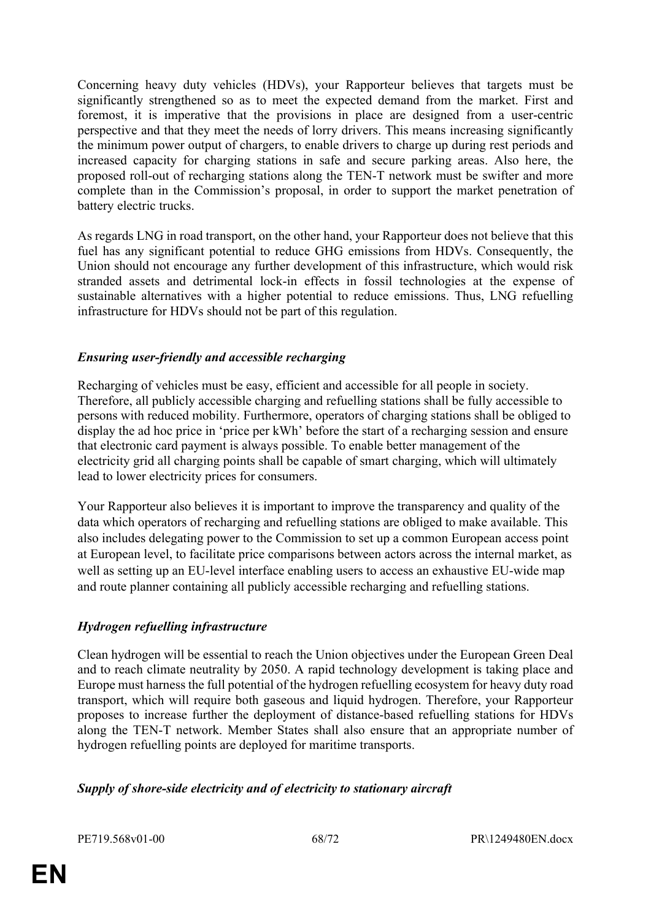Concerning heavy duty vehicles (HDVs), your Rapporteur believes that targets must be significantly strengthened so as to meet the expected demand from the market. First and foremost, it is imperative that the provisions in place are designed from a user-centric perspective and that they meet the needs of lorry drivers. This means increasing significantly the minimum power output of chargers, to enable drivers to charge up during rest periods and increased capacity for charging stations in safe and secure parking areas. Also here, the proposed roll-out of recharging stations along the TEN-T network must be swifter and more complete than in the Commission's proposal, in order to support the market penetration of battery electric trucks.

As regards LNG in road transport, on the other hand, your Rapporteur does not believe that this fuel has any significant potential to reduce GHG emissions from HDVs. Consequently, the Union should not encourage any further development of this infrastructure, which would risk stranded assets and detrimental lock-in effects in fossil technologies at the expense of sustainable alternatives with a higher potential to reduce emissions. Thus, LNG refuelling infrastructure for HDVs should not be part of this regulation.

# *Ensuring user-friendly and accessible recharging*

Recharging of vehicles must be easy, efficient and accessible for all people in society. Therefore, all publicly accessible charging and refuelling stations shall be fully accessible to persons with reduced mobility. Furthermore, operators of charging stations shall be obliged to display the ad hoc price in 'price per kWh' before the start of a recharging session and ensure that electronic card payment is always possible. To enable better management of the electricity grid all charging points shall be capable of smart charging, which will ultimately lead to lower electricity prices for consumers.

Your Rapporteur also believes it is important to improve the transparency and quality of the data which operators of recharging and refuelling stations are obliged to make available. This also includes delegating power to the Commission to set up a common European access point at European level, to facilitate price comparisons between actors across the internal market, as well as setting up an EU-level interface enabling users to access an exhaustive EU-wide map and route planner containing all publicly accessible recharging and refuelling stations.

# *Hydrogen refuelling infrastructure*

Clean hydrogen will be essential to reach the Union objectives under the European Green Deal and to reach climate neutrality by 2050. A rapid technology development is taking place and Europe must harness the full potential of the hydrogen refuelling ecosystem for heavy duty road transport, which will require both gaseous and liquid hydrogen. Therefore, your Rapporteur proposes to increase further the deployment of distance-based refuelling stations for HDVs along the TEN-T network. Member States shall also ensure that an appropriate number of hydrogen refuelling points are deployed for maritime transports.

# *Supply of shore-side electricity and of electricity to stationary aircraft*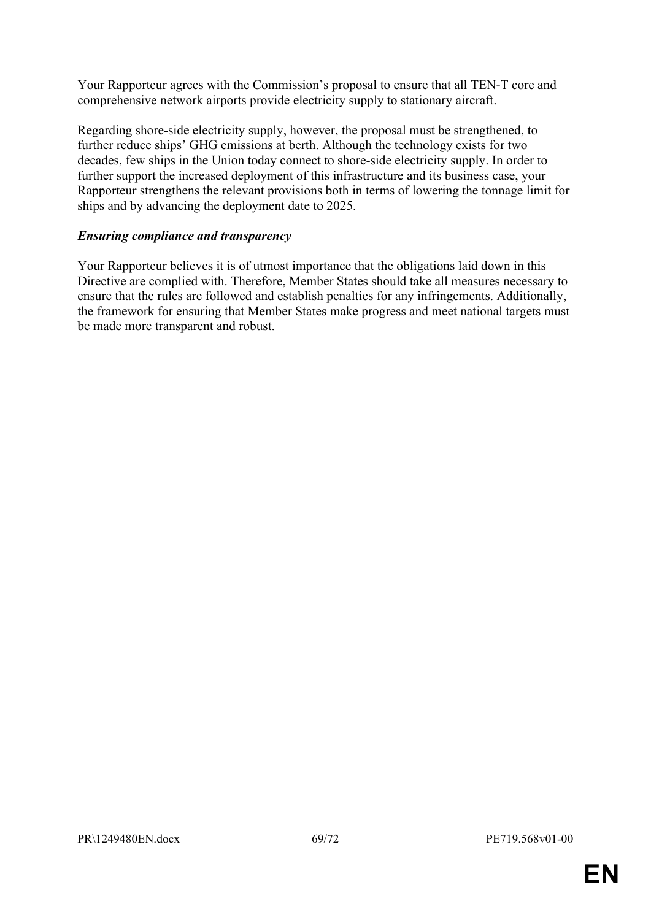Your Rapporteur agrees with the Commission's proposal to ensure that all TEN-T core and comprehensive network airports provide electricity supply to stationary aircraft.

Regarding shore-side electricity supply, however, the proposal must be strengthened, to further reduce ships' GHG emissions at berth. Although the technology exists for two decades, few ships in the Union today connect to shore-side electricity supply. In order to further support the increased deployment of this infrastructure and its business case, your Rapporteur strengthens the relevant provisions both in terms of lowering the tonnage limit for ships and by advancing the deployment date to 2025.

### *Ensuring compliance and transparency*

Your Rapporteur believes it is of utmost importance that the obligations laid down in this Directive are complied with. Therefore, Member States should take all measures necessary to ensure that the rules are followed and establish penalties for any infringements. Additionally, the framework for ensuring that Member States make progress and meet national targets must be made more transparent and robust.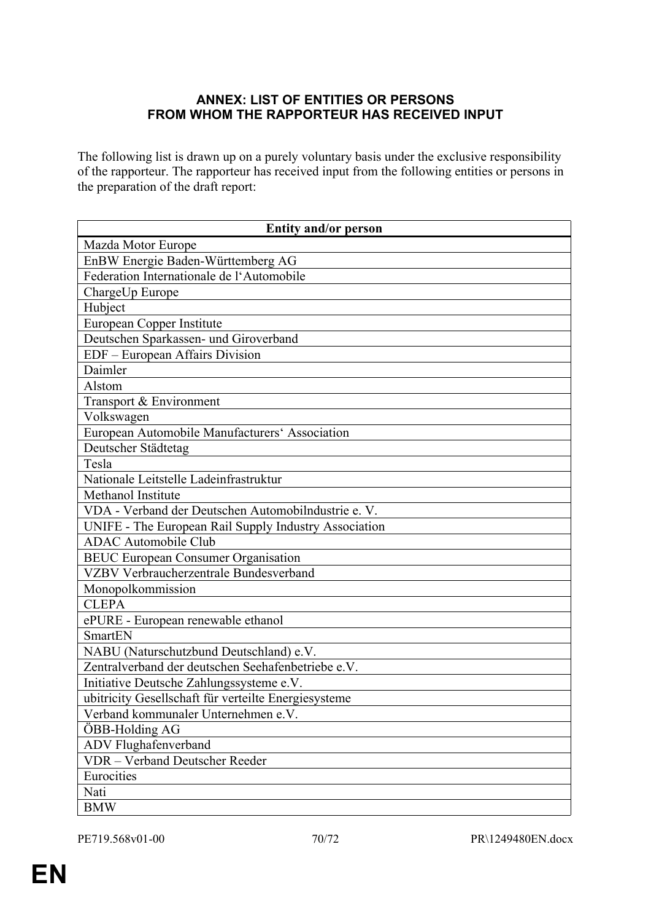# **ANNEX: LIST OF ENTITIES OR PERSONS FROM WHOM THE RAPPORTEUR HAS RECEIVED INPUT**

The following list is drawn up on a purely voluntary basis under the exclusive responsibility of the rapporteur. The rapporteur has received input from the following entities or persons in the preparation of the draft report:

| <b>Entity and/or person</b>                           |
|-------------------------------------------------------|
| Mazda Motor Europe                                    |
| EnBW Energie Baden-Württemberg AG                     |
| Federation Internationale de l'Automobile             |
| ChargeUp Europe                                       |
| Hubject                                               |
| <b>European Copper Institute</b>                      |
| Deutschen Sparkassen- und Giroverband                 |
| EDF - European Affairs Division                       |
| Daimler                                               |
| Alstom                                                |
| Transport & Environment                               |
| Volkswagen                                            |
| European Automobile Manufacturers' Association        |
| Deutscher Städtetag                                   |
| Tesla                                                 |
| Nationale Leitstelle Ladeinfrastruktur                |
| Methanol Institute                                    |
| VDA - Verband der Deutschen Automobilndustrie e. V.   |
| UNIFE - The European Rail Supply Industry Association |
| <b>ADAC Automobile Club</b>                           |
| <b>BEUC European Consumer Organisation</b>            |
| VZBV Verbraucherzentrale Bundesverband                |
| Monopolkommission                                     |
| <b>CLEPA</b>                                          |
| ePURE - European renewable ethanol                    |
| <b>SmartEN</b>                                        |
| NABU (Naturschutzbund Deutschland) e.V.               |
| Zentralverband der deutschen Seehafenbetriebe e.V.    |
| Initiative Deutsche Zahlungssysteme e.V.              |
| ubitricity Gesellschaft für verteilte Energiesysteme  |
| Verband kommunaler Unternehmen e.V.                   |
| ÖBB-Holding AG                                        |
| ADV Flughafenverband                                  |
| <b>VDR</b> - Verband Deutscher Reeder                 |
| Eurocities                                            |
| Nati                                                  |
| <b>BMW</b>                                            |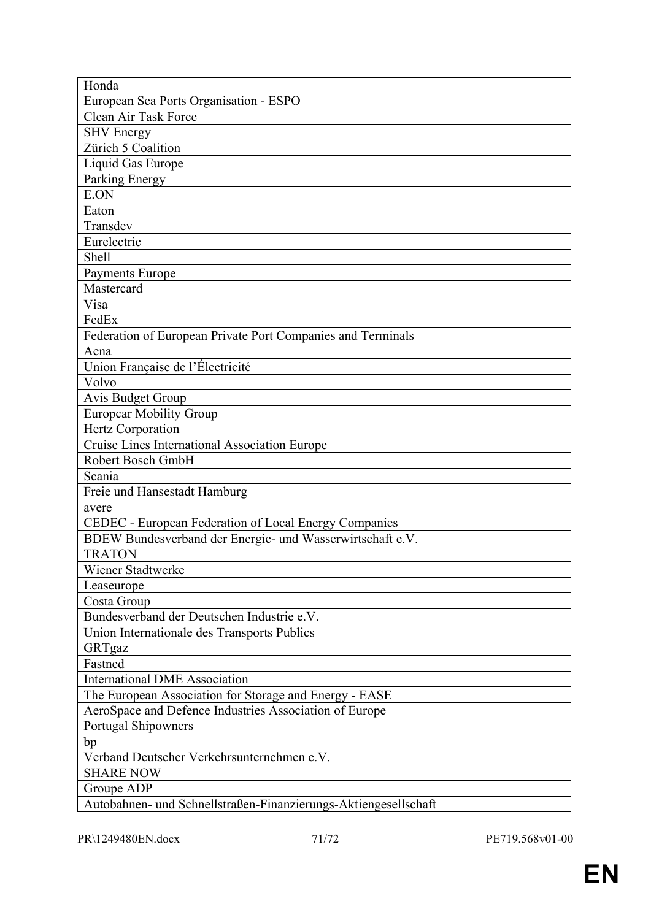| European Sea Ports Organisation - ESPO<br>Clean Air Task Force<br><b>SHV</b> Energy<br>Zürich 5 Coalition<br>Liquid Gas Europe<br>Parking Energy<br>E.ON<br>Eaton<br>Transdev<br>Eurelectric<br><b>Shell</b><br>Payments Europe<br>Mastercard<br>Visa<br>FedEx<br>Federation of European Private Port Companies and Terminals<br>Aena<br>Union Française de l'Électricité<br>Volvo<br>Avis Budget Group<br><b>Europear Mobility Group</b><br>Hertz Corporation<br>Cruise Lines International Association Europe<br>Robert Bosch GmbH<br>Scania |
|------------------------------------------------------------------------------------------------------------------------------------------------------------------------------------------------------------------------------------------------------------------------------------------------------------------------------------------------------------------------------------------------------------------------------------------------------------------------------------------------------------------------------------------------|
|                                                                                                                                                                                                                                                                                                                                                                                                                                                                                                                                                |
|                                                                                                                                                                                                                                                                                                                                                                                                                                                                                                                                                |
|                                                                                                                                                                                                                                                                                                                                                                                                                                                                                                                                                |
|                                                                                                                                                                                                                                                                                                                                                                                                                                                                                                                                                |
|                                                                                                                                                                                                                                                                                                                                                                                                                                                                                                                                                |
|                                                                                                                                                                                                                                                                                                                                                                                                                                                                                                                                                |
|                                                                                                                                                                                                                                                                                                                                                                                                                                                                                                                                                |
|                                                                                                                                                                                                                                                                                                                                                                                                                                                                                                                                                |
|                                                                                                                                                                                                                                                                                                                                                                                                                                                                                                                                                |
|                                                                                                                                                                                                                                                                                                                                                                                                                                                                                                                                                |
|                                                                                                                                                                                                                                                                                                                                                                                                                                                                                                                                                |
|                                                                                                                                                                                                                                                                                                                                                                                                                                                                                                                                                |
|                                                                                                                                                                                                                                                                                                                                                                                                                                                                                                                                                |
|                                                                                                                                                                                                                                                                                                                                                                                                                                                                                                                                                |
|                                                                                                                                                                                                                                                                                                                                                                                                                                                                                                                                                |
|                                                                                                                                                                                                                                                                                                                                                                                                                                                                                                                                                |
|                                                                                                                                                                                                                                                                                                                                                                                                                                                                                                                                                |
|                                                                                                                                                                                                                                                                                                                                                                                                                                                                                                                                                |
|                                                                                                                                                                                                                                                                                                                                                                                                                                                                                                                                                |
|                                                                                                                                                                                                                                                                                                                                                                                                                                                                                                                                                |
|                                                                                                                                                                                                                                                                                                                                                                                                                                                                                                                                                |
|                                                                                                                                                                                                                                                                                                                                                                                                                                                                                                                                                |
|                                                                                                                                                                                                                                                                                                                                                                                                                                                                                                                                                |
|                                                                                                                                                                                                                                                                                                                                                                                                                                                                                                                                                |
|                                                                                                                                                                                                                                                                                                                                                                                                                                                                                                                                                |
| Freie und Hansestadt Hamburg                                                                                                                                                                                                                                                                                                                                                                                                                                                                                                                   |
| avere                                                                                                                                                                                                                                                                                                                                                                                                                                                                                                                                          |
| CEDEC - European Federation of Local Energy Companies                                                                                                                                                                                                                                                                                                                                                                                                                                                                                          |
| BDEW Bundesverband der Energie- und Wasserwirtschaft e.V.                                                                                                                                                                                                                                                                                                                                                                                                                                                                                      |
| <b>TRATON</b>                                                                                                                                                                                                                                                                                                                                                                                                                                                                                                                                  |
| Wiener Stadtwerke                                                                                                                                                                                                                                                                                                                                                                                                                                                                                                                              |
| Leaseurope                                                                                                                                                                                                                                                                                                                                                                                                                                                                                                                                     |
| Costa Group                                                                                                                                                                                                                                                                                                                                                                                                                                                                                                                                    |
| Bundesverband der Deutschen Industrie e.V.                                                                                                                                                                                                                                                                                                                                                                                                                                                                                                     |
| Union Internationale des Transports Publics                                                                                                                                                                                                                                                                                                                                                                                                                                                                                                    |
| GRTgaz                                                                                                                                                                                                                                                                                                                                                                                                                                                                                                                                         |
| Fastned                                                                                                                                                                                                                                                                                                                                                                                                                                                                                                                                        |
| <b>International DME Association</b>                                                                                                                                                                                                                                                                                                                                                                                                                                                                                                           |
| The European Association for Storage and Energy - EASE                                                                                                                                                                                                                                                                                                                                                                                                                                                                                         |
| AeroSpace and Defence Industries Association of Europe                                                                                                                                                                                                                                                                                                                                                                                                                                                                                         |
| Portugal Shipowners                                                                                                                                                                                                                                                                                                                                                                                                                                                                                                                            |
| bp                                                                                                                                                                                                                                                                                                                                                                                                                                                                                                                                             |
| Verband Deutscher Verkehrsunternehmen e.V.                                                                                                                                                                                                                                                                                                                                                                                                                                                                                                     |
| <b>SHARE NOW</b>                                                                                                                                                                                                                                                                                                                                                                                                                                                                                                                               |
| Groupe ADP                                                                                                                                                                                                                                                                                                                                                                                                                                                                                                                                     |
| Autobahnen- und Schnellstraßen-Finanzierungs-Aktiengesellschaft                                                                                                                                                                                                                                                                                                                                                                                                                                                                                |